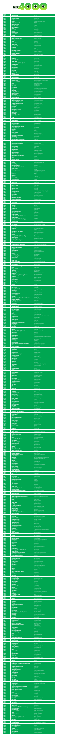

| 4000                                                 | <b>Tavares</b>                                                                                                                                                                                            | Don't Take Away The Music                                                                                                                                                          |
|------------------------------------------------------|-----------------------------------------------------------------------------------------------------------------------------------------------------------------------------------------------------------|------------------------------------------------------------------------------------------------------------------------------------------------------------------------------------|
| 3999                                                 | <b>Bananarama</b>                                                                                                                                                                                         | Shy Boy                                                                                                                                                                            |
| 3998                                                 | <b>Aretha Franklin</b>                                                                                                                                                                                    | Chain Of Fools                                                                                                                                                                     |
| 3997                                                 | <b>George Michael</b>                                                                                                                                                                                     | <b>Kissing A Fool</b>                                                                                                                                                              |
| 3996                                                 | <b>Eagles</b>                                                                                                                                                                                             | The Long Run                                                                                                                                                                       |
| 3995                                                 | <b>Bloem</b>                                                                                                                                                                                              | Even Aan Mijn Moeder Vragen                                                                                                                                                        |
| 3994                                                 | <b>Michael Sembello</b>                                                                                                                                                                                   | Maniac                                                                                                                                                                             |
| 3993                                                 | <b>Backstreet Boys</b>                                                                                                                                                                                    | All I Have To Give                                                                                                                                                                 |
| 3992                                                 | <b>Eliza Doolittle</b>                                                                                                                                                                                    | Pack Up                                                                                                                                                                            |
| 3991                                                 | <b>Pet Shop Boys</b>                                                                                                                                                                                      | Opportunities                                                                                                                                                                      |
| 3990                                                 | <b>Abel</b>                                                                                                                                                                                               | Onderweg                                                                                                                                                                           |
| 3989                                                 | Level 42                                                                                                                                                                                                  | <b>Take A Look</b>                                                                                                                                                                 |
| 3988                                                 | <b>Genesis</b>                                                                                                                                                                                            | <b>Invisible Touch</b>                                                                                                                                                             |
| 3987                                                 | <b>Mungo Jerry</b>                                                                                                                                                                                        | Alright Alright Alright                                                                                                                                                            |
| 3986                                                 | <b>Atomic Kitten</b>                                                                                                                                                                                      | <b>Whole Again</b>                                                                                                                                                                 |
| 3985                                                 | Queen                                                                                                                                                                                                     | Heaven For Everyone                                                                                                                                                                |
| 3984                                                 | <b>Them/Van Morrison</b>                                                                                                                                                                                  | Gloria                                                                                                                                                                             |
| 3983                                                 | <b>Earth Wind And Fire</b>                                                                                                                                                                                | And Love Goes On                                                                                                                                                                   |
| 3982                                                 | <b>Krezip</b>                                                                                                                                                                                             | I Apologize                                                                                                                                                                        |
| 3981                                                 | Abba                                                                                                                                                                                                      | <b>Ring Ring</b>                                                                                                                                                                   |
| 3980<br>3979<br>3978<br>3977<br>3976<br>3975         | <b>Bryan Adams</b><br><b>Sam Cooke</b><br><b>Ben Howard</b><br>Klymaxx<br><b>Adamski</b><br>Margaret Singana                                                                                              | Run To You<br><b>Wonderful World</b><br>Keep Your Head Up<br>I Miss You<br>Killer<br>We Are Growing<br>Keep The Fire Burning                                                       |
| 3974<br>3973<br>3972<br>3971<br>3970<br>3969<br>3968 | <b>Gwen Mccrae</b><br>Michael Jackson<br><b>Flirtations</b><br><b>The Bucketheads</b><br><b>Joe Cocker</b><br>Madonna<br><b>Gibson Brothers</b>                                                           | You Rock My World<br>Nothing But A Heartache<br>The Bomb<br>Summer In The City<br>Don't Tell Me<br>Que Sera Mi Vida                                                                |
| 3967                                                 | <b>Small Faces</b>                                                                                                                                                                                        | <b>Itchycoo Park</b>                                                                                                                                                               |
| 3966                                                 | Janet Jackson/Herb Alpert                                                                                                                                                                                 | <b>Diamonds</b>                                                                                                                                                                    |
| 3965                                                 | <b>Nick &amp; Simon</b>                                                                                                                                                                                   | Kijk Omhoog                                                                                                                                                                        |
| 3964                                                 | Level 42                                                                                                                                                                                                  | Running In The Family                                                                                                                                                              |
| 3963                                                 | <b>Mr.President</b>                                                                                                                                                                                       | Coco Jamboo                                                                                                                                                                        |
| 3962                                                 | <b>David Bowie</b>                                                                                                                                                                                        | Golden Years                                                                                                                                                                       |
| 3961                                                 | <b>Nu Shooz</b>                                                                                                                                                                                           | I Can't Wait                                                                                                                                                                       |
| 3960                                                 | <b>Ilse Delange</b>                                                                                                                                                                                       | Puzzle Me                                                                                                                                                                          |
| 3959                                                 | <b>Babys</b>                                                                                                                                                                                              | A Piece Of The Action                                                                                                                                                              |
| 3958                                                 | <b>Donna Summer</b>                                                                                                                                                                                       | On The Radio                                                                                                                                                                       |
| 3957                                                 | <b>Harry Chapin</b>                                                                                                                                                                                       | <b>WOLD</b>                                                                                                                                                                        |
| 3956                                                 | <b>Paul Mccartney</b>                                                                                                                                                                                     | My Brave Face                                                                                                                                                                      |
| 3955                                                 | Labelle/Patti Labelle                                                                                                                                                                                     | Voulez Vous Coucher Avec Moi                                                                                                                                                       |
| 3954                                                 | <b>Monty Python</b>                                                                                                                                                                                       | Always Look On The Bright Side Of Life                                                                                                                                             |
| 3953                                                 | <b>Timex Social Club</b>                                                                                                                                                                                  | Mixed Up World                                                                                                                                                                     |
| 3952                                                 | Abba                                                                                                                                                                                                      | Gimme Gimme Gimme                                                                                                                                                                  |
| 3951                                                 | <b>Diana Ross</b>                                                                                                                                                                                         | Touch By Touch                                                                                                                                                                     |
| 3950                                                 | <b>Elton John</b>                                                                                                                                                                                         | Crocodile Rock                                                                                                                                                                     |
| 3949                                                 | K-Ci & Jojo                                                                                                                                                                                               | All My Life                                                                                                                                                                        |
| 3948                                                 | <b>Korgis</b>                                                                                                                                                                                             | Everybody's Got To Learn Sometimes                                                                                                                                                 |
| 3947                                                 | <b>Four Tops</b>                                                                                                                                                                                          | Reach Out I'll Be There                                                                                                                                                            |
| 3946                                                 | <b>Bobby Mcferrin</b>                                                                                                                                                                                     | Don't Worry, Be Happy                                                                                                                                                              |
| 3945                                                 | <b>Robert Palmer</b>                                                                                                                                                                                      | Every Kinda People                                                                                                                                                                 |
| 3944                                                 | <b>Phil Collins</b>                                                                                                                                                                                       | Do You Remember                                                                                                                                                                    |
| 3943                                                 | <b>Herman'S Hermits</b>                                                                                                                                                                                   | No Milk Today                                                                                                                                                                      |
| 3942                                                 | <b>Black Eyed Peys</b>                                                                                                                                                                                    | Where Is The Love                                                                                                                                                                  |
| 3941                                                 | <b>Harpo</b>                                                                                                                                                                                              | Moviestar                                                                                                                                                                          |
| 3940                                                 | <b>Farley Jackmaster Funk</b>                                                                                                                                                                             | Love Can't Turn Around                                                                                                                                                             |
| 3939                                                 | Santana/Rob Thomas                                                                                                                                                                                        | Smooth                                                                                                                                                                             |
| 3938                                                 | Wham/George Michael                                                                                                                                                                                       | Everything She Wants                                                                                                                                                               |
| 3937                                                 | <b>Real Thing</b>                                                                                                                                                                                         | Can't Get By Without You                                                                                                                                                           |
| 3936                                                 | <b>M</b> People                                                                                                                                                                                           | Moving On Up                                                                                                                                                                       |
| 3935                                                 | <b>Breathe</b>                                                                                                                                                                                            | How Can I Fall                                                                                                                                                                     |
| 3934                                                 | Mc Miker G Dj Sven                                                                                                                                                                                        | <b>Holiday Rap</b>                                                                                                                                                                 |
| 3933                                                 | Sugarloaf                                                                                                                                                                                                 | Don't Call Us                                                                                                                                                                      |
| 3932                                                 | <b>Beach Boys</b>                                                                                                                                                                                         | Do It Again                                                                                                                                                                        |
| 3931                                                 | <b>Kid Rock</b>                                                                                                                                                                                           | All Summer Long                                                                                                                                                                    |
| 3930                                                 | <b>Trijntje Oosterhuis</b>                                                                                                                                                                                | Vlieg Met Me Mee                                                                                                                                                                   |
| 3929                                                 | <b>Eric Carmen</b>                                                                                                                                                                                        | <b>Hungry Eyes</b>                                                                                                                                                                 |
| 3928                                                 | <b>Texas</b>                                                                                                                                                                                              | I Don't Want A Lover                                                                                                                                                               |
| 3927                                                 | <b>Supremes</b>                                                                                                                                                                                           | Where Did Our Love Go                                                                                                                                                              |
| 3926                                                 | <b>Commodores</b>                                                                                                                                                                                         | Going To The Bank                                                                                                                                                                  |
| 3925                                                 | <b>Erasure</b>                                                                                                                                                                                            | Sometimes                                                                                                                                                                          |
| 3924                                                 | <b>Marco Borsato</b>                                                                                                                                                                                      | Kom Maar Bij Mij                                                                                                                                                                   |
| 3923                                                 | <b>Rod Stewart</b>                                                                                                                                                                                        | Crazy About Her                                                                                                                                                                    |
| 3922                                                 | James Taylor/J.D. Souther                                                                                                                                                                                 | Her Town Too                                                                                                                                                                       |
| 3921                                                 | <b>Destiny'S Child</b>                                                                                                                                                                                    | Say My Name                                                                                                                                                                        |
| 3920                                                 | <b>Richenel</b>                                                                                                                                                                                           | Temptation                                                                                                                                                                         |
| 3919                                                 | Madonna                                                                                                                                                                                                   | Vogue                                                                                                                                                                              |
| 3918                                                 | <b>David Bowie</b>                                                                                                                                                                                        | <b>Rebel Rebel</b>                                                                                                                                                                 |
| 3917                                                 | <b>Anastacia</b>                                                                                                                                                                                          | One Day In Your Life                                                                                                                                                               |
| 3916                                                 | Mcfadden & Whitehead                                                                                                                                                                                      | Ain't No Stoppin' Us Now                                                                                                                                                           |
| 3915                                                 | <b>Joss Stone</b>                                                                                                                                                                                         | Tell Me 'Bout It                                                                                                                                                                   |
| 3914                                                 | <b>Riccardo Cocciante</b>                                                                                                                                                                                 | Sincerita                                                                                                                                                                          |
| 3913                                                 | <b>Mariah Carey/Trey Lorenz</b>                                                                                                                                                                           | I'll Be There                                                                                                                                                                      |
| 3912                                                 | <b>Spencer Davis Group</b>                                                                                                                                                                                | Gimme Some Lovin'                                                                                                                                                                  |
| 3911                                                 | <b>Robbie Williams</b>                                                                                                                                                                                    | Freedom                                                                                                                                                                            |
| 3910                                                 | <b>Electric Light Orchestra</b>                                                                                                                                                                           | Rock'N Roll Is King                                                                                                                                                                |
| 3909                                                 | <b>Diana Ross</b>                                                                                                                                                                                         | Ain't No Mountain High Enough                                                                                                                                                      |
| 3908                                                 | <b>Avril Lavigne</b>                                                                                                                                                                                      | Complicated                                                                                                                                                                        |
| 3907                                                 | <b>Caro Emerald</b>                                                                                                                                                                                       | <b>Stuck</b>                                                                                                                                                                       |
| 3906                                                 | <b>Rolling Stones</b>                                                                                                                                                                                     | Time Is On My Side                                                                                                                                                                 |
| 3905                                                 | <b>Tambourine</b>                                                                                                                                                                                         | High Under The Moon                                                                                                                                                                |
| 3904                                                 | <b>Paul Mccartney</b>                                                                                                                                                                                     | <b>Another Day</b>                                                                                                                                                                 |
| 3903                                                 | <b>Michael Jackson</b>                                                                                                                                                                                    | <b>Blood On The Dancefloor</b>                                                                                                                                                     |
| 3902<br>3901<br>3900<br>3899<br>3898<br>3897         | <b>Paul Simon/Art Garfunkel</b><br>Spagna<br><b>Shirts</b><br><b>Enrique Iglesias</b><br><b>Bangles</b><br><b>Buggles</b>                                                                                 | <b>Homeward Bound</b><br>Call Me<br><b>Tell Me Your Plans</b><br><b>Rhythm Divine</b><br>Hazy Shade Of Winter<br>Video Killed The Radio Star<br>When I Fall In Love                |
| 3896<br>3895<br>3894<br>3893<br>3892<br>3891<br>3890 | <b>Rick Astley</b><br><b>Marlon Roudette</b><br>K.C./The Sunshine Band<br><b>Lionel Richie</b><br><b>Prince</b><br><b>Gerard Lenorman</b><br>U <sub>2</sub>                                               | New Age<br><b>Shake Shake Shake</b><br><b>Stuck On You</b><br>Sexy MF<br>La Ballade Des Gens Heureux<br>Pride (In The Name Of Love)                                                |
| 3889                                                 | <b>Will Smith</b>                                                                                                                                                                                         | Miami                                                                                                                                                                              |
| 3888                                                 | Melanie                                                                                                                                                                                                   | Lay Down                                                                                                                                                                           |
| 3887                                                 | <b>Queen</b>                                                                                                                                                                                              | I Want It All                                                                                                                                                                      |
| 3886                                                 | <b>Gerard Joling</b>                                                                                                                                                                                      | Love Is In Your Eyes                                                                                                                                                               |
| 3885                                                 | <b>Tears For Fears</b>                                                                                                                                                                                    | Change                                                                                                                                                                             |
| 3884                                                 | <b>Nick Kamen</b>                                                                                                                                                                                         | Loving You(Is Sweeter Than Ever)                                                                                                                                                   |
| 3883                                                 | <b>Celine Dion</b>                                                                                                                                                                                        | All By Myself                                                                                                                                                                      |
| 3882                                                 | <b>Albert Hammond</b>                                                                                                                                                                                     | It Never Rains In Southern California                                                                                                                                              |
| 3881                                                 | Mary J. Blige                                                                                                                                                                                             | <b>Family Affair</b>                                                                                                                                                               |
| 3880                                                 | <b>Fun Fun</b>                                                                                                                                                                                            | Colour My Love                                                                                                                                                                     |
| 3879                                                 | <b>Fontella Bass</b>                                                                                                                                                                                      | <b>Rescue Me</b>                                                                                                                                                                   |
| 3878                                                 | O'Jays                                                                                                                                                                                                    | Love Train                                                                                                                                                                         |
| 3877                                                 | <b>Golden Earring</b>                                                                                                                                                                                     | I Can't Sleep Without You (Unplugged)                                                                                                                                              |
| 3876                                                 | <b>Four Tops</b>                                                                                                                                                                                          | I Can't Help Myself                                                                                                                                                                |
| 3875                                                 | <b>Dire Straits</b>                                                                                                                                                                                       | Twisting By The Pool                                                                                                                                                               |
| 3874                                                 | Mai Tai                                                                                                                                                                                                   | Am I Losing You Forever                                                                                                                                                            |
| 3873                                                 | <b>Kool And The Gang</b>                                                                                                                                                                                  | Get Down On It                                                                                                                                                                     |
| 3872                                                 | <b>Bee-Gees</b>                                                                                                                                                                                           | <b>Spicks And Specks</b>                                                                                                                                                           |
| 3871                                                 | Acda & De Munnik                                                                                                                                                                                          | De Kapitein Deel 2                                                                                                                                                                 |
| 3870                                                 | Abba                                                                                                                                                                                                      | Mamma Mia                                                                                                                                                                          |
| 3869                                                 | Whitesnake                                                                                                                                                                                                | Here I Go Again                                                                                                                                                                    |
| 3868                                                 | <b>Madness</b>                                                                                                                                                                                            | Our House                                                                                                                                                                          |
| 3867                                                 | <b>Westlife</b>                                                                                                                                                                                           | My Love                                                                                                                                                                            |
| 3866                                                 | <b>John Parr</b>                                                                                                                                                                                          | StElmo's Fire                                                                                                                                                                      |
| 3865                                                 | <b>Jimmy Cliff</b>                                                                                                                                                                                        | Hakuna Matata                                                                                                                                                                      |
| 3864                                                 | <b>Racey</b>                                                                                                                                                                                              | <b>Some Girls</b>                                                                                                                                                                  |
| 3863                                                 | Olivia Newton John                                                                                                                                                                                        | Magic                                                                                                                                                                              |
| 3862                                                 | <b>Billy Stewart</b>                                                                                                                                                                                      | Summertime                                                                                                                                                                         |
| 3861                                                 | <b>Bryan Adams</b>                                                                                                                                                                                        | Please Forgive Me                                                                                                                                                                  |
| 3860                                                 | <b>Andre Hazes/Paul De Leeuw</b>                                                                                                                                                                          | Droomland                                                                                                                                                                          |
| 3859                                                 | <b>Jordin Sparks</b>                                                                                                                                                                                      | No Air                                                                                                                                                                             |
| 3858                                                 | <b>Steve Rowland/Family Dogg</b>                                                                                                                                                                          | Sympathy                                                                                                                                                                           |
| 3857                                                 | <b>David Bowie</b>                                                                                                                                                                                        | Let's Dance                                                                                                                                                                        |
| 3856                                                 | <b>Cutting Crew</b>                                                                                                                                                                                       | (I Just) Died In Your Arms                                                                                                                                                         |
| 3855                                                 | <b>Colbie Caillat</b>                                                                                                                                                                                     | <b>Bubbly</b>                                                                                                                                                                      |
| 3854                                                 | <b>Joe Jackson</b>                                                                                                                                                                                        | You Can't Get What You Want                                                                                                                                                        |
| 3853                                                 | <b>Rose Royce</b>                                                                                                                                                                                         | Wishing On A Star                                                                                                                                                                  |
| 3852                                                 | Ike Turner/Tina Turner                                                                                                                                                                                    | <b>Baby Get It On</b>                                                                                                                                                              |
| 3851                                                 | Amazulu                                                                                                                                                                                                   | Too Good To Be Forgotten                                                                                                                                                           |
| 3850                                                 | <b>Jessie J</b>                                                                                                                                                                                           | Domino                                                                                                                                                                             |
| 3849                                                 | <b>Bill Haley &amp; The Comets</b>                                                                                                                                                                        | <b>Rock Around The Clock</b>                                                                                                                                                       |
| 3848                                                 | <b>Billy Paul</b>                                                                                                                                                                                         | Thanks For Saving My Life                                                                                                                                                          |
| 3847                                                 | <b>Freiheit</b>                                                                                                                                                                                           | Keeping The Dream Alive                                                                                                                                                            |
| 3846                                                 | George Michael/Mary J. Blige                                                                                                                                                                              | As                                                                                                                                                                                 |
| 3845                                                 | <b>Peter Skellern</b>                                                                                                                                                                                     | You're A Lady                                                                                                                                                                      |
| 3844                                                 | <b>Duren Duran</b>                                                                                                                                                                                        | New Moon On Monday                                                                                                                                                                 |
| 3843                                                 | <b>Les Humphries Singers</b>                                                                                                                                                                              | <b>Mexico</b>                                                                                                                                                                      |
| 3842                                                 | M                                                                                                                                                                                                         | Popmuzik                                                                                                                                                                           |
| 3841                                                 | <b>Paolo Conte</b>                                                                                                                                                                                        | Max                                                                                                                                                                                |
| 3840                                                 | <b>Jimmy James &amp; Vagabonds</b>                                                                                                                                                                        | I'll Go Where The Music Takes Me                                                                                                                                                   |
| 3839                                                 | <b>Laura Pausini</b>                                                                                                                                                                                      | Strani Amori                                                                                                                                                                       |
| 3838                                                 | <b>Booker T &amp; The Mg'S</b>                                                                                                                                                                            | Time Is Tight                                                                                                                                                                      |
| 3837<br>3836<br>3835<br>3834<br>3833<br>3832         | <b>Dolly Dots</b><br><b>Nightcrawlers</b><br><b>Thin Lizzy</b><br><b>Prince</b><br><b>Joni Mitchell</b><br><b>Bruce Springsteen</b>                                                                       | She's A Liar<br>Push The Feeling On<br>The Boys Are Back In Town<br>Gold<br><b>Big Yellow Taxi</b><br><b>Glory Days</b><br>Suspicion                                               |
| 3831<br>3830<br>3829<br>3828<br>3827<br>3826<br>3825 | <b>Elvis Presley</b><br>Gordon<br><b>Ringo Starr</b><br><b>David Mcwilliams</b><br>Natasha Beddingfield<br><b>Cliff Richard</b><br><b>Marianne Rosenberg</b>                                              | t Is Zo Weer Voorbij<br>It Don't Come Easy<br>Can I Get There By Candlelight<br><b>Unwritten</b><br>Miss You Nights<br>Ich Bin Wie Du                                              |
| 3824                                                 | Mika                                                                                                                                                                                                      | <b>Happy Ending</b>                                                                                                                                                                |
| 3823                                                 | <b>Wayne Wade</b>                                                                                                                                                                                         | Lady                                                                                                                                                                               |
| 3822                                                 | <b>Santana</b>                                                                                                                                                                                            | She's Not There                                                                                                                                                                    |
| 3821                                                 | <b>Gloria Gaynor</b>                                                                                                                                                                                      | Walk On By                                                                                                                                                                         |
| 3820                                                 | <b>Madonna</b>                                                                                                                                                                                            | What It Feels Like For A Girl                                                                                                                                                      |
| 3819                                                 | <b>Paul Mccartney/The Frog Chorus</b>                                                                                                                                                                     | We All Stand Together                                                                                                                                                              |
| 3818                                                 | Jovanotti                                                                                                                                                                                                 | Libera L'Anima                                                                                                                                                                     |
| 3817                                                 | Doug Ashdown                                                                                                                                                                                              | <b>Winter In America</b>                                                                                                                                                           |
| 3816                                                 | <b>Gary Moore</b>                                                                                                                                                                                         | Oh Pretty Woman                                                                                                                                                                    |
| 3815                                                 | <b>Dave</b>                                                                                                                                                                                               | <b>Dansez Maintenant</b>                                                                                                                                                           |
| 3814                                                 | <b>Alison Moyet</b>                                                                                                                                                                                       | Is This Love?                                                                                                                                                                      |
| 3813                                                 | James Brown                                                                                                                                                                                               | Woman                                                                                                                                                                              |
| 3812                                                 | <b>Hooters</b>                                                                                                                                                                                            | Satellite                                                                                                                                                                          |
| 3811                                                 | <b>Bee-Gees</b>                                                                                                                                                                                           | Don't Forget To Remember                                                                                                                                                           |
| 3810                                                 | Mel & Kim                                                                                                                                                                                                 | Respectable                                                                                                                                                                        |
| 3809                                                 | <b>Randy Crawford</b>                                                                                                                                                                                     | Rainy Night In Georgia                                                                                                                                                             |
| 3808                                                 | <b>Aerosmith</b>                                                                                                                                                                                          | Crazy                                                                                                                                                                              |
| 3807                                                 | <b>Jason Mraz</b>                                                                                                                                                                                         | I Won't Give Up                                                                                                                                                                    |
| 3806                                                 | <b>Garland Jeffreys</b>                                                                                                                                                                                   | Hail Hail Rock N Roll                                                                                                                                                              |
| 3805                                                 | <b>Simon Webbe</b>                                                                                                                                                                                        | <b>Coming Around Again</b>                                                                                                                                                         |
| 3804                                                 | Journey                                                                                                                                                                                                   | Don't Stop Believin'                                                                                                                                                               |
| 3803                                                 | Gloria Estefan/Miami Sound Machine                                                                                                                                                                        | Here We Are                                                                                                                                                                        |
| 3802                                                 | <b>Michael Jackson</b>                                                                                                                                                                                    | Another Part Of Me                                                                                                                                                                 |
| 3801                                                 | <b>Earth Wind And Fire</b>                                                                                                                                                                                | In The Stone                                                                                                                                                                       |
| 3800                                                 | <b>Marco Borsato</b>                                                                                                                                                                                      | <b>Wit Licht</b>                                                                                                                                                                   |
| 3799                                                 | <b>Elton John</b>                                                                                                                                                                                         | Sad Songs (Say So Much)                                                                                                                                                            |
| 3798                                                 | <b>Golden Earring</b>                                                                                                                                                                                     | Another 45 Miles (Live)                                                                                                                                                            |
| 3797                                                 | <b>Spandau Ballet</b>                                                                                                                                                                                     | Only When You Leave                                                                                                                                                                |
| 3796                                                 | <b>Raul Orellana</b>                                                                                                                                                                                      | Gypsy Rhythm                                                                                                                                                                       |
| 3795                                                 | <b>Dht Feat Edmee</b>                                                                                                                                                                                     | Listen To Your Heart                                                                                                                                                               |
| 3794                                                 | <b>Matthew Wilder</b>                                                                                                                                                                                     | <b>Break My Stride</b>                                                                                                                                                             |
| 3793                                                 | <b>Temptations</b>                                                                                                                                                                                        | <b>Get Ready</b>                                                                                                                                                                   |
| 3792                                                 | <b>Fish</b>                                                                                                                                                                                               | A Gentelman's Excuse Me                                                                                                                                                            |
| 3791                                                 | <b>Tina Turner</b>                                                                                                                                                                                        | I Don't Wanna Fight                                                                                                                                                                |
| 3790                                                 | <b>Jimmy Helms</b>                                                                                                                                                                                        | Gonna Make You An Offer You Can't Refuse                                                                                                                                           |
| 3789                                                 | <b>Beatles</b>                                                                                                                                                                                            | Hello Goodbye                                                                                                                                                                      |
| 3788                                                 | <b>Janet Jackson</b>                                                                                                                                                                                      | All For You                                                                                                                                                                        |
| 3787                                                 | <b>Bon Jovi</b>                                                                                                                                                                                           | It's My Life                                                                                                                                                                       |
| 3786                                                 | <b>Dionne Warwick/Spinners</b>                                                                                                                                                                            | Then Came You                                                                                                                                                                      |
| 3785                                                 | <b>Matt Bianco</b>                                                                                                                                                                                        | Get Out Of Your Lazy Bed                                                                                                                                                           |
| 3784                                                 | <b>Rolling Stones</b>                                                                                                                                                                                     | Going To A Go Go                                                                                                                                                                   |
| 3783                                                 | <b>Five Star</b>                                                                                                                                                                                          | <b>Find The Time</b>                                                                                                                                                               |
| 3782                                                 | <b>Steve Winwood</b>                                                                                                                                                                                      | <b>Back In The Highlife Again</b>                                                                                                                                                  |
| 3781                                                 | Racoon                                                                                                                                                                                                    | Took A Hit                                                                                                                                                                         |
| 3780                                                 | <b>Alexander O'Neal/Cherelle</b>                                                                                                                                                                          | Never Knew Love Like This                                                                                                                                                          |
| 3779                                                 | <b>Roxy Music</b>                                                                                                                                                                                         | <b>Angel Eyes</b>                                                                                                                                                                  |
| 3778                                                 | <b>Diana Ross</b>                                                                                                                                                                                         | My Old Piano                                                                                                                                                                       |
| 3777                                                 | <b>Moody Blues</b>                                                                                                                                                                                        | Go Now                                                                                                                                                                             |
| 3776                                                 | <b>Phil Collins</b>                                                                                                                                                                                       | Something Happened On The Way To Heaven                                                                                                                                            |
| 3775                                                 | <b>Time Bandits</b>                                                                                                                                                                                       | I'm Only Shooting Love                                                                                                                                                             |
| 3774                                                 | <b>Bb &amp; Q Band</b>                                                                                                                                                                                    | On The Beat                                                                                                                                                                        |
| 3773                                                 | <b>Joe Jackson</b>                                                                                                                                                                                        | <b>Real Men</b>                                                                                                                                                                    |
| 3772                                                 | <b>Gers Pardoel</b>                                                                                                                                                                                       | Bagagedrager                                                                                                                                                                       |
| 3771                                                 | Annie Lennox/Al Green/Eurythmics                                                                                                                                                                          | Put A Little Love In Your Heart                                                                                                                                                    |
| 3770                                                 | Abc                                                                                                                                                                                                       | That Was Then But This Is Now                                                                                                                                                      |
| 3769                                                 | <b>Alessi Brothers</b>                                                                                                                                                                                    | All For A Reason                                                                                                                                                                   |
| 3768                                                 | Indeep                                                                                                                                                                                                    | Last Night A DJ Saved My Life                                                                                                                                                      |
| 3767                                                 | <b>Simply Red</b>                                                                                                                                                                                         | Jericho                                                                                                                                                                            |
| 3766                                                 | <b>Dido</b>                                                                                                                                                                                               | Here With Me                                                                                                                                                                       |
| 3765                                                 | <b>Midnight Oil</b>                                                                                                                                                                                       | <b>Beds Are Burning</b>                                                                                                                                                            |
| 3764                                                 | <b>Herbert Gronemeyer</b>                                                                                                                                                                                 | Halt' Mich                                                                                                                                                                         |
| 3763                                                 | <b>George Mccrae</b>                                                                                                                                                                                      | <b>Rock Your Baby</b>                                                                                                                                                              |
| 3762                                                 | <b>Tozzi &amp; Raff</b>                                                                                                                                                                                   | Gente Di Mare                                                                                                                                                                      |
| 3761                                                 | <b>Rob De Nijs</b>                                                                                                                                                                                        | Jan Klaassen De Trompetter                                                                                                                                                         |
| 3760                                                 | <b>Kim Wilde</b>                                                                                                                                                                                          | Love Blond                                                                                                                                                                         |
| 3759                                                 | <b>Peter Fox</b>                                                                                                                                                                                          | Haus Am See                                                                                                                                                                        |
| 3758                                                 | Queen                                                                                                                                                                                                     | <b>The Miracle</b>                                                                                                                                                                 |
| 3757                                                 | <b>Vengaboys</b>                                                                                                                                                                                          | We Like To Party (The Vengabus)                                                                                                                                                    |
| 3756                                                 | T'Pau                                                                                                                                                                                                     | Ching In Your Hand                                                                                                                                                                 |
| 3755                                                 | <b>Vanvelzen</b>                                                                                                                                                                                          | <b>When Summer Ends</b>                                                                                                                                                            |
| 3754                                                 | <b>Donna Summer</b>                                                                                                                                                                                       | <b>Hot Stuff</b>                                                                                                                                                                   |
| 3753<br>3752<br>3751<br>3750<br>3749<br>3748         | <b>Tower</b><br><b>Supremes</b><br><b>Miquel Brown</b><br><b>Ub 40</b><br><b>Beach Boys</b><br>U <sub>2</sub>                                                                                             | See You Tonight<br><b>Baby Love</b><br>So Many Men, So Little<br>Rat In Mi Kitchen<br>Tears In The Morning<br><b>Mysterious Ways</b><br>Suddenly                                   |
| 3747<br>3746<br>3745<br>3744<br>3743<br>3742<br>3741 | <b>Billy Ocean</b><br><b>Johnny Hates Jazz</b><br><b>Tony Rich Project</b><br><b>Neil Diamond</b><br><b>The Corrs</b><br>Air<br><b>Inxs</b>                                                               | <b>Shattered Dreams</b><br>Nobody Knows<br>Song Sung Blue<br>Old Town<br>All I Need<br>Never Tear Us Apart                                                                         |
| 3740                                                 | <b>Boney M</b>                                                                                                                                                                                            | Kalimba De Luna                                                                                                                                                                    |
| 3739                                                 | <b>Marvin Gaye</b>                                                                                                                                                                                        | <b>Sexual Healing</b>                                                                                                                                                              |
| 3738                                                 | <b>Trammps</b>                                                                                                                                                                                            | Shout                                                                                                                                                                              |
| 3737                                                 | <b>Frida/Phil Collins</b>                                                                                                                                                                                 | Here We'll Stay                                                                                                                                                                    |
| 3736                                                 | <b>Elvis Presley</b>                                                                                                                                                                                      | Always On My Mind                                                                                                                                                                  |
| 3735                                                 | <b>Bow Wow Wow</b>                                                                                                                                                                                        | Do You Wanna Hold Me                                                                                                                                                               |
| 3734                                                 | <b>Kurt Nilsen</b>                                                                                                                                                                                        | She's So High                                                                                                                                                                      |
| 3733<br>3732<br>3731<br>3730<br>3729<br>3728         | <b>Frank Sinatra</b><br><b>Take That</b><br><b>Fifth Dimension</b><br><b>Eurythmics</b><br><b>Guus Meeuwis</b><br><b>Lois Lane</b><br><b>Freddie James</b>                                                | Love And Marriage<br>Patience<br>Aquarius/Sunshine<br>Here Comes The Rain Again<br>Verliefd Zijn<br>Tonight<br>Get Up And Boogie                                                   |
| 3727<br>3726<br>3725<br>3724<br>3723<br>3722<br>3721 | <b>Vanessa Paradis</b><br>Aha<br><b>Mike And The Mechanics</b><br><b>Gladys Knight/The Pips</b><br><b>Craig David</b><br><b>10 Cc</b>                                                                     | <b>Sunday Mondays</b><br>The Living Daylights<br>Over My Shoulder<br>Help Me Make It Through The Night<br><b>Seven Days</b><br>Goodmorning Judge                                   |
| 3720                                                 | <b>Blof &amp; Sabrina Stark</b>                                                                                                                                                                           | Meer Kan Het Niet Zijn                                                                                                                                                             |
| 3719                                                 | <b>Bryan Ferry</b>                                                                                                                                                                                        | The Price Of Love                                                                                                                                                                  |
| 3718                                                 | <b>Lionel Richie</b>                                                                                                                                                                                      | <b>Ballerina Girl</b>                                                                                                                                                              |
| 3717                                                 | <b>Goo Goo Dolls</b>                                                                                                                                                                                      | <b>Iris</b>                                                                                                                                                                        |
| 3716                                                 | <b>Alain Clark</b>                                                                                                                                                                                        | Love Is Everywhere                                                                                                                                                                 |
| 3715                                                 | <b>Deo Dato</b>                                                                                                                                                                                           | SOS Fire In The Sky                                                                                                                                                                |
| 3714                                                 | <b>Fleetwood Mac</b>                                                                                                                                                                                      | <b>Big Love</b>                                                                                                                                                                    |
| 3713<br>3712<br>3711<br>3710<br>3709<br>3708         | Live<br>Madonna<br><b>Ralph Mctell</b><br><b>Barry White</b><br><b>Troggs</b><br><b>Genesis/Phil Collins</b><br>Abba                                                                                      | Overcome<br>Dress You Up<br><b>Streets Of London</b><br>Can't Get Enough Of Your Love<br>With A Girl Like You<br>Hold On My Heart<br>The Name Of The Game                          |
| 3707<br>3706<br>3705<br>3704<br>3703<br>3702<br>3701 | <b>Oasis</b><br><u>Jeroen Van Der Boom</u><br><b>Joe Cocker</b><br><b>Sheryl Lee Ralph</b><br><b>Right Said Fred</b><br><b>Passenger</b>                                                                  | Don't Look Back In Anger<br>Het Is Over<br>You Can Leave Your Hat On<br>In The Evening<br><b>Deeply Dippy</b><br><b>Wrong Direction</b>                                            |
| 3700                                                 | <b>Cameo</b>                                                                                                                                                                                              | Candy                                                                                                                                                                              |
| 3699                                                 | <b>Billy Joel</b>                                                                                                                                                                                         | You're Only Human                                                                                                                                                                  |
| 3698                                                 | Marco Borsato/Do                                                                                                                                                                                          | Voorbij                                                                                                                                                                            |
| 3697                                                 | <b>Earth Wind And Fire/*</b>                                                                                                                                                                              | <b>Shining Star</b>                                                                                                                                                                |
| 3696                                                 | <b>Ub 40</b>                                                                                                                                                                                              | Watchdogs                                                                                                                                                                          |
| 3695                                                 | <b>Michael Jackson</b>                                                                                                                                                                                    | Gone Too Soon                                                                                                                                                                      |
| 3694                                                 | <b>Paul Mccartney/Wings</b>                                                                                                                                                                               | Listen To What The Man Said                                                                                                                                                        |
| 3693<br>3692<br>3691<br>3690<br>3689<br>3688         | <b>Robbie Williams</b><br><b>Redbone</b><br><b>Cock Robin</b><br><b>Boston</b><br><b>Andre Hazes</b><br><b>Cliff Richard</b>                                                                              | Tripping<br>We Were All Wounded At Wounded Knee<br>Thought You Were On My Side<br>Amanda<br>Diep In Mijn Hart<br>Summer Holiday<br>Church Of The Poisoned Mind                     |
| 3687<br>3686<br>3685<br>3684<br>3683<br>3682<br>3681 | <b>Culture Club</b><br><b>David Bowie</b><br><b>Montell Jordan</b><br><b>Aretha Franklin</b><br><b>Silver Convention</b><br><b>Paul Young</b><br><b>Bzn</b>                                               | Let's Dance<br>This Is How We Do It<br>Who's Zoomin' Who<br>Fly Robin Fly<br>Everytime You Go Away<br>Pearlydumm                                                                   |
| 3680<br>3679<br>3678<br>3677<br>3676<br>3675         | <b>Scorpions</b><br><b>Kim Carnes</b><br><b>Andrea Bocelli</b><br><b>Midge Ure/Ultravox</b><br><b>Dire Straits</b><br><b>Tippa Irie</b><br><b>The Outfield</b>                                            | Send Me An Angel<br><b>Bette Davis Eyes</b><br>Per Amore<br>If I Was<br><b>Heavy Fuel</b><br><b>Hello Darling</b><br>Your Love                                                     |
| 3674<br>3673<br>3672<br>3671<br>3670<br>3669<br>3668 | <b>Lisa Borey</b><br><b>Jones Girls</b><br><b>Boudewijn De Groot</b><br>George Michael<br><b>Manfred Mann'S Earth Band</b><br><b>Bap</b>                                                                  | <b>Break It Out</b><br><b>Nights Over Egypt</b><br>Een Meisje Van Zestien<br>Jesus To A Child<br>Davy's On The Road Again<br>Kristallnach                                          |
| 3667                                                 | <b>Backstreet Boys</b>                                                                                                                                                                                    | Shape Of My Heart                                                                                                                                                                  |
| 3666                                                 | <b>Promises</b>                                                                                                                                                                                           | <b>Baby It's You</b>                                                                                                                                                               |
| 3665                                                 | Sarah Brightman/Andrea Bocelli                                                                                                                                                                            | Time To Say Goodbye (Con Te Partiro)                                                                                                                                               |
| 3664                                                 | <b>The President</b>                                                                                                                                                                                      | You're Gonna Like It                                                                                                                                                               |
| 3663                                                 | <b>Heart</b>                                                                                                                                                                                              | Crazy On You                                                                                                                                                                       |
| 3662                                                 | <b>Gompie</b>                                                                                                                                                                                             | Who The X Is Alice?                                                                                                                                                                |
| 3661                                                 | <b>Small Faces</b>                                                                                                                                                                                        | Lazy Sunday                                                                                                                                                                        |
| 3660<br>3659<br>3658<br>3657<br>3656<br>3655         | De Dijk<br><b>A Flock Of Seagulls</b><br><b>Status Quo</b><br>Patricia Paay<br><b>Doobie Brothers</b><br><b>Asaf Avidan</b><br><b>Dr Hook/Medicine Show</b>                                               | Nergens Goed Voor<br>The More You Live<br>Rockin' All Over The World<br>Who's That Lady With My Man<br>The Doctor<br>One Day (Reckoning Song)<br>The Cover Of The Rolling Stone    |
| 3654<br>3653<br>3652<br>3651<br>3650<br>3649<br>3648 | <b>Benny Neyman</b><br><b>Deacon Blue</b><br><b>After Tea</b><br><b>Fleetwood Mac</b><br><b>American Breed</b><br><b>Hues Corporation</b>                                                                 | Vrijgezel<br>Your Town<br>Not Just A Flower In Your Hair<br>Need Your Love So Bad<br><b>Bend Me Shape Me</b><br><b>Rock The Boat</b>                                               |
| 3647                                                 | <b>Samantha Fox</b>                                                                                                                                                                                       | Touch Me                                                                                                                                                                           |
| 3646                                                 | <b>Miss Montreal</b>                                                                                                                                                                                      | Wish I Could                                                                                                                                                                       |
| 3645                                                 | <b>Starland Vocal Band</b>                                                                                                                                                                                | Afternoon Delight                                                                                                                                                                  |
| 3644                                                 | <b>Ricky Martin</b>                                                                                                                                                                                       | She's All I Ever Had                                                                                                                                                               |
| 3643                                                 | America                                                                                                                                                                                                   | Ventura Highway                                                                                                                                                                    |
| 3642                                                 | Chimes/U 2                                                                                                                                                                                                | I Still Haven't Found What I'm Looking For                                                                                                                                         |
| 3641                                                 | <b>Blondie</b>                                                                                                                                                                                            | Call Me                                                                                                                                                                            |
| 3640<br>3639<br>3638<br>3637<br>3636<br>3635         | <b>Stevie Wonder</b><br><b>Nikki</b><br>Queen<br><b>Paul Simon</b><br><b>Belinda Carlisle</b><br><b>Elton John</b>                                                                                        | My Cherie Amour<br>What Did I Do<br>We Will Rock You<br>Still Crazy After All These Years<br>Leave A Light On<br>Don't Let The Sun Go Down On Me<br><b>Precious Little Diamond</b> |
| 3634<br>3633<br>3632<br>3631<br>3630<br>3629<br>3628 | <b>Fox The Fox</b><br><b>Bill Withers</b><br><b>Shakira</b><br><b>Kenny G</b><br><b>Darts</b><br>Leona Lewis<br><b>Bob Seger/Silver Bullet Band</b>                                                       | Ain't No Sunshine<br>Hips Don't Lie<br>Songbird<br>The Boy From New York City<br><b>Bleeding Love</b><br><b>Still The Same</b>                                                     |
| 3627                                                 | <b>Janet Jackson</b>                                                                                                                                                                                      | <b>Whoops Now</b>                                                                                                                                                                  |
| 3626                                                 | Julio Iglesias/Willie Nelson                                                                                                                                                                              | To All The Girls I've Loved Before                                                                                                                                                 |
| 3625                                                 | <b>The Jackson Sisters</b>                                                                                                                                                                                | I Believe In Miracles                                                                                                                                                              |
| 3624                                                 | L T D./Jeffrey Osborne                                                                                                                                                                                    | Shine On                                                                                                                                                                           |
| 3623                                                 | <b>Nick &amp; Thomas</b>                                                                                                                                                                                  | Sterker Nu Dan Ooit                                                                                                                                                                |
| 3622                                                 | <b>George Harrison</b>                                                                                                                                                                                    | My Sweet Lord                                                                                                                                                                      |
| 3621                                                 | <b>Billy Idol</b>                                                                                                                                                                                         | Eyes Without A Face                                                                                                                                                                |
| 3620                                                 | <b>Leann Rimes</b>                                                                                                                                                                                        | Can't Fight The Moonlight                                                                                                                                                          |
| 3619                                                 | <b>Tight Fit</b>                                                                                                                                                                                          | The Lion Sleeps Tonight                                                                                                                                                            |
| 3618                                                 | <b>Maroon 5</b>                                                                                                                                                                                           | <b>Wake Up Call</b>                                                                                                                                                                |
| 3617                                                 | <b>Spinners</b>                                                                                                                                                                                           | Could It Be I'm Falling In Love                                                                                                                                                    |
| 3616                                                 | <b>Celine Dion</b>                                                                                                                                                                                        | <b>Because You Loved Me</b>                                                                                                                                                        |
| 3615                                                 | <b>Eagles</b>                                                                                                                                                                                             | Heartache Tonight                                                                                                                                                                  |
| 3614<br>3613<br>3612<br>3611<br>3610<br>3609         | Madonna<br><b>Carly Simon/Mick Jagger</b><br><b>Blof</b><br>Supertramp<br><b>Chris Rea</b><br><b>Bruce Springsteen</b>                                                                                    | <b>True Blue</b><br>You're So Vain<br>Ze Is Er Niet<br>It's Raining Again<br>On The Beach<br><b>Born To Run</b><br>Ain't That Just The Way                                         |
| 3608<br>3607<br>3606<br>3605<br>3604<br>3603<br>3602 | Lutricia Mcneal<br><b>Jennifer Rush</b><br><b>Rod Stewart</b><br><b>Gabrielle</b><br><b>Emotions</b><br><b>Thomas Dolby</b><br><b>Bangles</b>                                                             | The Power Of Love<br><b>Baby Jane</b><br><b>Dreams</b><br>Best Of My Love<br>I Scare Myself<br><b>Manic Monday</b>                                                                 |
| 3601<br>3600<br>3599<br>3598<br>3597<br>3596         | <b>Neil Sedaka</b><br><b>Tom Jones</b><br><b>Sting</b><br><b>Rubettes</b><br>U 2/Mary J. Blige<br>Level 42                                                                                                | Laughter In The Rain<br>If He Should Ever Leave You<br>If You Love Someone Set Them Free<br>You're The Reason Why<br>One<br>Heaven In My Hands<br>Groovin'                         |
| 3595<br>3594<br>3593<br>3592<br>3591<br>3590<br>3589 | <b>Rascals</b><br>Imaani<br>De La Soul<br><b>Frantique</b><br>Shaggy<br><b>Electric Light Orchestra</b><br><b>Madness</b>                                                                                 | Where Are You Now<br>Me Myself And I<br>Strut Your Funky Stuff<br><b>Oh Carolina</b><br>Don't Bring Me Down<br>Nightboat To Cairo                                                  |
| 3588                                                 | <b>Ilse Delange</b>                                                                                                                                                                                       | Next To Me                                                                                                                                                                         |
| 3587                                                 | Luv'                                                                                                                                                                                                      | UO Me                                                                                                                                                                              |
| 3586                                                 | <b>Kim Wilde</b>                                                                                                                                                                                          | View From A Bridge                                                                                                                                                                 |
| 3585                                                 | <b>Glenn Medeiros / Bobby Brown</b>                                                                                                                                                                       | She Ain't Worth It                                                                                                                                                                 |
| 3584                                                 | Labi Siffre                                                                                                                                                                                               | It Must Be Love                                                                                                                                                                    |
| 3583                                                 | Incognito                                                                                                                                                                                                 | Don't You Worry 'Bout A Thing                                                                                                                                                      |
| 3582                                                 | Level 42                                                                                                                                                                                                  | Children Say                                                                                                                                                                       |
| 3581<br>3580<br>3579<br>3578<br>3577<br>3576         | Clouseau<br><b>Backstreet Boys</b><br><b>Erma Franklin</b><br><b>Madonna</b><br><b>Mark &amp; Clark Band</b><br><b>Boyzone/Ronan Keating</b><br><b>Toto</b>                                               | Zie Me Graag<br><b>Quit Playing Games</b><br>Piece Of My Heart<br>Holiday<br><b>Worn Down Piano</b><br>Picture Of You<br>I'll Be Over You                                          |
| 3575<br>3574<br>3573<br>3572<br>3571<br>3570<br>3569 | <b>Tina Charles</b><br><b>Coldplay</b><br><b>Marco Borsato/Sita</b><br><b>Golden Earring</b><br>Abba<br><b>Tavares</b>                                                                                    | Dance Little Lady Dance<br>Talk<br>Lopen Op Het Water<br><b>Back Home</b><br>Our Last Summer<br>More Than A Woman                                                                  |
| 3568                                                 | <b>Oleta Adams</b>                                                                                                                                                                                        | <b>Get Here</b>                                                                                                                                                                    |
| 3567                                                 | <b>Debarge/El Debarge</b>                                                                                                                                                                                 | Rhythm Of The Night                                                                                                                                                                |
| 3566                                                 | <b>Crosby Stills &amp; Nash</b>                                                                                                                                                                           | <b>Marrakesh Express</b>                                                                                                                                                           |
| 3565                                                 | <b>Nelly Furtado</b>                                                                                                                                                                                      | All Good Things                                                                                                                                                                    |
| 3564                                                 | <b>Paul Mccartney</b>                                                                                                                                                                                     | No More Lonely Nights                                                                                                                                                              |
| 3563                                                 | Nathalie Cole                                                                                                                                                                                             | This Will Be                                                                                                                                                                       |
| 3562<br>3561<br>3560<br>3559<br>3558<br>3557         | <b>Rolling Stones</b><br><b>Three Degrees</b><br><b>Jennifer Lopez</b><br>Cats<br>Jamie Cullum<br>Appolonia 6<br><b>Mariah Carey</b>                                                                      | Anybody Seen My Baby<br>Giving Up Giving In<br>If You Had My Love<br>Sure He's A Cat<br><b>Everlasting Love</b><br>Sexshooter<br>Anytime You Need A Friend                         |
| 3556<br>3555<br>3554<br>3553<br>3552<br>3551<br>3550 | Queen<br><b>Chaka Khan</b><br><b>Lionel Richie</b><br><b>Bizarre Inc</b><br><b>Beatles</b><br><b>Holly Johnson</b>                                                                                        | Don't Stop Me Now<br>I Feel For You<br><b>Running With The Night</b><br>I'm Gonna Get You<br>Michelle<br><b>Americanos</b>                                                         |
| 3549                                                 | Dr. Buzzard'S Original Savannah Band                                                                                                                                                                      | Cherchez La Femme                                                                                                                                                                  |
| 3548                                                 | <b>Jan Smit</b>                                                                                                                                                                                           | Cupido                                                                                                                                                                             |
| 3547                                                 | <b>Wham/George Michael</b>                                                                                                                                                                                | Young Guns                                                                                                                                                                         |
| 3546                                                 | <b>Air Supply</b>                                                                                                                                                                                         | Lost In Love                                                                                                                                                                       |
| 3545                                                 | <b>Sophie Ellis Bextor</b>                                                                                                                                                                                | Get Over You                                                                                                                                                                       |
| 3544                                                 | <b>Tony Christie</b>                                                                                                                                                                                      | Is This The Way To Amarillo                                                                                                                                                        |
| 3543                                                 | <b>Tony Esposito</b>                                                                                                                                                                                      | Papa Chico                                                                                                                                                                         |
| 3542                                                 | <b>Foundations</b>                                                                                                                                                                                        | <b>Baby, Now That I've Found You</b>                                                                                                                                               |
| 3541                                                 | <b>Billy Ocean</b>                                                                                                                                                                                        | Are You Ready                                                                                                                                                                      |
| 3540                                                 | <b>Housemartins</b>                                                                                                                                                                                       | <b>Happy Hour</b>                                                                                                                                                                  |
| 3539                                                 | <b>Westlife</b>                                                                                                                                                                                           | I Lay My Love On You                                                                                                                                                               |
| 3538                                                 | <b>The Cure</b>                                                                                                                                                                                           | Lullaby                                                                                                                                                                            |
| 3537                                                 | <b>Will To Power</b>                                                                                                                                                                                      | <b>Baby I Love Your Way</b>                                                                                                                                                        |
| 3536                                                 | <b>Julian Lennon</b>                                                                                                                                                                                      | Too Late For Goodbyes                                                                                                                                                              |
| 3535                                                 | <b>John Denver</b>                                                                                                                                                                                        | Take Me Home Country Roads                                                                                                                                                         |
| 3534                                                 | <b>Evelyn Thomas</b>                                                                                                                                                                                      | <b>High Energy</b>                                                                                                                                                                 |
| 3533                                                 | <b>Yvonne Keeley/Scott Fitzgerald</b>                                                                                                                                                                     | If I Had Words                                                                                                                                                                     |
| 3532                                                 | Michael Jackson                                                                                                                                                                                           | Earth Song                                                                                                                                                                         |
| 3531                                                 | <b>Frank Boeijen Groep</b>                                                                                                                                                                                | 1 Miljoen Sterren                                                                                                                                                                  |
| 3530                                                 | <b>Beach Boys</b>                                                                                                                                                                                         | Help Me Rhonda                                                                                                                                                                     |
| 3529<br>3528<br>3527<br>3526<br>3525<br>3524         | <b>Direct</b><br><b>Yvonne Elliman</b><br><b>Dan Hartman</b><br><b>Gilbert O'Sullivan</b><br><b>Talk Talk</b><br><b>Bee-Gees</b>                                                                          | Inside My Head<br>Love Pains<br><b>Instant Replay</b><br><b>Get Down</b><br>Living In Another World<br>Nights On Broadway<br>If I Told You That                                    |
| 3523<br>3522<br>3521<br>3520<br>3519<br>3518<br>3517 | <b>Whitney Houston &amp; George Michael</b><br><b>Van Halen</b><br><b>Supremes/Temptations</b><br><b>Spice Girls</b><br><b>David Bowie/Pat Metheny Group</b><br><b>Guus Meeuwis</b><br><b>Don Johnson</b> | Jump<br>I'm Gonna Make You Love Me<br>2 Become 1<br>This Is Not America<br>Ik Wil Met Je Lachen<br>Heartbeat                                                                       |
| 3516                                                 | <b>Peaches And Herb</b>                                                                                                                                                                                   | Shake Your Groove Thing                                                                                                                                                            |
| 3515                                                 | <b>Sade</b>                                                                                                                                                                                               | No Ordinary Love                                                                                                                                                                   |
| 3514                                                 | <b>Shakin' Stevens</b>                                                                                                                                                                                    | A Rockin' Good Way                                                                                                                                                                 |
| 3513                                                 | <b>Beatles</b>                                                                                                                                                                                            | Come Together                                                                                                                                                                      |
| 3512                                                 | <b>Bryan Adams/Melanie C.</b>                                                                                                                                                                             | When You're Gone                                                                                                                                                                   |
| 3511                                                 | <b>Diana Ross</b>                                                                                                                                                                                         | <b>Missing You</b>                                                                                                                                                                 |
| 3510                                                 | <b>Bon Jovi</b>                                                                                                                                                                                           | Keep The Faith                                                                                                                                                                     |
| 3509                                                 | <b>Partridge Family</b>                                                                                                                                                                                   | I Think I Love You                                                                                                                                                                 |
| 3508                                                 | <b>Donna Summer</b>                                                                                                                                                                                       | She Works Hard For The Money                                                                                                                                                       |
| 3507                                                 | <b>Pet Shop Boys</b>                                                                                                                                                                                      | Always On My Mind                                                                                                                                                                  |
| 3506                                                 | <b>Christina Aguilera</b>                                                                                                                                                                                 | <b>Beautiful</b>                                                                                                                                                                   |
| 3505                                                 | <b>Robert Palmer</b>                                                                                                                                                                                      | <b>Addicted To Love</b>                                                                                                                                                            |
| 3504                                                 | <b>Tavares</b>                                                                                                                                                                                            | It Only Takes A Minute Girl                                                                                                                                                        |
| 3503                                                 | <b>Sheena Easton</b>                                                                                                                                                                                      | Follow My Rainbow                                                                                                                                                                  |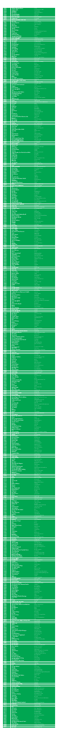| 3500                                         | <b>Al Bano/Romina Power</b>                                                                                                             | Felicita                                                                                                                                             |
|----------------------------------------------|-----------------------------------------------------------------------------------------------------------------------------------------|------------------------------------------------------------------------------------------------------------------------------------------------------|
| 3499                                         | <b>Stephen Stills</b>                                                                                                                   | Love The One You're With                                                                                                                             |
| 3498                                         | Whigfield                                                                                                                               | <b>Saturday Night</b>                                                                                                                                |
| 3497                                         | <b>Phil Collins</b>                                                                                                                     | A Groovy Kind Of Love                                                                                                                                |
| 3496                                         | Chumbawamba                                                                                                                             | Tubthumping                                                                                                                                          |
| 3495<br>3494<br>3493<br>3492<br>3491         | <b>Beverley Craven</b><br><b>Mott The Hoople</b><br><b>Goede Doel</b><br><b>Barbra Streisand/Celine Dion</b><br><b>Bee-Gees</b>         | Promise Me<br>All The Young Dudes<br>Nooduitgang<br>Tell Him<br>To Love Somebody<br><b>Baby Can I Hold You</b>                                       |
| 3490<br>3489<br>3488<br>3487<br>3486         | <b>Tracy Chapman</b><br><b>Roxette</b><br>Maywood<br><b>Duncan Browne</b><br><b>Sherbet</b>                                             | I Wish I Could Fly<br><b>Rio</b><br><b>Wild Places</b><br>Howzat                                                                                     |
| 3485                                         | <b>Hans De Booy</b>                                                                                                                     | Thuis Ben                                                                                                                                            |
| 3484                                         | <b>Krezip</b>                                                                                                                           | Everybody's Gotta Learn Sometime                                                                                                                     |
| 3483                                         | <b>Temptations</b>                                                                                                                      | Just My Imagination                                                                                                                                  |
| 3482                                         | <b>Hall And Oates</b>                                                                                                                   | Kiss On My List                                                                                                                                      |
| 3481                                         | <b>Terence Trent D'Arby</b>                                                                                                             | <b>Delicate</b>                                                                                                                                      |
| 3480                                         | <b>Something Happens</b>                                                                                                                | Parachute                                                                                                                                            |
| 3479                                         | <b>Mary Macgregor</b>                                                                                                                   | <b>Torn Between Two Lovers</b>                                                                                                                       |
| 3478                                         | <b>Bette Midler</b>                                                                                                                     | Wind Beneath My Wings                                                                                                                                |
| 3477                                         | <b>The Sweet</b>                                                                                                                        | The Ballroom Blitz                                                                                                                                   |
| 3476                                         | <b>Joe Cocker</b>                                                                                                                       | <b>Unchain My Heart</b>                                                                                                                              |
| 3475                                         | <b>Neil Diamond</b>                                                                                                                     | Girl, You'll Be A Woman Soon                                                                                                                         |
| 3474                                         | <b>Art Of Noise</b>                                                                                                                     | Moments In Love                                                                                                                                      |
| 3473                                         | <b>Laid Back</b>                                                                                                                        | Sunshine Reggae                                                                                                                                      |
| 3472                                         | <b>Otis Redding</b>                                                                                                                     | I've Got Dreams To Remember                                                                                                                          |
| 3471                                         | <b>Frans Bauer</b>                                                                                                                      | Heb Je Even Voor Mij                                                                                                                                 |
| 3470                                         | John Lennon                                                                                                                             | <b>Just Like Starting Over</b>                                                                                                                       |
| 3469                                         | <b>Ub 40</b>                                                                                                                            | The Way You Do The Things We Do                                                                                                                      |
| 3468                                         | <b>George Michael</b>                                                                                                                   | A Different Corner                                                                                                                                   |
| 3467                                         | <b>Billy Swan</b>                                                                                                                       | I Can Help                                                                                                                                           |
| 3466                                         | Rihanna                                                                                                                                 | Please Don't Stop The Music                                                                                                                          |
| 3465                                         | <b>Stray Cats</b>                                                                                                                       | <b>Rock This Town</b>                                                                                                                                |
| 3464                                         | <b>Aloe Blacc</b>                                                                                                                       | Wake Me Up                                                                                                                                           |
| 3463                                         | <b>Bananarama</b>                                                                                                                       | <b>Robert De Niro's Waiting</b>                                                                                                                      |
| 3462                                         | <b>Counting Crows</b>                                                                                                                   | Mr Jones                                                                                                                                             |
| 3461                                         | <b>Jean Knight</b>                                                                                                                      | Mr Big Stuff                                                                                                                                         |
| 3460                                         | <b>Simple Minds</b>                                                                                                                     | Let There Be Love                                                                                                                                    |
| 3459                                         | <b>Genesis/Phil Collins</b>                                                                                                             | Mama                                                                                                                                                 |
| 3458                                         | <b>Tom Petty</b>                                                                                                                        | Learning To Fly                                                                                                                                      |
| 3457                                         | <b>Survivor</b>                                                                                                                         | <b>Burning Heart</b>                                                                                                                                 |
| 3456                                         | <b>Commodores</b>                                                                                                                       | Three Times A Lady                                                                                                                                   |
| 3455                                         | <b>3 Doors Down</b>                                                                                                                     | <b>Here Without You</b>                                                                                                                              |
| 3454                                         | <b>Stevie Wonder</b>                                                                                                                    | <b>Part Time Lover</b>                                                                                                                               |
| 3453                                         | Abba                                                                                                                                    | Lay All Your Love On Me                                                                                                                              |
| 3452                                         | <b>lvy League</b>                                                                                                                       | <b>Tossing And Turning</b>                                                                                                                           |
| 3451                                         | <b>New Kids On The Block</b>                                                                                                            | Step By Step                                                                                                                                         |
| 3450                                         | Human League/Philip Oakey                                                                                                               | Human                                                                                                                                                |
| 3449                                         | <b>The Specials</b>                                                                                                                     | A Message To You Rudy                                                                                                                                |
| 3448                                         | <b>Alicia Keys</b>                                                                                                                      | A Woman's Worth                                                                                                                                      |
| 3447                                         | <b>Paul Simon/Art Garfunkel</b>                                                                                                         | Cecilia                                                                                                                                              |
| 3446                                         | <b>Enigma</b>                                                                                                                           | Return To Innocence                                                                                                                                  |
| 3445                                         | <b>Duran Duran</b>                                                                                                                      | <b>Notorious</b>                                                                                                                                     |
| 3444                                         | <b>Dusty Springfield</b>                                                                                                                | I Close My Eyes And Count To Ten                                                                                                                     |
| 3443                                         | Omc                                                                                                                                     | <b>How Bizarre</b>                                                                                                                                   |
| 3442                                         | <b>Bob Marley &amp; The Wailers</b>                                                                                                     | Three Little Birds                                                                                                                                   |
| 3441                                         | El Debarge/Debarge                                                                                                                      | Who's Johnny                                                                                                                                         |
| 3440                                         | <b>Gabriella Cilme</b>                                                                                                                  | Sanctuary                                                                                                                                            |
| 3439<br>3438<br>3437<br>3436<br>3435         | <b>Love Affair</b><br>Nena<br><b>Marco Borsato</b><br><b>Prince</b><br><b>Elton John</b>                                                | <b>Everlasting Love</b><br>Irgendwie Irgendwo Irgendwan<br>Vrij Zijn<br><b>Raspberry Baret</b><br>Sorry Seems To Be The Hardest Word<br><b>Waves</b> |
| 3434<br>3433<br>3432<br>3431<br>3430<br>3429 | <b>Mr Probz</b><br><b>Cameo</b><br>Madonna<br>Janis lan<br><b>Black</b><br><b>Belle Perez</b>                                           | Word Up<br>Dear Jessie<br>Fly Too High<br><b>Wonderful Life</b><br>El Mundo Bailando                                                                 |
| 3428                                         | <b>Xtc</b>                                                                                                                              | <b>Senses Working Overtim</b>                                                                                                                        |
| 3427                                         | <b>Double You</b>                                                                                                                       | Please Don't Go                                                                                                                                      |
| 3426                                         | <b>London Beat</b>                                                                                                                      | Failing In Love                                                                                                                                      |
| 3425                                         | John Travolta/Olivia Newton John                                                                                                        | Summernights                                                                                                                                         |
| 3424                                         | Room 5                                                                                                                                  | Make Luv                                                                                                                                             |
| 3423<br>3422<br>3421<br>3420<br>3419         | <b>Paul Simon</b><br><b>Boz Scaggs</b><br><b>Poison</b><br><b>Imperials</b><br><b>Wet Wet Wet</b>                                       | Late In The Evening<br>Lowdown<br>Every Rose Has Its Torn<br>Who's Gonna Love Me<br>Wishing I Was Lucky<br>The Power Of Love                         |
| 3418<br>3417<br>3416<br>3415<br>3414<br>3413 | <b>Celine Dion</b><br><b>Supremes</b><br>Jason Mraz/Colbie Caillat<br><b>The Kinks</b><br>U <sub>2</sub><br>Nick & Simon                | You Keep Me Hangin' On<br>Lucky<br><b>Waterloo Sunset</b><br><b>Desire</b><br><b>Vaarwel Verleden</b>                                                |
| 3412                                         | <b>Rolling Stones</b>                                                                                                                   | <b>Rock And A Hard Place</b>                                                                                                                         |
| 3411                                         | Fergie                                                                                                                                  | <b>Big Girls Don't Cry</b>                                                                                                                           |
| 3410                                         | <b>Gary Puckett/Union Gap</b>                                                                                                           | Young Girl                                                                                                                                           |
| 3409                                         | <b>Dexy'S Midnight Runners</b>                                                                                                          | Jackie Wilson Said                                                                                                                                   |
| 3408                                         | Lou Rawls/Diana Reeves                                                                                                                  | Fine Brown Frame                                                                                                                                     |
| 3407                                         | <b>Robbie Williams</b>                                                                                                                  | She's Madonna                                                                                                                                        |
| 3406                                         | <b>Bb &amp; Q Band</b>                                                                                                                  | <b>Starlette</b>                                                                                                                                     |
| 3405                                         | <b>Johnny Cash</b>                                                                                                                      | Ring Of Fire                                                                                                                                         |
| 3404                                         | <b>Melanie C.</b>                                                                                                                       | Never Be The Same Again                                                                                                                              |
| 3403                                         | <b>Simply Red</b>                                                                                                                       | A New Flame                                                                                                                                          |
| 3402                                         | <b>Fleetwood Mac</b>                                                                                                                    | Hold Me                                                                                                                                              |
| 3401                                         | <b>Santana</b>                                                                                                                          | Hold On                                                                                                                                              |
| 3400                                         | Sergio Mendes/Joe Pizzulo/Leza Miller                                                                                                   | Never Gonna Let You Go                                                                                                                               |
| 3399                                         | <b>Clubhouse</b>                                                                                                                        | Do It Again                                                                                                                                          |
| 3398                                         | <b>France Gall</b>                                                                                                                      | Ella, Elle L'A                                                                                                                                       |
| 3397                                         | <b>Don Mclean</b>                                                                                                                       | Vincent                                                                                                                                              |
| 3396                                         | <b>Tina Turner</b>                                                                                                                      | When The Heartache Is Over                                                                                                                           |
| 3395                                         | <b>The Cure</b>                                                                                                                         | In Between Days                                                                                                                                      |
| 3394                                         | <b>Billy Joel</b>                                                                                                                       | Honesty                                                                                                                                              |
| 3393                                         | Joe Jackson                                                                                                                             | Be My Number Two                                                                                                                                     |
| 3392<br>3391<br>3390<br>3389<br>3388         | <b>Whispers</b><br><b>Enya</b><br>Santa Esmeralda<br><b>Kane Gang</b><br><b>Avril Lavigne</b>                                           | And The Beat Goes On<br>Only Time<br>Don't Let Me Be Misunderstood<br>Closest Thing To Heaven<br>I'm With You<br>Cuba                                |
| 3387                                         | <b>Gibson Brothers</b>                                                                                                                  | The Miracle Of Love                                                                                                                                  |
| 3386                                         | <b>Eurythmics</b>                                                                                                                       | Fame                                                                                                                                                 |
| 3385                                         | <b>David Bowie</b>                                                                                                                      | <b>Unpretty</b>                                                                                                                                      |
| 3384                                         | <b>Tlc</b>                                                                                                                              | Saddle Up                                                                                                                                            |
| 3383                                         | <b>David Christie</b>                                                                                                                   | All My Life                                                                                                                                          |
| 3382<br>3381<br>3380<br>3379<br>3378         | Linda Ronstadt/Aaron Neville<br><b>Monkees</b><br><b>Jody Watley</b><br><b>Iggy Pop/Kate Pierson</b><br><b>Beatles</b>                  | Daydream Believer<br><b>Real Love</b><br>Candy<br><b>Strawberry Fields Forever</b>                                                                   |
| 3377<br>3376<br>3375<br>3374<br>3373         | <b>Bruce Willis/Temptations</b><br><b>Blof</b><br><b>Stars On 45</b><br><b>Dean Friedman</b><br><b>Rozalla</b>                          | <b>Under The Boardwalk</b><br>Wat Zou Je Doen<br>Volume lii<br>Lydia<br>Everybody's Free<br>Soul Cha Cha                                             |
| 3372<br>3371<br>3370<br>3369<br>3368<br>3367 | <b>Van Mccoy</b><br><b>Icehouse</b><br><b>John Mayer</b><br><b>Easybeats</b><br><b>Glass Tiger</b><br><b>Jose Feliciano</b>             | Hey Little Girl<br>Daughters<br>Friday On My Mind<br>Don't Forget Me When I'm Gone<br>Ponte A Contar                                                 |
| 3366                                         | <b>Crystal Gayle</b>                                                                                                                    | Don't It Make My Brown Eyes Blue                                                                                                                     |
| 3365                                         | <b>Deep Blue Something</b>                                                                                                              | <b>Breakfast At Tiffany's</b>                                                                                                                        |
| 3364                                         | <b>Martha Reeves/Vandellas</b>                                                                                                          | Nowhere To Run                                                                                                                                       |
| 3363                                         | <b>Dolly Dots</b>                                                                                                                       | All The Roses                                                                                                                                        |
| 3362                                         | <b>Steely Dan</b>                                                                                                                       | <b>Rikki Don't Lose That Number</b>                                                                                                                  |
| 3361                                         | <b>Crowded House</b>                                                                                                                    | Don't Dream It's Over                                                                                                                                |
| 3360                                         | Ann Lee                                                                                                                                 | 2 Times                                                                                                                                              |
| 3359                                         | Jimmy Cliff                                                                                                                             | <b>Wild World</b>                                                                                                                                    |
| 3358                                         | <b>Lori Spee</b>                                                                                                                        | <b>How Many Times</b>                                                                                                                                |
| 3357                                         | Marco Borsato/Andrea Bocelli                                                                                                            | <b>Because We Believe</b>                                                                                                                            |
| 3356<br>3355<br>3354<br>3353<br>3352         | <b>Bellamy Brothers</b><br>Pato Banton/Ub 40<br><b>Shakatak</b><br><b>Michael Jackson</b><br>Chicago                                    | If I Said You Have A Beautiful Body<br><b>Baby Come Back</b><br>Dark Is The Night<br>Scream<br><b>Baby What A Big Suprise</b><br>Sex On The Beach    |
| 3351                                         | <b>T-Spoon</b>                                                                                                                          | I Like Chopin                                                                                                                                        |
| 3350                                         | <b>Gazebo</b>                                                                                                                           | Ik Hou Zoveel Van Jou                                                                                                                                |
| 3349                                         | <b>Ruth Jacott</b>                                                                                                                      | Helene                                                                                                                                               |
| 3348                                         | <b>Julien Clerc</b>                                                                                                                     | Sweet Thing                                                                                                                                          |
| 3347                                         | <b>Mick Jagger</b>                                                                                                                      | Thinking Of You                                                                                                                                      |
| 3346<br>3345<br>3344<br>3343<br>3342<br>3341 | <b>Sister Sledge</b><br><b>Kid Creole &amp; The Coconuts</b><br>Texas<br><b>Alison Moyet</b><br><b>B B King</b><br><b>Michael Buble</b> | Stool Pigeon<br>Prayer For You<br><b>All Cried Out</b><br>Ain't Nobody Home<br>Everything                                                            |
| 3340                                         | <b>Eurythmics</b>                                                                                                                       | Would I Lie To You                                                                                                                                   |
| 3339                                         | <b>Vanessa Williams</b>                                                                                                                 | Colors Of The Wind                                                                                                                                   |
| 3338                                         | <b>Babys</b>                                                                                                                            | Isn't It Time                                                                                                                                        |
| 3337                                         | <b>Martika</b>                                                                                                                          | Love Thy Will Be Done                                                                                                                                |
| 3336                                         | <b>Alpha Beat</b>                                                                                                                       | <b>Fascination</b>                                                                                                                                   |
| 3335                                         | Queen                                                                                                                                   | I'm Going Slightly Mad                                                                                                                               |
| 3334                                         | <b>James Brown</b>                                                                                                                      | I Feel Good                                                                                                                                          |
| 3333                                         | <b>Dire Straits</b>                                                                                                                     | <b>Romeo And Juliet</b>                                                                                                                              |
| 3332                                         | <b>Guus Meeuwis</b>                                                                                                                     | Proosten                                                                                                                                             |
| 3331                                         | <b>Moses</b>                                                                                                                            | We Just                                                                                                                                              |
| 3330                                         | <b>Beats International</b>                                                                                                              | Dub Be Good To Me                                                                                                                                    |
| 3329                                         | <b>Stampeders</b>                                                                                                                       | Hit The Road Jack                                                                                                                                    |
| 3328                                         | <b>Whitney Houston</b>                                                                                                                  | All The Man That I Need                                                                                                                              |
| 3327                                         | <b>Rene Froger</b>                                                                                                                      | Winter In America                                                                                                                                    |
| 3326                                         | <b>Matthias Reim</b>                                                                                                                    | Verdammt, Ich Lieb' Dich                                                                                                                             |
| 3325                                         | <b>Tom Jones</b>                                                                                                                        | Delilah                                                                                                                                              |
| 3324                                         | <b>Bobby Caldwell</b>                                                                                                                   | Jamaica                                                                                                                                              |
| 3323                                         | <b>Mariah Carey</b>                                                                                                                     | Honey                                                                                                                                                |
| 3322                                         | Lovin' Spoonful                                                                                                                         | Daydream                                                                                                                                             |
| 3321                                         | <b>Re-Play</b>                                                                                                                          | Ala Day                                                                                                                                              |
| 3320                                         | <b>Talking Heads</b>                                                                                                                    | And She Was                                                                                                                                          |
| 3319                                         | <b>Take That</b>                                                                                                                        | <b>Babe</b>                                                                                                                                          |
| 3318                                         | <b>Elton John</b>                                                                                                                       | Song For Guy                                                                                                                                         |
| 3317                                         | <b>Culture Club</b>                                                                                                                     | It's A Miracle                                                                                                                                       |
| 3316                                         | <b>Ramses Shaffy</b>                                                                                                                    | Sammy                                                                                                                                                |
| 3315                                         | <b>Dawn Penn</b>                                                                                                                        | You Don't Love Me                                                                                                                                    |
| 3314                                         | Mel & Kim                                                                                                                               | <b>Showing Out</b>                                                                                                                                   |
| 3313                                         | <b>Isley Brothers</b>                                                                                                                   | Summer Breeze                                                                                                                                        |
| 3312                                         | <b>Shania Twain</b>                                                                                                                     | I'm Gonna Getcha Good                                                                                                                                |
| 3311                                         | <b>Freestylers</b>                                                                                                                      | Push Up                                                                                                                                              |
| 3310                                         | <b>Isaac Hayes</b>                                                                                                                      | Theme From "Shaft"                                                                                                                                   |
| 3309                                         | <b>Swing Out Sister</b>                                                                                                                 | Surrender                                                                                                                                            |
| 3308                                         | <b>Turtles</b>                                                                                                                          | <b>Happy Together</b>                                                                                                                                |
| 3307                                         | <b>Divine</b>                                                                                                                           | Shoot Your Shot                                                                                                                                      |
| 3306                                         | <b>George Michael</b>                                                                                                                   | Cowboys And Angels                                                                                                                                   |
| 3305                                         | <b>Aretha Franklin</b>                                                                                                                  | <b>Rock Steady</b>                                                                                                                                   |
| 3304                                         | <b>Roch Voisine</b>                                                                                                                     | On The Outside                                                                                                                                       |
| 3303                                         | Freddie Mercury/Montserrat Caballe                                                                                                      | <b>Barcelona</b>                                                                                                                                     |
| 3302                                         | MASH.                                                                                                                                   | Suicide Is Painless                                                                                                                                  |
| 3301                                         | <b>Trijntje Oosterhuis</b>                                                                                                              | <b>Knocked Out</b>                                                                                                                                   |
| 3300                                         | <b>Roxy Music</b>                                                                                                                       | Jealous Guy                                                                                                                                          |
| 3299                                         | <b>Aphrodite'S Child</b>                                                                                                                | <b>Rain And Tears</b>                                                                                                                                |
| 3298                                         | <b>Police</b>                                                                                                                           | Don't Stand So Close To Me                                                                                                                           |
| 3297                                         | <b>Dusty Springfield</b>                                                                                                                | I Just Don't Know What To Do With Myself                                                                                                             |
| 3296                                         | Who                                                                                                                                     | Who Are You                                                                                                                                          |
| 3295                                         | Keizer & De Munnik                                                                                                                      | Kijk Me Na                                                                                                                                           |
| 3294                                         | <b>Buoys</b>                                                                                                                            | Give Up Your Guns                                                                                                                                    |
| 3293                                         | <b>Ub 40</b>                                                                                                                            | Cherry Oh Baby                                                                                                                                       |
| 3292                                         | <b>Ronan Keating</b>                                                                                                                    | If Tomorrow Never Comes                                                                                                                              |
| 3291                                         | <b>Another Level</b>                                                                                                                    | Freak Me                                                                                                                                             |
| 3290                                         | <b>Bruce Springsteen</b>                                                                                                                | The River                                                                                                                                            |
| 3289                                         | <b>Colin Blunstone</b>                                                                                                                  | Andorra                                                                                                                                              |
| 3288                                         | <b>Rose Royce</b>                                                                                                                       | Is It Love You're After                                                                                                                              |
| 3287                                         | <b>Rick James</b>                                                                                                                       | Glow                                                                                                                                                 |
| 3286                                         | <b>Jennifer Lopez</b>                                                                                                                   | Love Don't Cost A Thing                                                                                                                              |
| 3285                                         | <b>Bobby Vinton</b>                                                                                                                     | Sealed With A Kiss                                                                                                                                   |
| 3284                                         | <b>Wes</b>                                                                                                                              | Alane                                                                                                                                                |
| 3283                                         | <b>Taste Of Honey</b>                                                                                                                   | <b>Boogie Oogie Oogie</b>                                                                                                                            |
| 3282                                         | <b>Beatles</b>                                                                                                                          | Paperback Writer                                                                                                                                     |
| 3281                                         | Jack Johnson                                                                                                                            | <b>Upside Down</b>                                                                                                                                   |
| 3280                                         | Al Jarreau                                                                                                                              | Roof Garden                                                                                                                                          |
| 3279                                         | Jigsaw                                                                                                                                  | Skyhigh                                                                                                                                              |
| 3278                                         | Abba                                                                                                                                    | Money Money Money                                                                                                                                    |
| 3277                                         | <b>Spiller</b>                                                                                                                          | Groove Jet                                                                                                                                           |
| 3276                                         | <b>Paul Mccartney/Michael Jackson</b>                                                                                                   | Say Say Say                                                                                                                                          |
| 3275                                         | <b>Earth Wind And Fire</b>                                                                                                              | That's The Way Of The World                                                                                                                          |
| 3274                                         | <b>Phil Collins</b>                                                                                                                     | <b>Take Me Home</b>                                                                                                                                  |
| 3273                                         | <b>The Knack</b>                                                                                                                        | My Sharona                                                                                                                                           |
| 3272                                         | Jacksons/Michael Jackson                                                                                                                | Show You The Way To Go                                                                                                                               |
| 3271                                         | <b>Fine Young Cannibals</b>                                                                                                             | Johnny Come Home                                                                                                                                     |
| 3270                                         | <b>Creedence Clearwater Revival</b>                                                                                                     | Proud Mary                                                                                                                                           |
| 3269                                         | <b>Brian Mcfadden</b>                                                                                                                   | Real To Me                                                                                                                                           |
| 3268                                         | <b>Rolling Stones</b>                                                                                                                   | Get Off Of My Cloud                                                                                                                                  |
| 3267                                         | <b>Janet Jackson</b>                                                                                                                    | When I Think Of You                                                                                                                                  |
| 3266                                         | <b>Bread</b>                                                                                                                            | Ιf                                                                                                                                                   |
| 3265                                         | <b>Eros Ramazzotti</b>                                                                                                                  | Un' Emozione Per Sempre                                                                                                                              |
| 3264                                         | <b>Spice Girls</b>                                                                                                                      | <b>Viva Forever</b>                                                                                                                                  |
| 3263                                         | Damaru/Jan Smit                                                                                                                         | Mi Rowsu (Tuintje In Mijn Hart)                                                                                                                      |
| 3262                                         | <b>R. E. M.</b>                                                                                                                         | <b>Everybody Hurts</b>                                                                                                                               |
| 3261                                         | <b>Peter Tosh</b>                                                                                                                       | Johnny B Good                                                                                                                                        |
| 3260                                         | <b>Emmylou Harris</b>                                                                                                                   | C'est La Vie                                                                                                                                         |
| 3259                                         | <b>Queen</b>                                                                                                                            | The Invisble Man                                                                                                                                     |
| 3258                                         | <b>Righteous Brothers</b>                                                                                                               | You'Ve Lost That Lovin' Feelin                                                                                                                       |
| 3257                                         | O. M. D.                                                                                                                                | Forever Live And Die                                                                                                                                 |
| 3256                                         | <b>Pink Floyd</b>                                                                                                                       | Money                                                                                                                                                |
| 3255                                         | <b>Ottawan</b>                                                                                                                          | Hands Up                                                                                                                                             |
| 3254                                         | <b>Maroon 5</b>                                                                                                                         | <b>Makes Me Wonder</b>                                                                                                                               |
| 3253                                         | <b>Tracey Ullman</b>                                                                                                                    | They Don't Know                                                                                                                                      |
| 3252                                         | <b>Donna Lewis</b>                                                                                                                      | I Love You Always Forever                                                                                                                            |
| 3251                                         | John Farnham                                                                                                                            | That's Freedom                                                                                                                                       |
| 3250                                         | <b>Four Tops</b>                                                                                                                        | Don't Walk Away                                                                                                                                      |
| 3249                                         | <b>Wilson Pickett</b>                                                                                                                   | In The Midnight Hour                                                                                                                                 |
| 3248                                         | <b>Manhattans</b>                                                                                                                       | Kiss And Say Goodbye                                                                                                                                 |
| 3247                                         | <b>Klein Orkest</b>                                                                                                                     | Laat Mij Maar Alleen                                                                                                                                 |
| 3246                                         | <b>Razorlight</b>                                                                                                                       | America                                                                                                                                              |
| 3245<br>3244<br>3243<br>3242<br>3241         | S.O.S. Band<br><b>Stevie Wonder</b><br><b>Outkast</b><br><b>Captain And Tennille</b><br><b>Boogie Box High</b><br><b>Doe Maar</b>       | Just Be Good To Me<br>I Wish<br>Hey Ya<br>Do That To Me One More Time<br>Jive Talkin'<br>Is Dit Alles                                                |
| 3240<br>3239<br>3238<br>3237<br>3236<br>3235 | <b>Keane</b><br><b>Centerfold</b><br><b>Johnny Logan</b><br><b>The Scene</b><br><b>Alanis Morissette</b>                                | This Is The Last Time<br>Dictator<br><b>What's Another Year</b><br>Blauw<br><b>Head Over Feat</b>                                                    |
| 3234                                         | <b>Elvis Presley</b>                                                                                                                    | All Shook Up                                                                                                                                         |
| 3233                                         | <b>Alan Parsons Project</b>                                                                                                             | Old And Wise                                                                                                                                         |
| 3232                                         | <b>Rita Coolidge</b>                                                                                                                    | We'Re All Alone                                                                                                                                      |
| 3231                                         | <b>Whitney Houston</b>                                                                                                                  | Saving All My Love For You                                                                                                                           |
| 3230                                         | <b>Kenny Rogers/The First Edition</b>                                                                                                   | Ruby, Don't Take Your Love To Town                                                                                                                   |
| 3229                                         | <b>Marco Borsato</b>                                                                                                                    | Stop De Tijd                                                                                                                                         |
| 3228                                         | <b>Godley And Creme</b>                                                                                                                 | An Englishman In New York                                                                                                                            |
| 3227                                         | <b>10 Cc</b>                                                                                                                            | The Wallstreet Shuffle                                                                                                                               |
| 3226                                         | <b>Caro Emerald</b>                                                                                                                     | <b>Back It Up</b>                                                                                                                                    |
| 3225                                         | <b>Paul Young</b>                                                                                                                       | Wherever I Lay My Hat (That's My Home)                                                                                                               |
| 3224                                         | <b>Beach Boys</b>                                                                                                                       | Sail On Sailor                                                                                                                                       |
| 3223                                         | <b>Joe Cocker</b>                                                                                                                       | You Are So Beautiful                                                                                                                                 |
| 3222                                         | <b>Bros</b>                                                                                                                             | I Owe You Nothing                                                                                                                                    |
| 3221                                         | <b>Starship</b>                                                                                                                         | Sara                                                                                                                                                 |
| 3220                                         | <b>Romeo</b>                                                                                                                            | Coming Home                                                                                                                                          |
| 3219                                         | Toto                                                                                                                                    | I Won't Hold You Back Now                                                                                                                            |
| 3218                                         | Jimi Hendrix                                                                                                                            | Hey Joe                                                                                                                                              |
| 3217                                         | Raydio/Ray Parker Jr.                                                                                                                   | You Can't Change That                                                                                                                                |
| 3216                                         | <b>Prince</b>                                                                                                                           | Cream                                                                                                                                                |
| 3215                                         | <b>Electric Light Orchestra</b>                                                                                                         | Hold On Tight                                                                                                                                        |
| 3214                                         | K.C./The Sunshine Band                                                                                                                  | Keep It Coming Love                                                                                                                                  |
| 3213                                         | <b>Paul De Leeuw</b>                                                                                                                    | 'K Heb Je Lief                                                                                                                                       |
| 3212                                         | <b>Beatles</b>                                                                                                                          | Penny Lane                                                                                                                                           |
| 3211                                         | <b>Blackbox</b>                                                                                                                         | Strike It Up                                                                                                                                         |
| 3210                                         | <b>Kool And The Gang</b>                                                                                                                | Cherish                                                                                                                                              |
| 3209                                         | <b>Mothers Finest</b>                                                                                                                   | Piece Of The Rock                                                                                                                                    |
| 3208                                         | <b>Buckshot Lefonque</b>                                                                                                                | <b>Another Day</b>                                                                                                                                   |
| 3207                                         | <b>Chic</b>                                                                                                                             | <b>Good Times</b>                                                                                                                                    |
| 3206                                         | <b>Nancy Sinatra</b>                                                                                                                    | These Boots Are Made For Walking                                                                                                                     |
| 3205                                         | <b>Enrique Iglesias</b>                                                                                                                 | Escape                                                                                                                                               |
| 3204                                         | Spargo                                                                                                                                  | One Night Affair                                                                                                                                     |
| 3203                                         | <b>Andre Hazes</b>                                                                                                                      | Ik Meen 't                                                                                                                                           |
| 3202                                         | <b>Donna Summer</b>                                                                                                                     | <b>Macarthur Park</b>                                                                                                                                |
| 3201                                         | <b>Bitty Mclean</b>                                                                                                                     | It Keeps Rainin'                                                                                                                                     |
| 3200                                         | <b>Bronski Beat</b>                                                                                                                     | <b>Smalltown Boy</b>                                                                                                                                 |
| 3199                                         | <b>Boney M</b>                                                                                                                          | <b>Rivers Of Babylon</b>                                                                                                                             |
| 3198                                         | <b>Patrick Swayze</b>                                                                                                                   | She's Like The Wind                                                                                                                                  |
| 3197                                         | <b>Sophie B Hawkins</b>                                                                                                                 | Right Beside You                                                                                                                                     |
| 3196                                         | <b>Supremes</b>                                                                                                                         | I Hear A Symphony                                                                                                                                    |
| 3195                                         | <b>Robin Thicke</b>                                                                                                                     | When I Get You Alone                                                                                                                                 |
| 3194                                         | Genesis/Phil Collins                                                                                                                    | I Can't Dance                                                                                                                                        |
| 3193                                         | <b>Loose Ends</b>                                                                                                                       | Hangin' On A String                                                                                                                                  |
| 3192                                         | <b>Fortunes</b>                                                                                                                         | Here It Comes Again                                                                                                                                  |
| 3191                                         | <b>Living In A Box</b>                                                                                                                  | Living In A Box                                                                                                                                      |
| 3190                                         | U <sub>2</sub>                                                                                                                          | <b>New Years Day</b>                                                                                                                                 |
| 3189                                         | Supertramp                                                                                                                              | Goodbye Stranger                                                                                                                                     |
| 3188                                         | <b>Marc Anthony</b>                                                                                                                     | I Need To Know                                                                                                                                       |
| 3187                                         | De Dijk                                                                                                                                 | Ik Kan Het Niet Alleen                                                                                                                               |
| 3186                                         | Abba                                                                                                                                    | <b>Happy New Year</b>                                                                                                                                |
| 3185                                         | <b>Bee-Gees</b>                                                                                                                         | You Should Be Dancing                                                                                                                                |
| 3184                                         | <b>Wee Papa Girl Rappers</b>                                                                                                            | <b>Wee Rule</b>                                                                                                                                      |
| 3183                                         | <b>Diana Ross</b>                                                                                                                       | <b>Chain Reaction</b>                                                                                                                                |
| 3182                                         | <b>Womack And Womack</b>                                                                                                                | Love Wars                                                                                                                                            |
| 3181                                         | <b>Maxine Nightingale</b>                                                                                                               | <b>Right Back Where We Started From</b>                                                                                                              |
| 3180                                         | <b>Time Bandits/Alides Hidding</b>                                                                                                      | <b>Endless Road</b>                                                                                                                                  |
| 3179                                         | <b>Billy Preston/Syreeta</b>                                                                                                            | With You I'm Born Again                                                                                                                              |
| 3178                                         | <b>Romantics</b>                                                                                                                        | Talking In Your Sleep                                                                                                                                |
| 3177                                         | <b>Michael Jackson</b>                                                                                                                  | Will You Be There                                                                                                                                    |
| 3176                                         | <b>Lou Bega</b>                                                                                                                         | Mambo No <sub>5</sub>                                                                                                                                |
| 3175                                         | <b>Sade</b>                                                                                                                             | Your Love Is King                                                                                                                                    |
| 3174                                         | <b>Hollies</b>                                                                                                                          | Blowin' In The Wind                                                                                                                                  |
| 3173                                         | <b>Pink</b>                                                                                                                             | Just Like A Pill                                                                                                                                     |
| 3172                                         | <b>Taja Sevelle</b>                                                                                                                     | Love Is Contagious                                                                                                                                   |
| 3171                                         | <b>Cher</b>                                                                                                                             | <b>Gypsies Tramps &amp; Thieves</b>                                                                                                                  |
| 3170                                         | <b>Robbie Williams</b>                                                                                                                  | Sexed Up                                                                                                                                             |
| 3169                                         | <b>Racoon</b>                                                                                                                           | Lucky All My Life                                                                                                                                    |
| 3168                                         | <b>Archies</b>                                                                                                                          | Sugar Sugar                                                                                                                                          |
| 3167                                         | <b>Amy Macdonald</b>                                                                                                                    | This Is The Life                                                                                                                                     |
| 3166                                         | <b>Richard Harris</b>                                                                                                                   | <b>Macarthur Park</b>                                                                                                                                |
| 3165                                         | Madonna                                                                                                                                 | Hung Up                                                                                                                                              |
| 3164                                         | <b>Lois Lane</b>                                                                                                                        | l Wanna Be                                                                                                                                           |
| 3163                                         | <b>Quincy Jones</b>                                                                                                                     | Ai No Corrida                                                                                                                                        |
| 3162                                         | <b>Robyn</b>                                                                                                                            | Show Me Love                                                                                                                                         |
| 3161                                         | <b>Kelly Family</b>                                                                                                                     | David's Song                                                                                                                                         |
| 3160                                         | <b>Wax</b>                                                                                                                              | Right Between The Eyes                                                                                                                               |
| 3159                                         | Aha                                                                                                                                     | <b>Stay On These Roads</b>                                                                                                                           |
| 3158                                         | <b>Los Bravos</b>                                                                                                                       | <b>Black Is Black</b>                                                                                                                                |
| 3157                                         | <b>Barry Manilow</b>                                                                                                                    | I Write The Songs                                                                                                                                    |
| 3156                                         | <b>William Pitt</b>                                                                                                                     | City Lights                                                                                                                                          |
| 3155                                         | <b>Travis</b>                                                                                                                           | Why Does It Always Rain On Me                                                                                                                        |
| 3154                                         | <b>Neil Diamond</b>                                                                                                                     | Long Fellow Serenade                                                                                                                                 |
| 3153                                         | Jaki Graham                                                                                                                             | <b>Breaking Away</b>                                                                                                                                 |
| 3152                                         | <b>Sandra Van Nieuwland</b>                                                                                                             | More                                                                                                                                                 |
| 3151                                         | <b>Box Tops</b>                                                                                                                         | The Letter                                                                                                                                           |
| 3150                                         | <b>Seals And Crofts</b>                                                                                                                 | <b>Diamond Girl</b>                                                                                                                                  |
| 3149                                         | <b>Dr Alban</b>                                                                                                                         | Sing Hallelujah!                                                                                                                                     |
| 3148                                         | <b>Blof</b>                                                                                                                             | Harder Dan Ik Hebben Kan                                                                                                                             |
| 3147                                         | <b>Fugees</b>                                                                                                                           | No Woman No Cry                                                                                                                                      |
| 3146                                         | <b>Billy Ocean</b>                                                                                                                      | Loverboy                                                                                                                                             |
| 3145                                         | <b>America</b>                                                                                                                          | Sister Golden Hair                                                                                                                                   |
| 3144                                         | <b>Alexander O'Neal</b>                                                                                                                 | Criticize                                                                                                                                            |
| 3143                                         | <b>Nits</b>                                                                                                                             | <b>Nescio</b>                                                                                                                                        |
| 3142                                         | <b>All Saints</b>                                                                                                                       | <b>Pure Shores</b>                                                                                                                                   |
| 3141                                         | <b>Edgar Winter Group</b>                                                                                                               | <b>Free Ride</b>                                                                                                                                     |
| 3140                                         | <b>Stranglers</b>                                                                                                                       | Always The Sun                                                                                                                                       |
| 3139                                         | <b>Darts</b>                                                                                                                            | It's Raining                                                                                                                                         |
| 3138                                         | Aqua                                                                                                                                    | <b>Turn Back Time</b>                                                                                                                                |
| 3137                                         | <b>Temptations</b>                                                                                                                      | Power                                                                                                                                                |
| 3136                                         | Galaxy                                                                                                                                  | What Do I Do                                                                                                                                         |
| 3135                                         | <b>Redbone</b>                                                                                                                          | Come And Get Your Love                                                                                                                               |
| 3134                                         | <b>Peter Andre</b>                                                                                                                      | <b>Mysterious Girl</b>                                                                                                                               |
| 3133                                         | <b>Destiny'S Child</b>                                                                                                                  | Independent Woman Part 1                                                                                                                             |
| 3132                                         | <b>Mike Batt</b>                                                                                                                        | Lady Of The Dawn                                                                                                                                     |
| 3131                                         | <b>Anastacia</b>                                                                                                                        | <b>Sick And Tired</b>                                                                                                                                |
| 3130                                         | <b>Timmy T.</b>                                                                                                                         | One More Try                                                                                                                                         |
| 3129<br>3128<br>3127                         | <b>Sharon Redd</b><br><b>Lenny Kravitz</b><br><b>Paul Simon</b><br>Acda & De Munnik                                                     | In The Name Of Love<br>Always On The Run<br>Mother And Child Reunion<br>Dan Leef Ik Toch Nog Een Keer<br>Go West                                     |
| 3126<br>3125<br>3124                         | <b>Village People</b><br>Split Enz/Tim Finn/Crowded House                                                                               | Message To My Girl                                                                                                                                   |

| Wang Chung<br><b>Robert Cray Band</b>                          |
|----------------------------------------------------------------|
| <b>Ready For The World</b><br>Marco Borsato & Ali B            |
| <b>Kenny Loggins</b><br><b>Mindbenders</b>                     |
| <b>Vulcano</b><br><b>Dolly Parton</b>                          |
| <b>Roger Sanchez</b>                                           |
| <b>Paul Mccartney/Wings</b><br><b>The Night People</b>         |
| <b>Jan Hammer</b><br><b>Madness</b>                            |
| <b>Walker Brothers</b><br><b>Backstreet Boys</b>               |
| <b>Jenny Burton</b><br>Kelis                                   |
| <b>Shalamar</b><br><b>Christina Aguilera</b>                   |
| <b>Lionel Richie</b><br><b>Depeche Mode</b>                    |
| <b>Boudewijn De Groot</b><br>Suzi Quatro/Chris Norman/Smokie   |
| <b>Ilse Delange</b>                                            |
| <b>Juice Newton</b><br><b>Freda Payne</b>                      |
| <b>Gavin Degraw</b><br><b>Mink Deville</b>                     |
| <b>Talk Talk</b><br><b>Gipsy Kings</b>                         |
| John Denver/Placido Domingo<br>Lucie Silvas                    |
| U <sub>2</sub><br><b>G'Race</b>                                |
| <b>Sixpence Non The Richer</b><br>Olivia Newton John           |
| Gloria Estefan/Miami Sound Machine<br><b>Mecano</b>            |
| <b>David Bowie</b><br><b>Bon Jovi</b>                          |
| <b>Corrs</b><br><b>Stephen Bishop</b>                          |
| <b>Des'Ree</b><br><b>Tears For Fears</b>                       |
| <b>Cream</b>                                                   |
| <b>Viola Wills</b><br><b>Simply Red</b>                        |
| Peter Tosh/Mick Jagger/Rolling Stones<br><b>Duffy</b>          |
| <b>Jimmy Nail</b><br><b>Milow</b>                              |
| <b>Power Station</b><br><b>Beatles</b>                         |
| <b>Duran Duran</b><br>Jason Donovan/Kylie Minogue              |
| <b>Sheila E</b><br><b>Crowded House</b>                        |
| <b>Jimmy James &amp; Vagabonds</b><br>J. Geils Band            |
| $Ub$ 40<br><b>Golden Earring</b>                               |
| <b>Peter Allen</b><br><b>The Beloved</b>                       |
| <b>Rolling Stones</b><br><b>Ben Saunders</b>                   |
| <b>Annie Lennox</b><br><b>Europe</b>                           |
| <b>Spinners</b><br><b>Sandie Shaw</b>                          |
| <b>Sting</b><br>Leo Sayer                                      |
| <b>Kelly Clarkson</b>                                          |
| <b>Ace/Paul Carrack</b><br>Jan Smit & Gerard Joling            |
| Lisa Stansfield<br>Harold Melvin/Blue Notes                    |
| <b>Abba</b><br><b>Moloko</b>                                   |
| <b>Ivan</b><br><b>George Michael</b>                           |
| Change<br><b>Celine Dion</b>                                   |
| <b>Manfred Mann</b><br><b>Meatloaf</b>                         |
| <b>Maria Mckee</b><br><b>Bob Marley &amp; The Wailers</b>      |
| <b>Fleetwood Mac</b><br><b>Boston</b>                          |
| <b>Hollies</b><br>Madonna                                      |
| <b>Wallace Collection</b>                                      |
| <b>Surfers/Gerard Joling</b><br><b>Mariah Carey</b>            |
| <b>Whitney Houston</b><br><b>Elton John</b>                    |
| <b>Guus Meeuwis</b><br><b>Chris Andrews</b>                    |
| <b>Prince</b><br><b>C&amp;C Music Factory</b>                  |
| <b>Supremes</b><br><b>Chris Isaak</b>                          |
| <b>Barry White</b><br><b>Phil Collins</b>                      |
| Lady Gaga<br>Shola Ama/Randy Crawford                          |
| <b>Madonna</b><br><b>Buddy Holly</b>                           |
| <b>Abc</b><br><b>Will Smith</b>                                |
| <b>Dire Straits</b><br><b>Billy Joel</b>                       |
| <b>Michel Telo</b>                                             |
| <b>Kaoma</b><br><b>Chris Rea</b>                               |
| <b>Snow Patrol</b>                                             |
| <b>Rob De Nijs</b>                                             |
| Jocelyn Brown<br><b>Clint Eastwood/General Saint</b>           |
| <b>Joss Stone</b><br><b>Jackie Wilson</b><br><b>Dolly Dots</b> |

| Everybody Have Fun Tonight<br>Don't Be Afraid Of The Dark                |
|--------------------------------------------------------------------------|
| Oh Sheila<br>Wat Zou Je Doen                                             |
| Footloose<br>A Groovy Kind Of Love                                       |
| 'N Beetje Van Dit<br>You Are                                             |
| <b>Another Chance</b>                                                    |
| Let 'Em In<br>Again<br>Miami Vice Thme                                   |
| <b>Embarrassment</b>                                                     |
| The Sun Ain't Gonna Shine Anymore<br>Show Me The Meaning Of Being Lonely |
| <b>Bad Habits</b><br><b>Trick Me</b>                                     |
| A Night To Remember<br>Genie In A Bottle                                 |
| Do It To Me<br>People Are People                                         |
| Land Van Maas En Waal<br>Stumblin' In                                    |
| The Lonely One<br>Queen Of Hearts                                        |
| <b>Band Of Gold</b><br><b>Follow Through</b>                             |
| <b>Demasiado Corazon</b><br>Dum Dum Girl                                 |
| Volare<br>Perhaps Love                                                   |
| What You're Made Of<br>The Unforgettable Fire                            |
| Manhattan<br><b>Kiss Me</b>                                              |
| Sam<br>Rhythm Is Gonna Get You                                           |
| Hijo De La Luna<br><b>Heroes</b>                                         |
| Always                                                                   |
| Summer Sunshine<br>On And On                                             |
| <b>You Gotta Be</b><br>Advice For The Young At Heart                     |
| <b>White Room</b><br>If You Could Read My Mind                           |
| Fake<br>Don't Look Back                                                  |
| <b>Warwick Avenue</b><br>Ain't No Doubt                                  |
| Ayo Technology<br>Some Like It Hot                                       |
| Eight Days A Week<br>Save A Prayer                                       |
| <b>Especially For You</b><br>The Belle Of St Mark                        |
| Better Be Home Soon<br>Now Is The Time                                   |
| Centerfold<br>If It Happens Again                                        |
| Sound Of The Screaming Day<br>I Go To Rio                                |
| <b>Sweet Harmony</b><br>It's All Over Now                                |
| If You Don't Know Me By Now<br>No More "I Love Yous"                     |
| The Final Countdown<br>I'll Be Around                                    |
| Always Something There To Remind Me<br>If I Ever Lose My Faith In You    |
| You Make Me Feel Like Dancing<br>Miss Independent                        |
| How Long<br>Echte Vrienden                                               |
| People Hold On<br>The Love I Lost                                        |
| Chiquitita<br><b>Sing It Back</b>                                        |
| Baila<br><b>Heal The Pain</b>                                            |
| Change Of Heart<br>A New Day Has Come                                    |
| Ha Ha Said The Clown<br>You Took The Words Right Out Of My Mouth         |
| Show Me Heaven<br><b>Buffalo Soldier</b>                                 |
| Gypsy<br>Don't Look Back                                                 |
| <b>Bus Stop</b><br>Like A Prayer                                         |
| Daydream<br>Windsurfin'                                                  |
| <b>Without You</b><br>How Will I Know                                    |
| Goodbye Yellow Brick Road<br>Ik Wil Nog Niet Naar Huis                   |
| Yesterday Man<br><b>Diamonds And Pearls</b>                              |
| <b>Gonna Make You Sweat</b><br>Come See About Me                         |
| <b>Blue Hotel</b>                                                        |
| I'm Gonna Love You Just A Little Bit More<br>Everyday                    |
| Pokerface<br>You Might Need Somebody                                     |
| <b>Beautiful Stranger</b><br>That'Ll Be The Day                          |
| The Look Of Love<br>Gettin' Jiggy With It                                |
| Private Investigations<br>Goodnight Saigon                               |
| Ai Se Eu Te Pego<br>Dancando Lambada                                     |
| <u>I Can Hear Your Heart Beat</u><br><b>Chasing Cars</b>                 |
| Zonder Jou<br>Somebody Else's Guy                                        |
| <b>Stop That Train</b><br><b>Right To Be Wrong</b>                       |
| I Get The Sweetest Feeling<br>Love Me Just A Little Bit More             |
|                                                                          |

Spirits (Having Flown)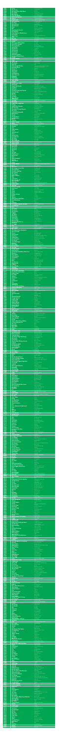| ķ                                                                                                            |
|--------------------------------------------------------------------------------------------------------------|
|                                                                                                              |
|                                                                                                              |
| l                                                                                                            |
| $\overline{\mathbf{1}}$<br>ķ                                                                                 |
|                                                                                                              |
| S<br>ï                                                                                                       |
| ł<br>$\zeta$                                                                                                 |
| $\overline{8}$                                                                                               |
| ć                                                                                                            |
| $\overline{\mathcal{E}}$<br>ļ<br>$\overline{\overline{\bf 8}}$ $\overline{\bf 1}$<br>ł                       |
| $\overline{\mathcal{G}}$                                                                                     |
|                                                                                                              |
| ļ                                                                                                            |
| j<br>i                                                                                                       |
|                                                                                                              |
|                                                                                                              |
| Ī<br>Ç                                                                                                       |
|                                                                                                              |
|                                                                                                              |
| j                                                                                                            |
| $\frac{2}{2}$<br>$\frac{6}{6}$<br>$\frac{1}{65}$                                                             |
| $\overline{\mathbf{z}}$<br>$\overline{2}$                                                                    |
|                                                                                                              |
| $\frac{1}{2}$                                                                                                |
|                                                                                                              |
| $\frac{61}{61}$<br>59<br>58<br>58<br>$\frac{1}{2}$                                                           |
| $\frac{2}{2}$ $\frac{2}{2}$                                                                                  |
| $\frac{25}{5}$<br>$\frac{1}{5}$                                                                              |
| į                                                                                                            |
| $\frac{1}{2}$                                                                                                |
|                                                                                                              |
| $\overline{\phantom{a}}$<br>$\frac{1}{2}$                                                                    |
| $\frac{1}{50}$<br>$\frac{50}{48}$<br>$\frac{48}{9}$                                                          |
| $\frac{1}{2}$                                                                                                |
| 0<br>945<br>944                                                                                              |
| $\overline{2}$<br>ļ                                                                                          |
| <br> <br> C<br>È                                                                                             |
| $\overline{a}$<br>$\overline{3}$                                                                             |
| ļ                                                                                                            |
| $\frac{37}{35}$                                                                                              |
| $\frac{2}{2}$                                                                                                |
| ŷ                                                                                                            |
|                                                                                                              |
| 134<br>133<br>132<br>131<br>130<br>130<br>$\frac{1}{2}$<br>$\frac{2}{2}$                                     |
|                                                                                                              |
| $rac{7}{6}$<br>$\overline{2}$<br>j                                                                           |
| $\frac{2}{2}$<br>$\frac{7}{6}$                                                                               |
| Ō.                                                                                                           |
| $\frac{92}{92}$<br>$\frac{92}{92}$<br>$\frac{92}{92}$<br>$\frac{92}{92}$<br>$\frac{92}{92}$<br>$\frac{2}{2}$ |
| $\frac{2}{2}$                                                                                                |
|                                                                                                              |
| $\frac{2}{2}$                                                                                                |
| $\frac{7}{9}$ $\frac{9}{9}$ $\frac{9}{9}$                                                                    |
| $\frac{2}{2}$                                                                                                |
| j                                                                                                            |
| $\frac{1}{9}$<br>$\frac{9}{9}$<br>$\frac{9}{9}$<br>2                                                         |
| $\frac{1}{2}$                                                                                                |
|                                                                                                              |
| $\frac{2}{2}$<br>$\frac{7}{9}$                                                                               |
| 07                                                                                                           |
| Ò                                                                                                            |
| $\frac{2}{2}$<br>l                                                                                           |
| 25<br>$\frac{2}{2}$                                                                                          |
| $\overline{\mathbf{I}}$<br>00<br>00<br>90<br>1                                                               |
| 29<br>28<br>28                                                                                               |
|                                                                                                              |
| 289<br>289<br>289<br>289<br>289                                                                              |
| $\overline{25}$<br>$\frac{1}{4}$                                                                             |
|                                                                                                              |
|                                                                                                              |
|                                                                                                              |
| <u>2873<br/>2892<br/>2891<br/>2889<br/>2888</u>                                                              |
|                                                                                                              |
| <u>288<br/>288<br/>288<br/>288<br/>288</u>                                                                   |
|                                                                                                              |
| $\overline{2}$                                                                                               |
| <b>ANDER</b><br>$\overline{181}$                                                                             |
| 2880<br>2879                                                                                                 |
| $\frac{1}{2}$                                                                                                |

**Pussycat** 

| <b>Elvis Presley</b><br><b>Bob Seger/Silver Bullet Band</b>   |
|---------------------------------------------------------------|
| <b>Bette Midler</b>                                           |
| <b>Alex Harvey</b>                                            |
| <b>Bruce Springsteen</b>                                      |
| <b>Earth Wind And Fire</b><br>Level 42                        |
| <b>Andrew Gold</b>                                            |
| Paul Hardcastle                                               |
| <b>Doe Maar</b>                                               |
| <b>Patrice Rushen</b>                                         |
| <b>Gloria Gaynor</b><br><b>Alizee</b>                         |
| <b>Blof</b>                                                   |
| <b>Everything But The Girl</b>                                |
| Dan Hartman                                                   |
| Luther Vandross/Mariah Carey                                  |
| Donna Allen<br>Taylor Dayne                                   |
| Titiyo                                                        |
| lan Dury                                                      |
| <b>Goede Doel</b>                                             |
| Aswad<br>Mick Jagger/Rolling Stones                           |
| <b>Tina Turner; Trammps</b>                                   |
| <b>Chesney Hawkes</b>                                         |
| Petula Clark                                                  |
| <b>Third World</b><br><b>Polle Eduard</b>                     |
| <b>Don Johnson</b>                                            |
| Greyhound                                                     |
| Marshall And Ha <u>in</u>                                     |
| Dj Jazzy Jeff/Fresh Prince                                    |
| Gordon<br>Michael Jackson                                     |
| <b>Nicole</b>                                                 |
| Close li You                                                  |
| <b>Elkie Brooks</b>                                           |
| Pearl Jam<br><b>Gladys Knight/The Pips</b>                    |
| <b>Danny De Munck</b>                                         |
| Heaven 17                                                     |
| Little Steven                                                 |
| <b>Simply Red</b>                                             |
| Scott Mckenzie<br><b>James Morrison</b>                       |
| <b>Pretenders</b>                                             |
| <b>Haddaway</b>                                               |
| <b>S.O.S. Band</b>                                            |
| <u>Janet Jackson</u>                                          |
| <b>Bluebells</b><br><b>Terence Trent D'Arby</b>               |
| Matt Bianco                                                   |
| Captain And Tennille                                          |
| <b>Eurythmics</b>                                             |
| <b>Belle Stars</b>                                            |
| <b>Creedence Clearwater Revival</b><br><b>Stevie Wonder</b>   |
| Westlife                                                      |
| <b>Billy Joel</b>                                             |
| Lou Rawls                                                     |
| Marc Almond                                                   |
|                                                               |
| <b>Cliff Richard</b>                                          |
| <b>The Script</b><br><b>Rose Royce</b>                        |
| <b>Craig David/Sting/Police</b>                               |
| Chicago                                                       |
| Smokie/Chris Norman                                           |
| <b>Hot Chocolate</b><br>Passengers/Luciano Pavarotti          |
| <b>The Sweet</b>                                              |
| Timbaland/Onerepublic                                         |
| <b>Rolling Stones</b>                                         |
| <b>Mccoys</b>                                                 |
| George Benson<br><b>Doobie Brothers</b>                       |
| <b>Roxette</b>                                                |
| <b>Supremes</b>                                               |
| <b>Shakin' Stevens</b>                                        |
| <b>Beatles</b><br>Toni Braxton                                |
| <b>Clouseau</b>                                               |
| <b>Train</b>                                                  |
| Frank Sinatra                                                 |
| <b>Stretch</b>                                                |
| <b>Johnny Bristol</b><br>Prince                               |
| <b>Pointer Sisters</b>                                        |
| <b>Guus Meeuwis</b>                                           |
| <b>Phil Collins</b>                                           |
| <b>Boz Scaggs</b><br>Vanessa Paradis                          |
| <b>Ronan Keating</b>                                          |
| Robbie Neville                                                |
| <b>New Order</b>                                              |
| <b>Beach Boys</b>                                             |
| <b>Katy Perry</b><br><mark>Ryan Paris</mark>                  |
| Abba                                                          |
| <b>The Kinks</b>                                              |
| <b>Billy Ray Cyrus</b>                                        |
| <b>Rod Stewart</b><br>Meck                                    |
| <b>Albert Hammond</b>                                         |
| <b>Santana</b>                                                |
| Silver Pozzoli                                                |
| Loreen                                                        |
| Aretha Franklin<br>Ac/D <u>c</u>                              |
| <b>Spice Girls</b>                                            |
| <b>Boy George/Culture Club</b>                                |
| Marco Borsato                                                 |
| <b>Mental As Anything</b><br>Tom Cochran                      |
| <b>Ohio Players</b>                                           |
| <b>Robbie Williams</b>                                        |
| Who                                                           |
| <b>Carly Simon</b>                                            |
| <b>Niels Geusebroek</b><br>Vaya Con Dios<br><b>Diana Ross</b> |

| <u> 2878</u><br>2877<br>2876                                                                                                               | <b>Soulsister</b><br><b>Gilbert O'Sullivan</b>                                                                               |
|--------------------------------------------------------------------------------------------------------------------------------------------|------------------------------------------------------------------------------------------------------------------------------|
| <u>2875</u><br>2874<br><u>2873</u>                                                                                                         | <b>Deep Forrest</b><br><b>Police</b><br>Coolio<br><b>Keane</b>                                                               |
| 2872<br>2871<br>2870<br>2869                                                                                                               | <b>Brothers Johnson</b><br><b>Beatles</b><br><b>Shakira</b>                                                                  |
| <u>2868</u>                                                                                                                                | <b>Rolling Stones/Bob Dylan</b>                                                                                              |
| <u> 2867</u>                                                                                                                               | <b>Buster Pointdexter</b>                                                                                                    |
| 2866                                                                                                                                       | Cars                                                                                                                         |
| 2865                                                                                                                                       | La Bouche                                                                                                                    |
| 2864                                                                                                                                       | <b>Neil Diamond/Barbra Streisand</b>                                                                                         |
| 2863                                                                                                                                       | Pet Shop Boys                                                                                                                |
| <u> 2862</u>                                                                                                                               | <b>Darts</b>                                                                                                                 |
| 2861                                                                                                                                       | <b>Ruth Jacott</b>                                                                                                           |
| 2860                                                                                                                                       | <b>Amy Grant</b>                                                                                                             |
| 2859                                                                                                                                       | <b>Amii Stewart</b>                                                                                                          |
| <u>2858</u>                                                                                                                                | <b>Coldplay</b>                                                                                                              |
| 2857                                                                                                                                       | <b>Jeff Wayne</b>                                                                                                            |
| 2856                                                                                                                                       | <b>Billy Ocean</b>                                                                                                           |
| <u>2855</u>                                                                                                                                | Petula Clark                                                                                                                 |
| 2854                                                                                                                                       | <b>James Brown</b>                                                                                                           |
| <u> 2853 </u>                                                                                                                              | <b>Roberta Flack</b>                                                                                                         |
| 2852                                                                                                                                       | <b>Queen/Freddy Mercury</b>                                                                                                  |
| 2851                                                                                                                                       | <b>Mocedades</b>                                                                                                             |
| 2850                                                                                                                                       | <b>Air Supply</b>                                                                                                            |
| 2849                                                                                                                                       | <b>Foxy</b>                                                                                                                  |
| 2848<br>2847<br>2846<br><u>2845</u>                                                                                                        | <b>Style Council</b><br><b>Ray Charles</b><br>Nils Lofgren/Bruce Springsteen<br><b>Wim Sonneveld</b>                         |
| 2844                                                                                                                                       | Genesis                                                                                                                      |
| 2843                                                                                                                                       | <b>Nick &amp; Simon</b>                                                                                                      |
| 2842                                                                                                                                       | <b>Kate Bush</b>                                                                                                             |
| 2841                                                                                                                                       | <b>Looking Glass</b>                                                                                                         |
| <u>2840</u>                                                                                                                                | <b>Donna Summer</b>                                                                                                          |
| 2839                                                                                                                                       | <b>Cat Stevens</b>                                                                                                           |
| 2838                                                                                                                                       | <b>Steve Miller Band</b>                                                                                                     |
| 2837                                                                                                                                       | Madonna                                                                                                                      |
| 2836                                                                                                                                       | <b>Rene Froger</b>                                                                                                           |
| <u> 2835</u>                                                                                                                               | <b>Usa For Africa</b>                                                                                                        |
| 2834                                                                                                                                       | <b>Four Tops</b>                                                                                                             |
| 2833                                                                                                                                       | <b>George Michael</b>                                                                                                        |
| 2832                                                                                                                                       | <b>Earth And Fire</b>                                                                                                        |
| 2831                                                                                                                                       | Narada Michael Walden/Patti Austin                                                                                           |
| 2830                                                                                                                                       | <b>Maroon 5</b>                                                                                                              |
| 2829                                                                                                                                       | <b>Patsy Galant</b>                                                                                                          |
| <u> 2828</u>                                                                                                                               | <b>Tanita Tikaram</b>                                                                                                        |
| 2827                                                                                                                                       | <b>Commodores</b>                                                                                                            |
| 2826                                                                                                                                       | <b>Stories</b>                                                                                                               |
| <u> 2825</u>                                                                                                                               | Mika                                                                                                                         |
| 2824                                                                                                                                       | <b>Van Morrison</b>                                                                                                          |
| <u> 2823</u>                                                                                                                               | <b>Nathalie Cole</b>                                                                                                         |
| 2822                                                                                                                                       | <b>S-Express</b>                                                                                                             |
| 2821                                                                                                                                       | <b>Harry Nilsson</b>                                                                                                         |
| 2820                                                                                                                                       | <b>Laid Back</b>                                                                                                             |
| 2819                                                                                                                                       | <b>Bananarama</b>                                                                                                            |
| 2818                                                                                                                                       | John Cougar Mellenkamp                                                                                                       |
| 2817                                                                                                                                       | David Grant/Jaki Graham                                                                                                      |
| 2816                                                                                                                                       | Umberto Tozzi                                                                                                                |
| 2815                                                                                                                                       | <b>Kim Wilde</b>                                                                                                             |
| 2814                                                                                                                                       | <b>Jacksons</b>                                                                                                              |
| <u>2813</u>                                                                                                                                | <b>Tim Hardin</b>                                                                                                            |
| <u>2812</u>                                                                                                                                | O'Jays                                                                                                                       |
| 2811                                                                                                                                       | <b>Technotronic</b>                                                                                                          |
| 2810                                                                                                                                       | <b>Cats</b>                                                                                                                  |
| 2809                                                                                                                                       | <b>Imagination</b>                                                                                                           |
| <u> 2808</u>                                                                                                                               | <b>John Legend</b>                                                                                                           |
| 2807                                                                                                                                       | <b>Emerson Lake And Palmer</b>                                                                                               |
| 2806                                                                                                                                       | <b>Norman Greenbaum</b>                                                                                                      |
| <u>2805</u>                                                                                                                                | <b>Vanilla Ice</b>                                                                                                           |
| 2804                                                                                                                                       | <b>Bad Company</b>                                                                                                           |
| <u> 2803</u>                                                                                                                               | Ashanti                                                                                                                      |
| <u> 2802</u>                                                                                                                               | <b>Plastic Bertrand</b>                                                                                                      |
| 2801                                                                                                                                       | <b>Tlc</b>                                                                                                                   |
| 2800                                                                                                                                       | <b>Amanda Marshall</b>                                                                                                       |
| 2799                                                                                                                                       | <b>Gruppo Sportivo</b>                                                                                                       |
| <u>2798</u>                                                                                                                                | <b>Tenpole Tudor</b>                                                                                                         |
| 2797                                                                                                                                       | <b>London Beat</b>                                                                                                           |
| 2796                                                                                                                                       | <b>Modern Talking</b>                                                                                                        |
| 2795                                                                                                                                       | <b>John Sebastian</b>                                                                                                        |
| 2794                                                                                                                                       | <b>Enrique Iglesias</b>                                                                                                      |
| <u>2793</u>                                                                                                                                | <b>Zouk Machine</b>                                                                                                          |
| 2792                                                                                                                                       | <b>Baccara</b>                                                                                                               |
| 2791                                                                                                                                       | <b>Bomb The Bass</b>                                                                                                         |
| 2790                                                                                                                                       | <b>Joe Jackson</b>                                                                                                           |
| 2789                                                                                                                                       | <b>T. Rex</b>                                                                                                                |
| <u>2788</u>                                                                                                                                | Sneaker                                                                                                                      |
| <u> 2787</u>                                                                                                                               | <b>Don Henley</b>                                                                                                            |
| 2786                                                                                                                                       | <b>Colonel Abrams</b>                                                                                                        |
| 2785                                                                                                                                       | <b>Stevie Wonder</b>                                                                                                         |
| 2784                                                                                                                                       | De Dijk                                                                                                                      |
| 2783                                                                                                                                       | <b>Stealers Wheel/Gerry Rafferty</b>                                                                                         |
| 2782                                                                                                                                       | <b>Curiosity Killed The Cat</b>                                                                                              |
| 2781                                                                                                                                       | <b>Elton John</b>                                                                                                            |
| 2780                                                                                                                                       | <b>Barry Ryan</b>                                                                                                            |
| 277 <u>9</u>                                                                                                                               | Soul Ii Soul                                                                                                                 |
| 2778                                                                                                                                       | <b>Monkees</b>                                                                                                               |
| 2777                                                                                                                                       | <b>Judds</b>                                                                                                                 |
| 2776                                                                                                                                       | <b>Christopher Cross</b>                                                                                                     |
| <b>2775</b>                                                                                                                                | <b>Whitney Houston</b>                                                                                                       |
| <u> 2774</u>                                                                                                                               | <b>Randy Crawford</b>                                                                                                        |
| 2773                                                                                                                                       | <b>Jimmy Bo Horne</b>                                                                                                        |
| 2772                                                                                                                                       | Jane Birkin/Serge Gainsbourg                                                                                                 |
| 2771                                                                                                                                       | <b>Bob Sinclar</b>                                                                                                           |
| 2770                                                                                                                                       | <b>Carole King</b>                                                                                                           |
| 2769<br>2768<br>2767                                                                                                                       | <b>Mariah Carey/Whitney Houston</b><br><b>Fischer Z</b><br><b>Buffalo Springfield</b><br><b>Eros Ramazzotti</b>              |
| 2766<br>2765<br>2764<br>2763                                                                                                               | <b>Justin Timberlake</b><br><b>Paul Carrack</b><br><b>Ub 40</b>                                                              |
| 2762                                                                                                                                       | <b>Eric Clapton</b>                                                                                                          |
| $\overline{2761}$                                                                                                                          | <b>Elvis Presley</b>                                                                                                         |
| 2760                                                                                                                                       | <b>Dayton</b>                                                                                                                |
| 2759                                                                                                                                       | Pink                                                                                                                         |
| 2758                                                                                                                                       | <b>Barclay James Harvest</b>                                                                                                 |
| 2757                                                                                                                                       | <b>Culture Club/Boy George</b>                                                                                               |
| 2756                                                                                                                                       | <b>Dionne Warwick</b>                                                                                                        |
| <u>2755</u>                                                                                                                                | <b>Artists United Against Apartheid</b>                                                                                      |
| 2754                                                                                                                                       | Liquid Gold                                                                                                                  |
| 2753                                                                                                                                       | Level 42                                                                                                                     |
| 2752                                                                                                                                       | <b>Electric Light Orchestra</b>                                                                                              |
| 2751                                                                                                                                       | <b>Celine Dion</b>                                                                                                           |
| 2750                                                                                                                                       | <b>Gene Pitney</b>                                                                                                           |
| 2749                                                                                                                                       | <b>Caro Emerald</b>                                                                                                          |
| <b>2748</b>                                                                                                                                | <b>Andre Hazes</b>                                                                                                           |
| 2747                                                                                                                                       | <b>Bread</b>                                                                                                                 |
| 2746                                                                                                                                       | Wham                                                                                                                         |
| 2745                                                                                                                                       | <b>Anita Meyer</b>                                                                                                           |
| 2744                                                                                                                                       | <b>Goede Doel</b>                                                                                                            |
| 2743                                                                                                                                       | <b>Michael Jackson</b>                                                                                                       |
| 2742                                                                                                                                       | <b>Talking Heads</b>                                                                                                         |
| $\overline{2741}$                                                                                                                          | <b>Alessi Brothers</b>                                                                                                       |
| 2740                                                                                                                                       | <b>Anastacia</b>                                                                                                             |
| 2739                                                                                                                                       | <b>Plastic Ono Band/John Lennon</b>                                                                                          |
| 2738                                                                                                                                       | <b>The Cranberries</b>                                                                                                       |
| 2737                                                                                                                                       | <b>Doe Maar</b>                                                                                                              |
| 2736                                                                                                                                       | <b>David Soul</b>                                                                                                            |
| 2735                                                                                                                                       | U <sub>2</sub>                                                                                                               |
| 2734                                                                                                                                       | <b>Trammps</b>                                                                                                               |
| 2733                                                                                                                                       | <b>Bryan Adams</b>                                                                                                           |
| 2732                                                                                                                                       | <b>Paul Simon</b>                                                                                                            |
| 2731                                                                                                                                       | <b>Des'Ree</b>                                                                                                               |
| 2730                                                                                                                                       | <b>Sister Sledge</b>                                                                                                         |
| 2729                                                                                                                                       | Mr Big                                                                                                                       |
| 2728                                                                                                                                       | <b>Fleetwood Mac</b>                                                                                                         |
| 2727                                                                                                                                       | <b>Scissor Sisters</b>                                                                                                       |
| 2726                                                                                                                                       | <b>Trijntje Oosterhuis</b>                                                                                                   |
| <u> 2725</u>                                                                                                                               | <b>Inxs</b>                                                                                                                  |
| 2724                                                                                                                                       | Dennis Edwards/Siedah Garrett                                                                                                |
| 2723                                                                                                                                       | Texas                                                                                                                        |
| 2722                                                                                                                                       | Cher                                                                                                                         |
| 2721                                                                                                                                       | <b>Splitsing</b>                                                                                                             |
| <u> 2720</u>                                                                                                                               | <b>Beatles</b>                                                                                                               |
| 2719                                                                                                                                       | <b>Guus Meeuwis</b>                                                                                                          |
| 2718                                                                                                                                       | <b>Spandau Ballet</b>                                                                                                        |
| 2717                                                                                                                                       | <b>Elvis Costello</b>                                                                                                        |
| 2716                                                                                                                                       | Yazz                                                                                                                         |
| <u> 2715 </u>                                                                                                                              | <b>Kane</b>                                                                                                                  |
| 2714                                                                                                                                       | <b>Cock Robin</b>                                                                                                            |
| 2713                                                                                                                                       | <b>Alicia Keys</b>                                                                                                           |
| 2712                                                                                                                                       | <b>Contours</b>                                                                                                              |
| 2711                                                                                                                                       | <b>Aerosmith</b>                                                                                                             |
| <u> 2710</u>                                                                                                                               | <b>Forecast</b>                                                                                                              |
| 2709                                                                                                                                       | <b>Tears For Fears</b>                                                                                                       |
| 2708                                                                                                                                       | <b>Huey Lewis/The News</b>                                                                                                   |
| 2707                                                                                                                                       | <b>Bee-Gees</b>                                                                                                              |
| 2706                                                                                                                                       | <b>Rick Astley</b>                                                                                                           |
| <u> 2705 </u>                                                                                                                              | Abba                                                                                                                         |
| 2704                                                                                                                                       | <b>Little River Band</b>                                                                                                     |
| 2703                                                                                                                                       | <b>Average White Band</b>                                                                                                    |
| 2702                                                                                                                                       | <b>Ilse Delange</b>                                                                                                          |
| 2701                                                                                                                                       | <b>Duran Duran</b>                                                                                                           |
| <u>2700</u>                                                                                                                                | <b>Gibson Brothers</b>                                                                                                       |
| 2699                                                                                                                                       | Zucchero Fornaciari                                                                                                          |
| <u>2698</u>                                                                                                                                | <b>Elvis Presley</b>                                                                                                         |
| 2697                                                                                                                                       | <b>Pointer Sisters</b>                                                                                                       |
| 2696                                                                                                                                       | <b>The Quick</b>                                                                                                             |
| <u> 2695</u>                                                                                                                               | George Michael                                                                                                               |
| <u>2694</u>                                                                                                                                | <b>Johnny Hates Jazz</b>                                                                                                     |
| <u> 2693</u>                                                                                                                               | <b>Sweet Sensation</b>                                                                                                       |
| <u>2692</u>                                                                                                                                | Lionel Richie                                                                                                                |
| 2691                                                                                                                                       | <b>Climie Fisher</b>                                                                                                         |
| 2690                                                                                                                                       | <b>Rockwell</b><br><b>Bon Jovi</b>                                                                                           |
| 2689<br><u> 2688</u><br>2687                                                                                                               | Madonna<br><b>Beatles</b>                                                                                                    |
| 2686                                                                                                                                       | F.R. David                                                                                                                   |
| <u> 2685</u>                                                                                                                               | <b>Lime</b>                                                                                                                  |
| 2684                                                                                                                                       | <b>Earth Wind And Fire</b>                                                                                                   |
| 2683                                                                                                                                       | <b>New Kids On The Block</b>                                                                                                 |
| <u> 2682</u>                                                                                                                               | Kenny Loggins/Stevie Nicks                                                                                                   |
| 2681                                                                                                                                       | <b>Sade</b>                                                                                                                  |
| <u> 2680</u>                                                                                                                               | <b>Ronettes</b>                                                                                                              |
| <u> 2679</u>                                                                                                                               | <b>Kim Wilde</b>                                                                                                             |
| <u>2678</u>                                                                                                                                | Laura Branigan                                                                                                               |
| 2677                                                                                                                                       | <b>Boris Gardner</b>                                                                                                         |
| 2676                                                                                                                                       | <b>Tom Jones</b>                                                                                                             |
| <u>2675</u>                                                                                                                                | Vesta Williams                                                                                                               |
| <u> 2674</u>                                                                                                                               | Pilot                                                                                                                        |
| <u>2673</u>                                                                                                                                | Ricky Martin/Christina Aguilera                                                                                              |
| <u> 2672</u>                                                                                                                               | <b>Paul Mccartney</b>                                                                                                        |
| 2671                                                                                                                                       | <b>Bertolf</b>                                                                                                               |
| <u> 2670</u>                                                                                                                               | <b>Leo Sayer</b>                                                                                                             |
| 2669                                                                                                                                       | <b>The Cover Girls</b>                                                                                                       |
| <u>2668</u>                                                                                                                                | <b>Marco Borsato</b>                                                                                                         |
| 2667                                                                                                                                       | <b>Charlie Rich</b>                                                                                                          |
| 2666                                                                                                                                       | <b>Beyonce</b>                                                                                                               |
| <u> 2665</u>                                                                                                                               | <b>Toto</b>                                                                                                                  |
| 2664                                                                                                                                       | <b>Banderas</b>                                                                                                              |
| 2663                                                                                                                                       | <b>Inner Circle</b>                                                                                                          |
| 2662                                                                                                                                       | <b>Pat Benatar</b>                                                                                                           |
| 2661                                                                                                                                       | <b>Elli Medeiros</b>                                                                                                         |
| <u> 2660</u>                                                                                                                               | <b>Jan Smit</b>                                                                                                              |
| 2659                                                                                                                                       | <b>Bruce Springsteen</b>                                                                                                     |
| 2658                                                                                                                                       | <b>Spargo</b>                                                                                                                |
| 2657                                                                                                                                       | <b>Crystal Fighters</b>                                                                                                      |
| 2656                                                                                                                                       | Sandra                                                                                                                       |
| <u> 2655 </u>                                                                                                                              | <b>Gerard Joling</b>                                                                                                         |
| 2654                                                                                                                                       | <b>Total Touch</b>                                                                                                           |
| 2653                                                                                                                                       | <b>Destiny'S Child</b>                                                                                                       |
| 2652                                                                                                                                       | <b>Al Green</b>                                                                                                              |
| 2651                                                                                                                                       | <b>Five Star</b>                                                                                                             |
| <u>2650</u>                                                                                                                                | Lois Lane                                                                                                                    |
| 2649                                                                                                                                       | <b>Lynsey De Paul</b>                                                                                                        |
| 2648                                                                                                                                       | <b>Anouk</b>                                                                                                                 |
| 2647                                                                                                                                       | <b>Roberto Jacketti/The Scooters</b>                                                                                         |
| 2646                                                                                                                                       | Visage                                                                                                                       |
| <u> 2645 </u>                                                                                                                              | <b>Scatman John</b>                                                                                                          |
| 2644                                                                                                                                       | <b>Michael Buble</b>                                                                                                         |
| 2643                                                                                                                                       | <b>Barbra Streisand/Bryan Adams</b>                                                                                          |
| 2642                                                                                                                                       | <b>Wet Wet Wet</b>                                                                                                           |
| 2641                                                                                                                                       | <b>Backstreet Boys</b>                                                                                                       |
| <u>2640</u>                                                                                                                                | <b>Styx</b>                                                                                                                  |
| 2639                                                                                                                                       | <b>Kool And The Gang</b>                                                                                                     |
| 2638                                                                                                                                       | <b>Shannon</b>                                                                                                               |
| 2637                                                                                                                                       | <b>Robbie Williams</b>                                                                                                       |
| 2636                                                                                                                                       | <b>Blof &amp; Nielson</b>                                                                                                    |
| <u> 2635</u>                                                                                                                               | Janet Jackson                                                                                                                |
| <u> 2634</u>                                                                                                                               | <b>Elbow Bones &amp; The Racketeers</b>                                                                                      |
| 2633                                                                                                                                       | <b>No Mercy</b>                                                                                                              |
| 2632                                                                                                                                       | Propaganda                                                                                                                   |
| 2631                                                                                                                                       | <b>Stardust</b>                                                                                                              |
| 2630                                                                                                                                       | <b>Dusty Springfield/Pet Shop Boys</b>                                                                                       |
| <u> 2629</u>                                                                                                                               | The Fray                                                                                                                     |
| <u>2628</u>                                                                                                                                | <b>Edwyn Collins</b>                                                                                                         |
| 2627                                                                                                                                       | <b>Rolling Stones</b>                                                                                                        |
| 2626                                                                                                                                       | <b>Roger Daltrey</b>                                                                                                         |
| <u> 2625 </u>                                                                                                                              | <b>Krezip</b>                                                                                                                |
| 2624                                                                                                                                       | <b>Status Quo</b>                                                                                                            |
| <u>2623</u>                                                                                                                                | <b>Roger</b>                                                                                                                 |
| 2622                                                                                                                                       | <b>Dolly Dots</b>                                                                                                            |
| 2621                                                                                                                                       | <b>Mark Morrison</b>                                                                                                         |
| <u> 2620 </u>                                                                                                                              | Las Ketchup                                                                                                                  |
| 2619                                                                                                                                       | <b>Barry Biggs</b>                                                                                                           |
| <u>2618</u>                                                                                                                                | <b>Prince</b>                                                                                                                |
| 2617                                                                                                                                       | <b>Terence Trent D'Arby</b>                                                                                                  |
| 2616                                                                                                                                       | <b>Mungo Jerry</b>                                                                                                           |
| <u> 2615</u>                                                                                                                               | <b>Jimmy Cliff</b>                                                                                                           |
| 2614                                                                                                                                       | <b>Dire Straits</b>                                                                                                          |
|                                                                                                                                            | <b>Circus Custers</b><br><b>Take That/Bee Gees</b><br><b>Gloria Estefan</b><br>O. M. D.                                      |
|                                                                                                                                            | <b>Queen</b><br><b>Nick Lowe</b><br><b>Guns N' Roses</b><br><b>K.C./The Sunshine Band</b>                                    |
| <u>2613</u><br>2612<br>2611<br><u> 2610</u><br>2609<br><u>2608</u><br>2607<br>2606<br><u> 2605</u><br><u> 2604</u><br><u> 2603</u><br>2602 | <b>Jacksons</b><br><b>Darlene Love</b><br>Sasha<br>Joe Cocker                                                                |
| 2601<br><u>2600</u><br>2599                                                                                                                | <b>Alanis Morissette</b><br><b>Righeira</b><br><b>Barry White/Quincy Jones</b><br><b>Nina Simone</b>                         |
| 2598<br>2597                                                                                                                               | Michael Jackson                                                                                                              |
| 2596                                                                                                                                       | Mud                                                                                                                          |
| <u> 2595 </u>                                                                                                                              | <b>Dinand Woesthoff</b>                                                                                                      |
| 2594                                                                                                                                       | <b>Rodney Franklin</b>                                                                                                       |
| 2593                                                                                                                                       | <b>Bobby Brown</b>                                                                                                           |
| 2592                                                                                                                                       | <b>Bryan Adams</b>                                                                                                           |
| 2591                                                                                                                                       | <b>Crosby Stills Nash &amp; Young</b>                                                                                        |
| 2590                                                                                                                                       | <b>Neil Diamond</b>                                                                                                          |
| 2589                                                                                                                                       | <b>Phil Collins</b>                                                                                                          |
| 2588                                                                                                                                       | <b>Ultravox</b>                                                                                                              |
| 2587                                                                                                                                       | <b>Melanie</b>                                                                                                               |
| 2586                                                                                                                                       | <b>Elvis Presley</b>                                                                                                         |
| <u> 2585</u>                                                                                                                               | <b>Time Bandits</b>                                                                                                          |
|                                                                                                                                            | Aha<br><b>Steely Dan</b><br><b>Eurythmics</b><br>Jade                                                                        |
| 2584<br>2583<br>2582<br>2581<br><u> 2580</u><br>2579<br>2578<br><u> 2577 </u>                                                              | <b>Manau</b><br><b>Beach Boys</b><br>Flash And The Pan<br><b>Rod Stewart</b>                                                 |
|                                                                                                                                            | <b>Sutherland Bros. &amp; Quiver</b><br><b>Vanvelzen</b><br><b>Dana</b><br><b>Rene Froger</b>                                |
|                                                                                                                                            | <b>Marco Borsato</b><br><b>Sheila E</b><br>10 Cc<br><b>Bob Marley &amp; The Wailers</b>                                      |
| 2576<br><u> 2575 </u><br>2574<br>2573<br><u> 2572 </u><br>2571<br><u> 2570 </u><br>2569<br>2568<br>2567<br>2566<br><u>2565</u>             | U 2 & Bb King<br><b>Boney M</b><br><b>Shakin' Stevens</b><br><b>Eagles</b>                                                   |
| 2564                                                                                                                                       | <b>Foreigner</b>                                                                                                             |
| 2563                                                                                                                                       | <b>Ray Parker</b>                                                                                                            |
| 2562                                                                                                                                       | <b>Billy Preston/Syreeta</b>                                                                                                 |
| 2561                                                                                                                                       | <b>Toni Braxton</b>                                                                                                          |
| 2560                                                                                                                                       | <b>Cyndi Lauper</b>                                                                                                          |
| 2559                                                                                                                                       | Rob De Nijs/Bobby Goldsboro                                                                                                  |
| 2558                                                                                                                                       | <b>Beatles</b>                                                                                                               |
| 2557                                                                                                                                       | <b>Cliff Richard</b>                                                                                                         |
|                                                                                                                                            | <b>En Vogue</b><br><b>Chic</b><br><b>Corrs</b><br><b>Billy Joel</b>                                                          |
| 2556<br><u> 2555 </u><br>2554<br>2553<br><u> 2552</u><br>2551<br><u> 2550</u><br>$\overline{2549}$                                         | <b>Ace Of Base</b><br>Sonny/Cher<br>O-Zone<br>Joe Jackson                                                                    |
| 2548                                                                                                                                       | <b>Donna Summer</b>                                                                                                          |
| 2547                                                                                                                                       | Abba                                                                                                                         |
| 2546                                                                                                                                       | <b>Warren G</b>                                                                                                              |
| <u>2545</u>                                                                                                                                | Supertramp                                                                                                                   |
| 2544                                                                                                                                       | <b>Shakatak</b>                                                                                                              |
| 2543                                                                                                                                       | <b>Supremes</b>                                                                                                              |
| 2542                                                                                                                                       | <b>Raffaella Carra</b>                                                                                                       |
| 2541                                                                                                                                       | <b>Belinda Carlisle</b>                                                                                                      |
|                                                                                                                                            | Sam The Sham & The Pharaohs<br><b>Whitney Houston</b><br>Maroon 5 & Rihanna<br><b>Don Mclean</b><br><b>Sophie B. Hawkins</b> |
|                                                                                                                                            | <b>Pretenders</b><br>Madonna<br><b>Ike Turner/Tina Turner</b><br><b>Lisa Stansfield</b>                                      |
| 2540<br>2539<br>2538<br>2537<br>2536<br><u> 2535 </u><br>2534<br>2533<br>2532<br>2531<br><u> 2530</u><br>$\overline{2529}$<br>2528         | <b>Charles Aznavour</b><br>Michael Mcdonald<br><b>Diana Ross</b><br><b>Beatles</b>                                           |
|                                                                                                                                            | <b>Three Degrees</b><br>Level 42<br><b>Jim Croce</b><br><b>Bucks Fizz</b>                                                    |
| 2527<br>2526<br><u> 2525</u><br>2524<br>2523<br>2522<br>2521<br><u>2520</u>                                                                | <b>Bette Midler</b><br>Gloria Estefan/Miami Sound Machine<br><b>Shocking Blue</b><br><b>Stevie Wonder</b>                    |
| 2519                                                                                                                                       | <b>Lyn Collins</b>                                                                                                           |
| 2518                                                                                                                                       | <b>Tracy Chapman</b>                                                                                                         |
| 2517                                                                                                                                       | <b>Roxette</b>                                                                                                               |
| 2516                                                                                                                                       | <b>Richard Marx</b>                                                                                                          |
| <u> 2515 </u>                                                                                                                              | <b>Chris Montez</b>                                                                                                          |
| 2514                                                                                                                                       | <b>Tina Turner</b>                                                                                                           |
| 2513                                                                                                                                       | <b>Kylie Minogue</b>                                                                                                         |
| 2512                                                                                                                                       | Mai Tai                                                                                                                      |
| 2511                                                                                                                                       | <b>The Time</b>                                                                                                              |
| <u>2510</u>                                                                                                                                | <b>Will Smiith</b>                                                                                                           |
| 2509                                                                                                                                       | <b>Lesley Gore</b>                                                                                                           |
| 2508                                                                                                                                       | <b>Racoon</b>                                                                                                                |
| 2507                                                                                                                                       | <b>Shake</b>                                                                                                                 |
| 2506                                                                                                                                       | <b>Crowded House</b>                                                                                                         |

Friends Will Be Friend Love Me Tender **Mainstreet** To Deserve You To Make My Life Beautiful Streets Of Philadelphia After The Love Has Gone Something About You Thank You For Being A Friend Don't Waste My Time Een Nacht Alleen Forget Me Nots Reach Out I'll Be There Moi Lolita Aanzoek Zonder Ringen Each And Everyone I Can Dream About You Endless Love Serious Can't Get Enough Of Your Love Come Along Sex & Drugs & Rock & Roll Hou Van Mij Next To You Let's Work Disco Inferno The One And Only Don't Sleep In The Subway Try Jah Love Ik Wil Jou Tell It Like It Is Black And White Dancing In The City Summertime Blijf Je Vannacht Bij Mij In The Closet Ein Bisschen Frieden Baby Don't Go Pearl's A Singer **Alive** Come Back And Finish What You Started Ik Voel Me Zo Verdomd Alleen **Temptation Bitter Fruit** It's Only Love San Francisco Nothing Ever Hurt Like You Back On The Chaingang What Is Love The Finest That's The Way Love Goes Young At Heart Sign Your Name Half A Minute Love Will Keep Us Together Sisters Are Doin' It For Themselfs Sign Of The Times Long As I Can See Signed, Sealed, Delivered I'm Yours You Raise Me Up We Didn't Start The Fire Lady Love Tears Run Rings **Congratulations** The Man Who Can't Be Moved Rr Express Rise And Fall Saturday In The Park I'll Meet You At Midnight It Started With A Kiss Miss Sarajevo Love Is Like Oxygen Apologize Let's Spend The Night Together Hang On Sloopy On Broadway China Grove It Must Have Been Love **Reflections** You Drive Me Crazy Got To Get You Into My Life Un-Break My Heart Laat Me Nu Toch Niet Alleen Drive By My Way Why Did You Do It Hang On In There Baby I Would Die For You Should I Do It t Dondert En 't Bliksemt I Wish It Would Rain Down Lido Shuffle Joe Le Taxi Life Is A Rollercoaster C'est La Vie Blue Monday Darlin' I Kissed A Girl Dolce Vita Eagle You Really Got Me Achy Breaky Heart I Don't Want To Talk About It Thunder In My Heart I'm A Train Oye Como Va Around My Dreams Euphoria (You Make Me Feel Like) A Natural Woman Whole Lotta Rosie Goodbye Everything I Own De Bestemming Live It Up Life Is A Highway Fire You Know Me My Generation It's Hard To Be Tender Take Your Time Girl Nah Neh Nah When You Tell Me That You Love Me What Do You Want From Me The Way To Your Heart Alone Again Sweet Lullaby De Do Do Do De Da Da Da Gangsta's Paradise Somewhere Only We Know Stomp<sup>1</sup> I Feel Fine La Tortura Like A Rolling Stone Hot,Hot,Hot Drive Be My Lover You Don't Bring Me Flowers Go West Come Back My Love Vrede Baby Baby Knock On Wood The Scientist Eve Of The War There'Ll Be Sad Songs Down Town Living In America Feel Like Makin' Love I Want To Break Free Eres Tu All Out Of Love Get Off My Ever Changing Moods Hit The Road Jack Valentine Het Dorp Jesus He Knows Me Een Nieuwe Dag The Man With The Child In His Eyes Brandy (You're A Fine Girl) This Time I Know It's For Real Banapple Gas Fly Like An Eagle Causing A Commotion Why Are You So Beautiful We Are The World Standing In The Shadows Of Love You Have Been Loved Weekend Gimme, Gimme, Gimme Sunday Morning From New York To LA Twist In My Sobriety Sail On Brother Louie Big Girl You Are Beautiful Bright Side Of The Road Miss You Like Crazy Theme From S-Express Everybody's Talkin' Bakerman I Heard A Rumour Jack & Diane Mated Gloria Never Trust A Stranger Lovely One How Can We Hang On To A Dream For The Love Of Money Pump Up The Jam Let's Dance Body Talk Ordinary People Lucky Man Spirit In The Sky Ice Ice Baby Can't Get Enough Of Your Love Foolish Ca Plane Pour Moi **Waterfalls** Beautiful Goodbye Hey Girl **Wunderbar** 9:00 AM Atlantis Is Calling Welcome Back Tired Of Being Sorry Maldon Yes Sir, I Can Boogie Winter In July The Harder They Come Hot Love More Than Just The Two Of Us The End Of The Innocence Trapped You Are The Sunshine Of My Life Mag Het Licht Uit Late Again Name And No Daniel Eloise Get A Life I'm A Believer Why Not Me Ride Like The Wind My Love Is Your Love One Day I'll Fly Away Let Me Be Your Lover Je T'Aime Moi Non Plus Love Generation It's Too Late When You Believe The Worker For What It's Worth Ma Che Bello Questo Amore Rock Your Body **Dedicated** Homely Girl Forever Man Return To Sender The Sound Of Music Raise Your Glass **Titles** Time (Clock Of The Heart) Do You Know The Way To San Jose Sun City Dance Yourself Dizzy Love Games All Over The World It's All Coming Back Something's Gotten Hold Of My Heart Tangled Up 'N Vriend Baby I'm A Want You Wham Rap The Alternative Way Ik Dans Dus Ik Besta Remember The Time Once In A Lifetime Oh Lori I'm Outta Love Give Peace A Chance Ode To My Family 32 Jaar (Sinds 1 Dag Of 2) Don't Give Up On Us The Sweetest Thing (Lights Went Out) New York City I'm Ready Me And Julio Down By The Schoolyard Feel So High Frankie Romeo Rhiannon I Don't Feel Like Dancin' De Zee New Sensation Don't Look Any Further Inner Smile Love And Understanding Wind En Zeilen Eleanor Rigby Dat Komt Door Jou I'll Fly For You She The Only Way Is Up No Surrender Just Around The Corner You Don't Know My Name Do You Love Me Amazing Happy Days Break It Down Again Heart And Soul **Massachusettes** My Arms Keep Missing You The Winner Takes It All Forever Blue Pick Up The Pieces Winter Of Love Is There Something I Should Know? Non-Stop Dance Il Volo Are You Lonesome Tonight-(Lachversie) He's So Shy The Rhythm Of The Jungle Amazing I Don't Wanna Be A Hero Sad Sweet Dreamer Say You, Say Me This Is Me Somebody's Watching Me In These Arms Open Your Heart Drive My Car Words Your Love Sing A Song **Tonight** Whenever I Call You Friend Love Is Stronger Than Pride Be My Baby Cambodia Self Control I Want To Wake Up With You Green Green Grass Of Home Once Bitten Twice Shy Magic Nobody Wants To Be Lonely Pipes Of Peace Another Day Thunder In My Heart Wishing On A Star Ik Leef Niet Meer Voor Jou The Most Beautiful Girl Crazy In Love Stop Loving You This Is Your Life Rock With You We Belong A Bailar Calypso Vrienden Voor Het Leven Brilliant Disguise Head Up To The Sky Plage (I'll Never Be) Maria Magdalena Shangri-La Love Me In Slowmotion No No No Tired Of Being Alone Rain Or Shine My Best Friend Sugar Me Nobody's Wife I Save The Day Fade To Grey **Scatman** Feeling Good I Finally Found Someone Sweet Little Mystery I'll Never Break Your Heart Sing For The Day Hi De Hi Hi De Ho Let The Music Play Morning Sun Mannenharten Again A Night In New York When I Die P-Machinery The Music Sounds Better With You Nothing Has Been Proved How To Save A Life A Girl Like You You Can't Always Get What You Want Say It Ain't So Joe Sweet Goodbyes You're In The Army Now I Wanna Be Your Man Don't Give Up Return Of The Mack The Ketchup Song Love Come Down Money Don't Matter 2Night Rain In The Summertime Wonderful World, Beautiful People Brothers In Arms Monica How Deep Is Your Love Christmas Through Your Eyes Talking Loud And Clear Who Wants To Live Forever I Love The Sound Of Breaking Glass Sweet Child O'Mine Please Don't Go State Of Shock All Alone On Christmas If You Believe Feelin' Allright Ironic No Tengo Dinero Secret Garden Ain't Got No, I Got Life PYT Tiger Feet Dreamer The Groove My Prerogative Christmas Time Our House If You Know What I Mean One More Night Dancing With Tears In My Eyes Beautiful People Jailhouse Rock Live It Up Cry Wolf Do It Again Love Is A Stranger Don't Walk Away La Tribu De Dana Sloop John B Waiting For A Train Tonight I'm Yours Arms Of Mary Burn It's Gonna Be A Cold Christmas Woman Woman Zij The Glamorous Life Feel The Love Waiting In Vain When Love Comes To Town Daddy Cool Oh Julie Tequila Sunrise Cold As Ice **Ghostbusters** It Will Come In Time Another Sad Love Song Girls Just Wanna Have Fun Het Werd Zomer Yellow Submarine Power To All Our Friends Hold On You Are Beautiful **Breathless** She's Always A Woman Wheel Of Fortune Little Man Dragostea Din Tei Steppin' Out Could It Be Magic Does Your Mother Know Regulate **School** Watching You You Can't Hurry Love A Far L'Amore Comincia Tu Circle In The Sand Wooly Bully I'm Your Baby Tonight If I Never See Your Face Again American Pie Damn I Wish I Was Your Lover Have Yourself A Merry Little Christmas Lucky Star Nutbush City Limits Change She I Keep Forgettin I'm Still Waiting **Getting Better** The Runner Leaving Me Now I'll Have To Say I Love You In A Song Making Your Mind Up From A Distance Oye Mi Canto Never Marry A Railroad Man Yesterme -You -Day Think Talkin' Bout A Revelution Joyride Angelia The More I See You I Don't Wanna Lose You In Your Eyes Female Intuition Jungle Love Wild Wild West It's My Party **Oceaan** You Know I Love You 4 Seasons In One Day Just Hold Me Beter Needles And Pins Walk Like An Egyptian

Mississippi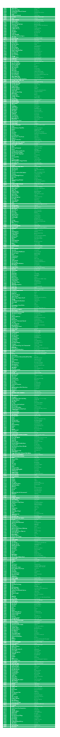**Meatloaf** 

*2001*

**Aerosmith** 

| 2249                                               | Gerard Lenorman                                                          |
|----------------------------------------------------|--------------------------------------------------------------------------|
| 2248                                               | Madonna                                                                  |
| 2247                                               | Zz Top                                                                   |
| 2246                                               | <b>Mariah Carey</b>                                                      |
| 2245                                               | <b>Rene Froger</b>                                                       |
| 2244                                               | Clouseau                                                                 |
| 2243                                               | <b>Communards</b>                                                        |
| 2242                                               | <b>Howard Jones</b>                                                      |
| 2241                                               | Lisa Lois                                                                |
| 2240                                               | <b>Dave Berry</b>                                                        |
| 2239                                               | <b>Crash Test Dummies</b>                                                |
| 2238                                               | <b>Bread</b>                                                             |
| 2237                                               | Michael Jackson/Paul Mccartney                                           |
| <u>2236</u>                                        | <b>Al Hudson</b>                                                         |
| 2235                                               | <b>Maroon 5</b>                                                          |
| $\overline{2}\overline{2}\overline{3}\overline{4}$ | Player                                                                   |
| 2233<br><u> 2232</u>                               | <b>Bachman Turner Overdrive</b><br>KIf<br><b>Bob And Earl</b>            |
| <u> 2231</u><br>2230<br>2229                       | <b>Stranglers</b><br><b>England Dan/John Ford-Coley</b>                  |
| 2228                                               | <b>George Michael</b>                                                    |
| <u> 2227 </u>                                      | <b>Elton John</b>                                                        |
| 2226                                               | De Dijk                                                                  |
| 2225                                               | <b>Paul Simon/Art Garfunkel</b>                                          |
| 2224                                               | <b>Rod Stewart</b>                                                       |
| 2223                                               | <b>Genesis/Phil Collins</b>                                              |
| <u> 2222</u>                                       | <b>Trijntje Oosterhuis/Total Touch</b>                                   |
| 2221                                               | J. Geils Band                                                            |
| <u> 2220</u>                                       | <b>Donna Summer</b>                                                      |
| <u>2219</u>                                        | <b>Marco Borsato</b>                                                     |
| 2218                                               | <b>Jan Hammer</b>                                                        |
| 2217                                               | <b>Rolling Stones</b>                                                    |
| 2216                                               | <b>Prince</b>                                                            |
| 2215                                               | <b>Fugees</b>                                                            |
| $\overline{2}\overline{2}\overline{1}\overline{4}$ | <b>Murray Head</b>                                                       |
| 2213                                               | <b>Little River Band</b>                                                 |
| <u> 2212</u>                                       | Sade                                                                     |
| 2211                                               | <b>Backstreet Boys</b>                                                   |
| 2210                                               | <b>Beatles</b>                                                           |
| 2209                                               | <b>Exile</b>                                                             |
| 2208                                               | <b>Boston</b>                                                            |
| 2207                                               | <b>Neil Diamond</b>                                                      |
| 2206                                               | <b>Al Jarreau</b>                                                        |
| 2205                                               | <b>Duran Duran</b>                                                       |
| 2204                                               | <b>Johnny Mathis/Deniece Williams</b>                                    |
| 2203                                               | <b>Lou Gramm</b>                                                         |
| <u> 2202</u>                                       | <b>Dusty Springfield</b>                                                 |
| 2201                                               | <b>Wiz Stars</b>                                                         |
| <u> 2200</u>                                       | <b>Faith Hill</b>                                                        |
| 2199                                               | <b>Ritchie Family</b>                                                    |
| 2198                                               | <b>Gerard Joling &amp; Andre Hazes</b>                                   |
| <u> 2197</u>                                       | <b>Culture Club</b>                                                      |
| 2196                                               | <b>Paul Mccartney/Stevie Wonder</b>                                      |
| 2195                                               | <b>Carpenters</b>                                                        |
| 2194                                               | <b>Bon Jovi</b>                                                          |
| 2193                                               | <b>Olivia Newton John</b>                                                |
| <u> 2192</u>                                       | <b>Carly Simon</b>                                                       |
| 2191                                               | Ziggy Marley/Bob Marley & The Wailers                                    |
| 2190                                               | <b>Gerry &amp; The Pacemakers</b>                                        |
| 2189                                               | John Lee Hooker/Santana                                                  |
| 2188                                               | Abba                                                                     |
| <u> 2187</u>                                       | <b>Snowy White</b>                                                       |
| 2186                                               | O'Jays                                                                   |
| 2185                                               | <b>Dido</b>                                                              |
| 2184                                               | <b>The Cure</b>                                                          |
| $\frac{2183}{2183}$                                | Level 42                                                                 |
| 2182                                               | <b>Nena</b>                                                              |
| 2181                                               | Living In A Box                                                          |
| 2180<br>2179<br>2178                               | Natasha Beddingfield<br><b>Cliff Richard</b><br><b>Staple Singers</b>    |
| 2177                                               | <b>Nick &amp; Simon</b>                                                  |
| 2176                                               | <b>Billy Crawford</b>                                                    |
| 2175                                               | <b>Lisa Stansfield</b>                                                   |
| 2174                                               | Slade                                                                    |
| 2173                                               | <b>Khaled</b>                                                            |
| <u> 2172</u>                                       | <b>Enigma</b>                                                            |
| <u> 2171</u>                                       | <b>The Script</b>                                                        |
| 2170                                               | <b>Candlewick Green</b>                                                  |
| 2169                                               | <b>Edsilia Rombley</b>                                                   |
| 2168                                               | Eiffel 65                                                                |
| 2167                                               | <b>Tom Jones</b>                                                         |
| 2166                                               | <b>Anouk</b>                                                             |
| 2165                                               | Paco                                                                     |
| $2\overline{164}$                                  | <b>Raymond Van Het Groenewoud</b>                                        |
| $\frac{2163}{2163}$                                | <b>Baltimora</b>                                                         |
| 2162                                               | <b>Extreme</b>                                                           |
| 2161                                               | Rihanna                                                                  |
| 2160                                               | <b>Feargal Sharkey</b>                                                   |
| 2159                                               | John Lennon                                                              |
| 2158                                               | <b>Destiny'S Child</b>                                                   |
| <u>2157</u>                                        | <b>Will Powers/Carly Simon</b>                                           |
| 2156                                               | Bc $52\overline{S}$                                                      |
| 2155                                               | <b>Blue Nile</b>                                                         |
| $\overline{2154}$                                  | <b>Texas</b>                                                             |
| 2153                                               | <b>Sandra Kim</b>                                                        |
| <u> 2152</u>                                       | <b>Coldplay</b>                                                          |
| 2151                                               | Alexander O'Neal                                                         |
| 2150                                               | <b>Eagles</b>                                                            |
| 2149                                               | <b>Thelma Houston</b>                                                    |
| 2148                                               | <b>Will Smith</b>                                                        |
| <u>2147</u>                                        | <b>Tom Tom Club</b>                                                      |
| 2146                                               | <b>Bob Marley &amp; The Wailers</b>                                      |
| 2145                                               | <b>In-Grid</b>                                                           |
| 2144                                               | <b>Garland Jeffreys</b>                                                  |
| 2143                                               | Santana/Michelle Branch                                                  |
| <u>2142</u>                                        | <b>Billy Joel</b>                                                        |
| 2141                                               | Lou Reed                                                                 |
| 2140                                               | <b>Tiziano Ferro</b>                                                     |
| $\overline{2139}$                                  | Roberta Flack/Donny Hathaway                                             |
| 2138                                               | <b>Kenny Loggins</b>                                                     |
| 2137                                               | <b>Andre Hazes/Guus Meeuwis</b>                                          |
| 2136                                               | <b>Stevie Wonder</b>                                                     |
| 2135                                               | <b>Mory Kante</b>                                                        |
| $\overline{2134}$                                  | <b>Rupert Holmes</b>                                                     |
| 2133                                               | <b>Hermes House Band</b>                                                 |
| 2132                                               | <b>Duke</b>                                                              |
| 2131                                               | <b>Oleta Adams</b>                                                       |
| <u> 2130</u>                                       | <b>Talk Talk</b>                                                         |
| 2129                                               | <b>Joe Jackson</b>                                                       |
| 2128                                               | <b>Savage Garden</b>                                                     |
| <u>2127</u>                                        | <b>Whitney Houston</b>                                                   |
| 2126                                               | <b>John Waite</b>                                                        |
| <u>2125</u>                                        | <b>Tom Petty</b>                                                         |
| 2124                                               | <b>Jona Lewie</b>                                                        |
| 2123                                               | <b>Queen</b>                                                             |
| 2122                                               | <b>Melee</b>                                                             |
| 2121                                               | <b>Beach Boys</b>                                                        |
| 2120                                               | <b>Phil Collins</b>                                                      |
| 2119                                               | Marvin Gaye/Tammi Terrel                                                 |
| $\frac{2118}{2118}$                                | <b>Celine Dion</b>                                                       |
| <u>2117</u>                                        | <b>Prince</b>                                                            |
| 2116                                               | <b>Spinners</b>                                                          |
| 2115                                               | <b>Blof</b>                                                              |
| 2114                                               | <b>Tina Turner</b>                                                       |
| <u> 2113</u>                                       | <b>Etta James</b>                                                        |
| 2112<br>2111<br>2110                               | Malcolm Mc. Laren<br><b>Bryan Adams/Tina Turner</b><br><b>Lily Allen</b> |
| 2109                                               | <b>Pretenders</b>                                                        |
| $\frac{2108}{2108}$                                | <b>Het Goede Doel</b>                                                    |
| 2107                                               | <b>Boomtown Rats</b>                                                     |
| 2106                                               | Madonna                                                                  |
| 2105                                               | <b>Norah Jones</b>                                                       |
| 2104                                               | <b>Sister Sledge</b>                                                     |
| $\frac{2103}{2103}$                                | Chicago                                                                  |
| 2102                                               | Dr Alban                                                                 |
| 2101                                               | <b>Beatles</b>                                                           |
| 2100                                               | <b>Kool And The Gang</b>                                                 |
| 2099                                               | <b>Toto</b>                                                              |
| 2098                                               | <b>Kylie Minogue</b>                                                     |
| 2097                                               | <b>Blue/Elton John</b>                                                   |
| 2096                                               | <b>Jackson Five/Michael Jackson</b>                                      |
| <u> 2095</u>                                       | <b>Beyonce</b>                                                           |
| <u>2094</u><br>2093                                | <b>Gladys Knight</b><br><b>Yes</b><br>Lipps Inc.                         |
| <u>2092</u><br><u> 2091</u><br><u> 2090</u>        | Dr Hook<br><b>Bette Midler</b>                                           |
| 2089                                               | <b>Diana Ross</b>                                                        |
| <b>2088</b>                                        | <b>Tina Charles</b>                                                      |
| 2087                                               | <b>City To City</b>                                                      |
| 2086                                               | <b>Mica Paris</b>                                                        |
| <u> 2085</u>                                       | <b>Starship</b>                                                          |
| 2084                                               | <b>Cats</b>                                                              |
| 2083                                               | <b>Robin S</b>                                                           |
| 2082                                               | <b>Motors</b>                                                            |
| 2081                                               | Yello/Shirley Bassey                                                     |
| 2080                                               | <b>Vicki Sue Robinson</b>                                                |
| 2079                                               | <b>Nelly Furtado</b>                                                     |
| 2078                                               | <b>Rubettes</b>                                                          |
| 2077                                               | <b>Swing Out Sister</b>                                                  |
| 2076                                               | <b>George Benson</b>                                                     |
| <u> 2075</u>                                       | K.C./The Sunshine Band                                                   |
| 2074                                               | <b>Elvis Presley</b>                                                     |
| 2073                                               | <b>Fleetwood Mac</b>                                                     |
| 2072                                               | Maroon5 & Whiz Kalifa                                                    |
| 2071                                               | <b>Grace Jones</b>                                                       |
| 2070                                               | <b>Jennifer Lopez</b>                                                    |
| 2069                                               | <b>Michael Jackson</b>                                                   |
| <u> 2068</u>                                       | <b>David Bowie</b>                                                       |
| 2067                                               | <b>Ace Of Base</b>                                                       |
| 2066                                               | <b>Steve Miller Band</b>                                                 |
| <u> 2065</u><br>2064                               | <b>Earth Wind &amp; Fire</b><br><b>Fairground Attraction</b><br>Abba     |
| 2063<br>2062<br>2061                               | <b>Fortunes</b><br><b>Beatles</b>                                        |
| <u> 2060</u>                                       | <b>Shawn Christopher</b>                                                 |
| 2059                                               | <b>Alvin Stardust</b>                                                    |
| 2058                                               | <b>Supremes</b>                                                          |
| <u>2057</u>                                        | <b>Robbie Williams</b>                                                   |
| 2056                                               | <b>Spice Girls</b>                                                       |
| <u> 2055 </u>                                      | Raydio/Ray Parker Jr.                                                    |
| 2054                                               | <b>Guess Who</b>                                                         |
| 2053                                               | <b>Bruce Springsteen</b>                                                 |
| 2052                                               | <b>Stargard</b>                                                          |
| 2051                                               | <b>Keane</b>                                                             |
| <u> 2050</u>                                       | <b>Kadanz</b>                                                            |
| 2049                                               | <b>Oasis</b>                                                             |
| 2048                                               | <b>Marcia Hines</b>                                                      |
| 2047                                               | <b>Christopher Cross</b>                                                 |
| 2046                                               | <b>Temptations</b>                                                       |
| <u> 2045</u>                                       | <b>Was (Not Was)</b>                                                     |
| $\overline{2044}$                                  | <b>Gnarls Barkley</b>                                                    |
| 2043                                               | <b>Hall And Oates</b>                                                    |
| 2042<br>2041                                       | <b>Sammy Davis Jr.</b><br><b>Meredith Brooks</b><br><b>Toontje Lager</b> |
| 2040<br>2039<br>2038                               | <b>Crystal Waters</b><br><b>Imagination</b>                              |
| 2037                                               | <u>Teach In</u>                                                          |
| 2036                                               | <b>Status Quo</b>                                                        |
| <u> 2035</u>                                       | <b>Matt Bianco</b>                                                       |
| 2034                                               | Sandra Van Nieuwland                                                     |
| 2033                                               | Salt 'N Pepa                                                             |
| <u>2032</u>                                        | <b>Willy Deville</b>                                                     |
| 2031                                               | <b>Racoon</b>                                                            |
| 2030                                               | <b>Krezip</b>                                                            |
| 2029                                               | <b>Jimmy Cliff</b>                                                       |
| 2028                                               | <b>Nicole</b>                                                            |
| <b>2027</b>                                        | <b>Ruth Jacott</b>                                                       |
| 2026                                               | Falco                                                                    |
| <u> 2025</u>                                       | <b>Piet Veerman/Cats</b>                                                 |
| 2024                                               | <b>Sugababes</b>                                                         |
| 2023                                               | <b>Nits</b>                                                              |
| <u>2022</u>                                        | <b>Elvis Costello</b>                                                    |
| 2021                                               | <b>Modern Talking</b>                                                    |
| 2020                                               | Leo Sayer                                                                |
| 2019                                               | Pepsi & Shirley                                                          |
| 2018                                               | <b>Kane/Ilse Delange</b>                                                 |
| <u>2017</u>                                        | <b>Guus Meeuwis</b>                                                      |
| 2016                                               | <b>Ottawan</b>                                                           |
| 2015                                               | <b>Birdy</b>                                                             |
| 2014                                               | <b>Lloyd Cole &amp; The Commotions</b>                                   |
| 2013                                               | Spargo                                                                   |
| <u>2012</u>                                        | <b>Todd Rundgren</b>                                                     |
| <u>2011</u>                                        | <b>Eddy Grant</b>                                                        |
| 2010                                               | <b>Blackstreet</b>                                                       |
| 2009                                               | <b>Paul Mccartney/Wings</b>                                              |
| 2008                                               | <b>John Mayer</b>                                                        |
| 2007                                               | <b>Dazz Band</b>                                                         |
| 2006                                               | <b>Boyz li Men</b>                                                       |
| 2005                                               | Lucifer/Margriet Eshuys                                                  |
| 2004                                               | <b>Vanvelzen</b>                                                         |
| 2003                                               | <b>Alicia Keys</b>                                                       |
| 2002                                               | <b>Jon Anderson</b>                                                      |

| 2500                                                                              | <b>James Blunt</b>                                                                      | <b>Stay The Night</b>                                                                                     |
|-----------------------------------------------------------------------------------|-----------------------------------------------------------------------------------------|-----------------------------------------------------------------------------------------------------------|
| 2499                                                                              | <b>Oran Juice Jones</b>                                                                 | The Rain                                                                                                  |
| 2498                                                                              | <b>Candy Dulfer/Dave A Stewart</b>                                                      | Lily Was Here                                                                                             |
| 2497                                                                              | <b>Simply Red</b>                                                                       | Remembering The First Time                                                                                |
| 2496                                                                              | <b>Snap</b>                                                                             | The Power                                                                                                 |
| 2495                                                                              | Acda & De Munnik                                                                        | Laat Me Slapen                                                                                            |
| 2494                                                                              | <b>Dr Hook</b>                                                                          | Sharing The Night Together                                                                                |
| 2493                                                                              | <b>Limit</b>                                                                            | Say Yeah                                                                                                  |
| 2492                                                                              | <b>Jason Donovan</b>                                                                    | Too Many Broken Hearts                                                                                    |
| 2491                                                                              | <b>Sandy Coast</b>                                                                      | True Love, That's A Wonder                                                                                |
| 2490                                                                              | <b>Robert Palmer</b>                                                                    | Mercy Mercy Me                                                                                            |
| 2489                                                                              | Poema'S/Van Dik Hout                                                                    | Mijn Houten Hart                                                                                          |
| 2488                                                                              | <b>Cunningham</b>                                                                       | Norma Jean Wants To Be A Moviestar                                                                        |
| 2487                                                                              | <b>Golden Earring</b>                                                                   | Bombay                                                                                                    |
| 2486                                                                              | <b>Freddie Mercury</b>                                                                  | Living On My Own                                                                                          |
| 2485                                                                              | <b>Santana</b>                                                                          | I'll Be Waiting                                                                                           |
| 2484                                                                              | Vengaboys                                                                               | <b>Boom Boom Boom</b>                                                                                     |
| 2483                                                                              | <b>Eruption</b>                                                                         | One Way Ticket                                                                                            |
| 2482                                                                              | <b>Color Me Badd</b>                                                                    | All 4 Love                                                                                                |
| 2481                                                                              | <b>Owl City/Carly Jae Jepsen</b>                                                        | Good Time                                                                                                 |
| 2480                                                                              | <b>The Clash</b>                                                                        | The Magnificent Seven                                                                                     |
| 2479                                                                              | <b>Cece Peniston</b>                                                                    | We Got A Love Thang                                                                                       |
| <b>2478</b><br>2477                                                               | Lady Gaga<br><b>Kelly Marie</b><br><b>Oleta Adams</b>                                   | <b>Bad Romance</b><br>Feels Like I'm In Love<br>Rhythm Of Life                                            |
| 2476<br>2475<br>2474                                                              | <b>Paul De Leeuw</b><br><b>Spice Girls</b>                                              | Voorbij<br>Say You'll Be There<br>Ma Quale Idea                                                           |
| <u>2473</u>                                                                       | <b>Pino D'Angio</b>                                                                     | Never Be Clever                                                                                           |
| 2472                                                                              | <b>Herman Brood</b>                                                                     | <b>Spinning Wheel</b>                                                                                     |
| 2471                                                                              | <b>Blood Sweat And Tears</b>                                                            | How Can This Be Love                                                                                      |
| 2470<br>2469<br>2468                                                              | <b>Andrew Gold</b><br><b>David Bowie</b><br><b>Hans De Booy</b>                         | Absolute Beginners<br>Een Vrouw Zoals Jij                                                                 |
| 2467                                                                              | Change                                                                                  | A Lover's Holiday                                                                                         |
| 2466                                                                              | <b>Dead Or Alive</b>                                                                    | You Spin Me Round                                                                                         |
| 2465                                                                              | <b>Carpenters</b>                                                                       | Top Of The World                                                                                          |
| 2464                                                                              | Milli Vanilli                                                                           | <b>Blame It On The Rain</b>                                                                               |
| 2463                                                                              | <b>Paul Mccartney</b>                                                                   | <b>Wonderful Christmas Time</b>                                                                           |
| 2462                                                                              | <b>Agnetha Faltskog</b>                                                                 | The Heat Is On                                                                                            |
| 2461                                                                              | <b>Deniece Williams</b>                                                                 | Free                                                                                                      |
| 2460                                                                              | <b>Simon Webbe</b>                                                                      | No Worries                                                                                                |
| 2459                                                                              | <b>The Lumineers</b>                                                                    | Ho Hey                                                                                                    |
| <u>2458</u>                                                                       | <b>Alphaville</b>                                                                       | Forever Young                                                                                             |
| 2457                                                                              | <b>Elton John</b>                                                                       | I'm Still Standing                                                                                        |
| 2456                                                                              | <b>Love Unlimited</b>                                                                   | It May Be Winter Outside                                                                                  |
| 2455                                                                              | <b>Dave Edmunds</b>                                                                     | Here Comes The Week-End                                                                                   |
| 2454                                                                              | <b>Sam And Dave</b>                                                                     | You Don't Know What You Mean To Me                                                                        |
| 2453                                                                              | <b>Isley Jasper Isley</b>                                                               | Caravan Of Love                                                                                           |
| 2452                                                                              | <b>Gilbert O'Sullivan</b>                                                               | Underneath The Blanket Go                                                                                 |
| <u> 245 1</u>                                                                     | Lionel Richie/Trijntje Oosterhuis                                                       | Face In The Crowd                                                                                         |
| <u>2450</u>                                                                       | <b>Georgie Fame/Alan Price</b>                                                          | Rosetta                                                                                                   |
| 2449                                                                              | <b>James Morrison</b>                                                                   | You Give Me Something                                                                                     |
| 2448                                                                              | <b>Herman Van Veen</b>                                                                  | Hilversum 3                                                                                               |
| 2447                                                                              | <b>George Michael</b>                                                                   | <b>Praying For Time</b>                                                                                   |
| 2446                                                                              | <b>Ginger Ninja</b>                                                                     | Sunshine                                                                                                  |
| 2445                                                                              | <b>Michael Jackson</b>                                                                  | <b>Dirty Diana</b>                                                                                        |
| 2444                                                                              | <b>Gordon Lightfoot</b>                                                                 | Sundown                                                                                                   |
| 2443                                                                              | <b>Celine Dion</b>                                                                      | Where Does My Heart Beat Now                                                                              |
| 2442                                                                              | <b>Spider Murphy Gang</b>                                                               | Skandal Im Sperrbezirk                                                                                    |
| 2441                                                                              | <b>Robin Beck</b>                                                                       | <b>First Time</b>                                                                                         |
| 2440                                                                              | <b>Flying Pickets</b>                                                                   | Only You                                                                                                  |
| 2439                                                                              | <b>Chubby Checker</b>                                                                   | Let's Twist Again                                                                                         |
| 2438                                                                              | <b>Run Dmc</b>                                                                          | <b>Walk This Way</b>                                                                                      |
| 2437                                                                              | <b>Carole King</b>                                                                      | You'Ve Got A Friend                                                                                       |
| 2436                                                                              | <b>Rolling Stones</b>                                                                   | <b>Emotional Rescue</b>                                                                                   |
| 2435                                                                              | Sophia George                                                                           | Girlie Girlie                                                                                             |
| 2434                                                                              | <b>Spin Doctors</b>                                                                     | <b>Two Princess</b>                                                                                       |
| 2433                                                                              | Queen                                                                                   | <b>Killer Queen</b>                                                                                       |
| 2432                                                                              | <b>Sugababes</b>                                                                        | Push The Button                                                                                           |
| 2431                                                                              | <b>James Taylor</b>                                                                     | <b>Fire And Rain</b>                                                                                      |
| 2430                                                                              | <b>Rembrandts</b>                                                                       | I'll Be There For You                                                                                     |
| 2429                                                                              | <b>Phil Collins</b>                                                                     | Dance Into The Light                                                                                      |
| 2428                                                                              | <b>Real Thing</b>                                                                       | Can You Feel The Force                                                                                    |
| 2427                                                                              | <b>Yardbirds</b>                                                                        | For Your Love                                                                                             |
| 2426                                                                              | <b>Chi Coltrane</b>                                                                     | Go Like Elijah                                                                                            |
| 2425<br>2424                                                                      | <b>Lenny Kravitz</b><br><b>Barry Manilow</b><br><b>Katy Perry</b>                       | I'll Be Waiting<br><b>Can't Smile Without You</b><br><b>California Girls</b>                              |
| 2423<br>2422<br>2421<br>2420                                                      | <b>Boudewijn De Groot</b><br><b>Kate Winslet</b><br><b>Paula Abdul</b>                  | <b>Testament</b><br>What If<br><b>Straight Up</b>                                                         |
| 2419<br>2418                                                                      | <b>Randy Vanwarmer</b><br><b>Sting</b><br><b>Martha Reeves/Vandellas</b>                | Just When I Needed You Most<br><b>Russians</b><br>Love Is Like A Heatwave                                 |
| 2417                                                                              | <b>Beatles</b>                                                                          | A Hard Day's Night                                                                                        |
| 2416                                                                              | <b>Prince</b>                                                                           | <b>Alphabet Street</b>                                                                                    |
| 2415                                                                              | <b>Chris Rea</b>                                                                        | <b>Driving Home For Christmas</b>                                                                         |
| 2414<br>2413<br>2412                                                              | <b>Trammps</b><br><b>Guus Meeuwis</b>                                                   | Zing Went The Strings Of My Heart<br>Zo Ver Weg                                                           |
| 2411<br>2410<br>2409                                                              | Rod Stewart / Tina Turner<br><b>Madness</b><br>Fluitsma & Van Tijn<br><b>Ub 40</b>      | It Takes Two<br>It Must Be Love<br>15 Miljoen Mensen<br>Sing Our Own Song                                 |
| <u> 2408</u><br>2407<br>2406                                                      | <b>Frankie Valli/Four Seasons</b><br><b>Electric Light Orchestra</b>                    | December 1963<br>Showdown                                                                                 |
| 2405                                                                              | <b>Four Tops</b>                                                                        | <b>Bernadette</b>                                                                                         |
| 2404                                                                              | <b>Police</b>                                                                           | Walking On The Moon                                                                                       |
| 2403                                                                              | <b>Ph D/Jim Diamond</b>                                                                 | I Won't Let You Down                                                                                      |
| 2402                                                                              | <b>Keane</b>                                                                            | Bedshaped                                                                                                 |
| 2401                                                                              | <b>Smokey Robinson/Miracles</b>                                                         | <b>Tracks Of My Tears</b>                                                                                 |
| 2400                                                                              | <b>Paul Mccartney/Wings</b>                                                             | Mull Of Kintyre                                                                                           |
| 2399                                                                              | <b>Nielson &amp; Miss Montreal</b>                                                      | Hoe                                                                                                       |
| <u>2398</u>                                                                       | <b>Anouk</b>                                                                            | R U Kiddin' Me                                                                                            |
| 2397                                                                              | <b>Fleetwood Mac</b>                                                                    | Little Lies                                                                                               |
| 2396                                                                              | <b>Hero</b>                                                                             | Toen Ik Je Zag                                                                                            |
| 2395                                                                              | <b>Aretha Franklin</b>                                                                  | I Say A Little Prayer                                                                                     |
| 2394                                                                              | <b>Black Eyed Peas/Sergio Mendes</b>                                                    | Mas Que Nada                                                                                              |
| 2393                                                                              | <b>New York City</b>                                                                    | I'm Doing Fine Now                                                                                        |
| 2392                                                                              | <b>Phil Collins</b>                                                                     | That's Just The Way It Is                                                                                 |
| 2391                                                                              | <b>Blondie</b>                                                                          | Rapture                                                                                                   |
| 2390                                                                              | <b>Bryan Ferry/Roxy Music</b>                                                           | Let's Stick Together                                                                                      |
| 2389                                                                              | <b>Nik Kershaw</b>                                                                      | The Riddle                                                                                                |
| 2388                                                                              | John Lennon                                                                             | Happy X-Mas (War Is Over)                                                                                 |
| 2387                                                                              | MFSB.                                                                                   | <b>TSOP</b>                                                                                               |
| 2386                                                                              | Jermaine Jackson/Pia Zadora                                                             | When The Rain Begins To Fall                                                                              |
| 2385                                                                              | <b>Charlene</b>                                                                         | I've Never Been To Me                                                                                     |
| 2384                                                                              | <b>Dexy'S Midnight Runners</b>                                                          | Come On Eileen                                                                                            |
| 2383                                                                              | <b>Bee-Gees</b>                                                                         | <b>Too Much Heaven</b>                                                                                    |
| 2382                                                                              | <b>Blof</b>                                                                             | Zaterdag                                                                                                  |
| 2381                                                                              | <b>Wham/George Michael</b>                                                              | The Edge Of Heaven                                                                                        |
| 2380                                                                              | <b>Stylistics</b>                                                                       | You Make Me Feel Brand New                                                                                |
| 2379                                                                              | <b>Prince</b>                                                                           | Sign 'O' The Times                                                                                        |
| 2378                                                                              | <b>Gladys Knight/The Pips</b>                                                           | Midnight Train To Georgia                                                                                 |
| 2377                                                                              | <b>Hall And Oates</b>                                                                   | <b>Rich Girl</b>                                                                                          |
| 2376                                                                              | <b>Robbie Williams</b>                                                                  | The Road To Mandalay                                                                                      |
| 2375                                                                              | <b>Barry White</b>                                                                      | You See The Trouble With Me                                                                               |
| 2374                                                                              | <b>Iggy Pop</b>                                                                         | Lust For Life                                                                                             |
| <u> 2373 </u>                                                                     | <b>Britney Spears</b>                                                                   | Oops!I Did It Again                                                                                       |
| 2372                                                                              | <b>Stephanie Mills</b>                                                                  | <b>Medicine Song</b>                                                                                      |
| 2371                                                                              | <b>Bonnie Rait</b>                                                                      | I Can't Make You Love Me                                                                                  |
| 2370                                                                              | <b>Alexis Jordan</b>                                                                    | Happiness                                                                                                 |
| 2369                                                                              | <b>Bruce Springsteen</b>                                                                | <b>Tougher Than The Rest</b>                                                                              |
| 2368                                                                              | <b>Doe Maar</b>                                                                         | Liever Dan Lief                                                                                           |
| 2367                                                                              | <b>Stevie Wonder</b>                                                                    | <b>Another Star</b>                                                                                       |
| 2366                                                                              | <b>Chaka Khan</b>                                                                       | I'm Every Woman                                                                                           |
| 2365                                                                              | Seal                                                                                    | <b>Future Love Paradise</b>                                                                               |
| 2364                                                                              | <b>Heart</b>                                                                            | All I Wanna Do Is Make Love To You                                                                        |
| 2363                                                                              | <b>Rolling Stones</b>                                                                   | Lady Jane                                                                                                 |
| 2362                                                                              | <b>Spandau Ballet</b>                                                                   | <b>Fight For Ourselves</b>                                                                                |
| 2361                                                                              | <b>Rose Royce</b>                                                                       | <b>Best Love</b>                                                                                          |
| 2360                                                                              | <b>Patrick Bruel</b>                                                                    | Casser La Voix (Live)                                                                                     |
| 2359                                                                              | <b>Billy Joel</b>                                                                       | The River Of Dreams                                                                                       |
| 2358                                                                              | <b>Bruno Mars</b>                                                                       | <b>Billionaire</b>                                                                                        |
| 2357                                                                              | <b>Pointer Sisters</b>                                                                  | I'm So Excited                                                                                            |
| 2356                                                                              | <b>Alison Moyet</b>                                                                     | Love Resurrection                                                                                         |
| 2355                                                                              | <b>Carl Douglas</b>                                                                     | Kung Fu Fighting                                                                                          |
| 2354                                                                              | U <sub>2</sub>                                                                          | All I Want Is You                                                                                         |
| 2353                                                                              | Gordon                                                                                  | Omdat Ik Zo Van Je Hou                                                                                    |
| 2352                                                                              | <b>Blow Monkeys</b>                                                                     | It Doesn't Have To Be This Way                                                                            |
| 2351                                                                              | Swy                                                                                     | <b>Right Here</b>                                                                                         |
| 2350                                                                              | <b>John Denver</b>                                                                      | Annie's Song                                                                                              |
| 2349                                                                              | <b>Christina Aguilera</b>                                                               | Lady Marmelade                                                                                            |
| 2348                                                                              | <b>James Taylor</b>                                                                     | How Sweet It Is To Be Loved By You                                                                        |
| 2347                                                                              | <b>Reamonn</b>                                                                          | Supergirl                                                                                                 |
| 2346                                                                              | <b>Cher</b>                                                                             | If I Could Turn Back Time                                                                                 |
| 2345                                                                              | <b>Wendy &amp; Lisa</b>                                                                 | Waterfall                                                                                                 |
| 2344                                                                              | <b>Andy Williams</b>                                                                    | Music To Watch Girls By                                                                                   |
| 2343                                                                              | <b>2 Unlimited</b>                                                                      | No Limit                                                                                                  |
| 2342<br>2341<br>2340                                                              |                                                                                         |                                                                                                           |
|                                                                                   | <b>Marvin Gaye</b><br><b>Del Amitri</b><br>Abba                                         | Too Busy Thinking 'Bout My Baby<br><b>Nothing Ever Happens</b><br>Take A Chance On Me                     |
| 2339                                                                              | <b>Delta Goodrem</b>                                                                    | Born To Try                                                                                               |
| 2338                                                                              | <b>Andre Hazes</b>                                                                      | <b>Bloed Zweet En Tranen</b>                                                                              |
| 2337                                                                              | <b>Doors</b>                                                                            | Love Her Madly                                                                                            |
| 2336                                                                              | 'N Sync                                                                                 | I Want You Back                                                                                           |
| 2335                                                                              | <b>Sheena Easton</b>                                                                    | <b>What Comes Naturally</b>                                                                               |
| 2334                                                                              | <b>Kiss</b>                                                                             | <b>Sure Know Something</b>                                                                                |
| <u> 2333 </u>                                                                     | <b>Geri Halliwell</b>                                                                   | It's Raining Men                                                                                          |
| 2332                                                                              | Janis lan                                                                               | At Seventeen                                                                                              |
| 2331                                                                              | Joan Jett & The Blackhearts                                                             | I Love Rock 'N Roll                                                                                       |
| 2330                                                                              | <b>Musical Youth</b>                                                                    | <b>Pass The Dutchie</b>                                                                                   |
| 2329                                                                              | <b>Move</b>                                                                             | <b>Blackberry Way</b>                                                                                     |
| <u>2328</u>                                                                       | <b>Chaka Demus</b>                                                                      | <b>Tease Me</b>                                                                                           |
| 2327                                                                              | <b>Goede Doel</b>                                                                       | Eenvoud                                                                                                   |
| 2326                                                                              | Angel                                                                                   | <b>Winter Song</b>                                                                                        |
| 2325                                                                              | <b>Simple Minds</b>                                                                     | <b>Promised You A Miracle</b>                                                                             |
| 2324                                                                              | <b>Elvin Bishop</b>                                                                     | Fooled Around And Fell In Love                                                                            |
| <u> 2323 </u>                                                                     | <b>Mike And The Mechanics</b>                                                           | <b>Silent Running</b>                                                                                     |
| 2322                                                                              | <b>Bob Marley</b>                                                                       | Sun Is Shining                                                                                            |
| 2321<br>2320<br>2319                                                              | <b>Katie Melua</b><br><b>Nolan Sisters</b><br><b>Boyzone</b>                            | Nine Million Bicycles<br>I'm In The Mood For Dancing<br>No Matter What<br>Nice And Slow                   |
| 2318<br>2317<br>2316                                                              | <b>Jesse Green</b><br>Sabrina<br>Maywood                                                | <b>Boys</b><br>Late At Night                                                                              |
| 2315                                                                              | <b>Diana Ross</b>                                                                       | Love Hangover                                                                                             |
| 2314                                                                              | <b>Kate Bush</b>                                                                        | Babooshka                                                                                                 |
| 2313                                                                              | <b>Rowen Heze</b>                                                                       | Limburg                                                                                                   |
| 2312                                                                              | <b>Earth And Fire</b>                                                                   | Maybe Tomorrow, Maybe Tonight                                                                             |
| 2311                                                                              | <b>Craig David</b>                                                                      | <b>Walking Away</b>                                                                                       |
| 2310                                                                              | <b>Bow Wow Wow</b>                                                                      | The Man Mountain                                                                                          |
| 2309                                                                              | <b>Splitsing</b>                                                                        | <b>Recht Uit Het Hart</b>                                                                                 |
| 2308                                                                              | <b>Earth Wind And Fire</b>                                                              | Reasons                                                                                                   |
| 2307                                                                              | <b>Dolly Dots</b>                                                                       | Do Wah Diddy Diddy                                                                                        |
| 2306                                                                              | <b>Black Slate</b>                                                                      | Amigo                                                                                                     |
| 2305                                                                              | La Bionda                                                                               | One For You, One For Me                                                                                   |
| 2304                                                                              | <b>Curiosity Killed The Cat</b>                                                         | Down To Earth                                                                                             |
| 2303                                                                              | <b>Tol Hansse</b>                                                                       | <b>Big City</b>                                                                                           |
| 2302                                                                              | Madonna                                                                                 | Sorry                                                                                                     |
| 2301                                                                              | <b>Fat Larry'S Band</b>                                                                 | Zoom                                                                                                      |
| 2300                                                                              | <b>Janet Jackson</b>                                                                    | <b>Nasty Girl</b>                                                                                         |
| 2299                                                                              | Marvin Gaye/Tammi Terrell                                                               | Ain't Nothing Like The Real Thing                                                                         |
| <u>2298</u>                                                                       | Shaggy                                                                                  | It Wasn't Me                                                                                              |
| 2297                                                                              | Eros Ramazzotti/Anastacia                                                               | I Belong To You                                                                                           |
| 2296                                                                              | <b>Chris Isaak</b>                                                                      | Lie To Me                                                                                                 |
| 2295                                                                              | Dof                                                                                     | Codo                                                                                                      |
| 2294                                                                              | <b>Commodores/Lionel Richie</b>                                                         | <b>Brickhouse</b>                                                                                         |
| <u>2293</u>                                                                       | <b>Bonnie Tyler</b>                                                                     | Lost In France                                                                                            |
| 2292                                                                              | <b>Supremes</b>                                                                         | My World Is Empty Without You                                                                             |
| 2291<br>2290<br>2289                                                              | <b>Red Hot Chili Peppers</b><br><b>Elvis Presley</b><br><b>Harold Melvin/Blue Notes</b> | Otherside<br>Little Sister<br>If You Don't Know Me By Now<br>Don't Answer Me                              |
| 2288<br>2287<br><b>2286</b>                                                       | <b>Alan Parsons Project</b><br>Queen<br><b>Edison Lighthouse</b>                        | You're My Best Friend<br>Love Grows                                                                       |
| 2285                                                                              | Kadanz                                                                                  | In Het Donker (Zien Ze Je Niet)                                                                           |
| 2284                                                                              | <b>Billy Ocean</b>                                                                      | <b>European Queen</b>                                                                                     |
| <u> 2283</u>                                                                      | <b>Creedence Clearwater Revival</b>                                                     | Down On The Corner                                                                                        |
| 2282                                                                              | <b>Jan Smit</b>                                                                         | Als De Morgen Is Gekomen                                                                                  |
| 2281                                                                              | <b>Curtis Mayfield</b>                                                                  | Move On Up                                                                                                |
| 2280                                                                              | <b>Blues Brothers</b>                                                                   | <b>Everybody Needs Somebody</b>                                                                           |
| 2279                                                                              | <b>Frank Boeijen Groep</b>                                                              | Zwart-Wit                                                                                                 |
| 2278                                                                              | <b>Bryan Adams</b>                                                                      | Somebody                                                                                                  |
| 2277                                                                              | <b>Mary Wells</b>                                                                       | My Guy                                                                                                    |
| 2276                                                                              | <b>Amber</b>                                                                            | This Is Your Night                                                                                        |
| 2275                                                                              | <b>Fiction Factory</b>                                                                  | <b>Feels Like Heaven</b>                                                                                  |
| 2274                                                                              | <b>Dire Straits</b>                                                                     | <b>Your Latest Trick</b>                                                                                  |
| <u> 2273</u>                                                                      | <b>Paul De Leeuw</b>                                                                    | Vlieg Met Me Mee                                                                                          |
| 2272                                                                              | <b>Ilse Delange</b>                                                                     | World Of Hurt                                                                                             |
| 2271                                                                              | <b>Golden Earring</b>                                                                   | A Little Bit Of Peace                                                                                     |
| 2270                                                                              | <b>Lionel Richie</b>                                                                    | You Are                                                                                                   |
| 2269                                                                              | <b>Cheap Trick</b>                                                                      | If You Want My Love                                                                                       |
| 2268                                                                              | <b>David Mcwilliams</b>                                                                 | Days Of Pearly Spencer                                                                                    |
| 2267                                                                              | <b>Foreigner</b>                                                                        | Say You Will                                                                                              |
| 2266                                                                              | Frank Sinatra/Orig. Cast 'Treemonisha'                                                  | Strangers In The Night                                                                                    |
| 2265                                                                              | Alabama                                                                                 | Feels So Right                                                                                            |
| 2264                                                                              | <b>Bianca Ryan</b>                                                                      | Why Couldn't It Be Christmas Every Day                                                                    |
| 2263                                                                              | <b>Peter Gabriel/Kate Bush</b>                                                          | Don't Give Up                                                                                             |
| 2262                                                                              | <b>Drifters</b>                                                                         | Saturday Night At The Movies                                                                              |
| 2261                                                                              | $\overline{U}$ 2                                                                        | Where The Streets Have No Name                                                                            |
| 2260                                                                              | <b>Ub 40</b>                                                                            | Here I Am (Come And Take Me)                                                                              |
| 2259                                                                              | Lionel Richie                                                                           | Se La                                                                                                     |
|                                                                                   | Henny Vrienten/Herman Brood/Doe Maar<br><b>Pink</b><br><b>Sandie Shaw</b>               | Als Je Wint<br>Please Don't Leave Me<br>Puppet On A String                                                |
| <u> 2258</u><br><b>2257</b><br>2256<br>2255<br>2254<br><u>2253</u><br><u>2252</u> | <b>Byrds</b><br><b>Paul Mccartney</b><br><b>Bananarama</b><br><b>Guus Meeuwis</b>       | Jesus Is Just Alright<br>Once Upon A Long Ago<br>Love In The First Degree<br>Het Is Een Nacht(Levensecht) |

Delta Lady I'D Do Anything For Love Voici Les Cles Express Yourself Sharp Dressed Man Hero Calling Out Your Name Passie Never Can Say Goodbye What Is Love Silhouette This Strange Effect Mmm Mmm Mmm The Guitar Man The Girl Is Mine You Can Do It **Misery** Baby Come Back Lookin' Out For No 1 Justified & Ancient Harlem Shuffle Skin Deep I'D Really Love To See You Tonight Freedom '90 Blue Eyes Dansen Op De Vulkaan The Sounds Of Silence Passion Land Of Confusion Do You Know The Way To San Jose Freeze Frame The Hostage De Speeltuin Crockett's Theme Jumpin' Jack Flash Girls & Boys Killing Me Softly With His Song One Night In Bangkok Home On A Monday Smooth Operator We'Ve Got It Goin' On Long And Winding Road Heart & Soul More Than A Feeling Sweet Caroline Mornin' Skin Trade Too Much, Too Little, Too Late Midnight Blue You Don't Have To Say You Love Me Ease On Down The Road There You'll Be The Best Disco In Town Blijf Bij Mij The War Song Ebony And Ivory Yesterday Once More Wanted Dead Or Alive A Little More Love Why Tomorrow People You'll Never Walk Alone The Healer Under Attack Bird Of Paradise I Love Music Life For Rent The Caterpillar To Be With You Again Nur Getraumt Room In Your Heart These Words Some People Respect Yourself De Dag Dat Alles Beter Is Trackin' Live Together Coz' I Love You Aicha Sadeness For The First Time Who Do You Think You Are Hemel En Aarde **Blue** What's New Pussycat Three Days In A Row Amor De Mis Amores Liefde Voor Muziek Tarzan Boy Hole Hearted Take A Bow You Little Thief Instant Karma Bug A Boo Kissing With Confidence (Meet) The Flintstones Tinseltown In The Rain Summerson J'Aime La Vie Paradise Fake The Last Resort Don't Leave Me This Way Men In Black Wordy Rappinghood Get Up, Stand Up Tu Es Foutu **Matador** The Game Of Love Uptown Girl Perfect Day Perdono Where Is The Love This Is It Geef Mij Je Angst Uptight Yeke Yeke Him I Will Survive So In Love With You Never Knew Love It's My Life Is She Really Going Out With Him Truly Madly Deeply Step By Step Missing You Mary Jane's Last Dance Stop The Cavalry **Breakthru** Build To Last Wouldn't It Be Nice Don't Loose That Number Ain't No Mountain High Enough I'm Alive Let's Go Crazy It's A Shame **Hier** Steamy Windows I Just Want To Make Love To You Something's Jumpin' In My Shirt It's Only Love Smile I'll Stand By You Zwijgen I Don't Like Monday's Cherish Don't Know Why All American Girls Wishing You Were Here It's My Life Magical Mystery Tour Straight Ahead Mushanga I Should Be So Lucky Sorry Seems To Be The Hardest Word I Want You Back Single Ladies Licence To Kill Owner Of A Lonely Heart Funkytown When You're In Love With A Beautiful Woman Beast Of Burden Theme From Mahogany I Love To Love The Road Ahead My One Temptation We Built This City Lea Luv 4 Luv Airport The Rhythm Divine Turn The Beat Around Try Sugar Baby Love Am I The Same Girl Lady Love Me I'm Your Boogie Man Wooden Heart Seven Wonders Payphone I've Seen That Face Before Let's Get Loud One Day In Your Life Blue Jean The Sign Abracadabra Got To Get You Into My Life Perfect One Of Us Here Comes That Rainy Day Feeling Again The Ballad Of John & Yoko Don't Loose The Magic Pretend Back In My Arms Again She's The One **Stop** Jack And Jill American Woman Secret Garden Which Way Is Up Bend And Break Intimiteit **Wonderwall** Your Love Still Brings Me To My Knees All Right Papa Was A Rolling Stone Spy In The House Of Love Crazy Adult Education Candy Man **Bitch** Net Als In De Film Gypsy Woman Music And Lights Ding-A-Dong What You're Proposing Yeh Yeh Keep Your Head Up You Showed Me Hey Joe Laugh About It I Would Stay Treat The Youths Right Don't You Want My Love Ik Kan Echt Zonder Jou Amadeus Sailin' Home Round Round In The Dutch Mountains Good Year For The Roses Brother Louie More Than I Can Say Heartache High Places Het Kan Hier Zo Mooi Zijn DISCO People Help The People **Rattlesnake** Hip Hap Hop I Saw The Light I Don't Wanna Dance No Diggity Band On The Run Half Of My Heart Let It All Blow I'll Make Love To You House For Sale Love Song Girl On Fire Hold On To Love

Cryin'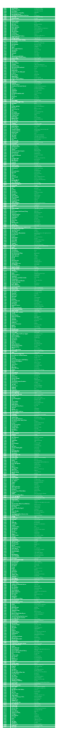| ģ                                                         |
|-----------------------------------------------------------|
| l<br>I                                                    |
| $\zeta$<br>i<br>I<br>Ų                                    |
|                                                           |
| <b>I</b><br>I<br>I<br>I<br>I<br>I                         |
| $\overline{\mathbf{S}}$                                   |
| $\frac{6}{1}$                                             |
|                                                           |
| <br> <br> <br> <br>                                       |
| Ç<br>i<br>I<br>$\frac{2}{3}$                              |
|                                                           |
| <br> <br> <br> <br>                                       |
| $\mathsf{S}$                                              |
| i<br>I<br>$\frac{2}{3}$<br>7                              |
|                                                           |
| i<br>I<br>I                                               |
| $\zeta$                                                   |
| ו<br>ווי                                                  |
| ו<br>ווי ב                                                |
|                                                           |
| ו<br>נ                                                    |
| í                                                         |
| $\overline{\mathcal{G}}$                                  |
| $\frac{1}{9}$                                             |
|                                                           |
|                                                           |
| $\mathbf{S}$                                              |
| $\frac{S}{S}$                                             |
| 7                                                         |
| $\frac{S}{S}$                                             |
| G                                                         |
|                                                           |
|                                                           |
| $\frac{S}{S}$                                             |
| $\frac{3}{2}$                                             |
| Ī                                                         |
| $\frac{q}{q}$                                             |
|                                                           |
|                                                           |
|                                                           |
|                                                           |
| $\frac{S}{S}$                                             |
|                                                           |
| $\frac{9}{9}$<br>$\frac{\sigma}{2}$<br>ķ                  |
| <u>8</u><br>į<br><u>ڊ</u>                                 |
| $rac{2}{5}$                                               |
| <u>ון</u><br>נוב                                          |
|                                                           |
| $\frac{q}{q}$                                             |
|                                                           |
|                                                           |
| I<br>I I I I I<br>I I I I<br>$\frac{1}{5}$                |
|                                                           |
|                                                           |
| I<br>I I I I I<br>I                                       |
|                                                           |
| $\frac{1}{5}$                                             |
|                                                           |
| I<br>I I I I I<br>I I I I<br>$\frac{7}{8}$<br>Ì           |
| <b>TO DIDIDITY</b>                                        |
| <b>ANGEL</b><br>l<br>i                                    |
| <b>I</b><br>I<br>I<br>I<br>I<br>i                         |
| 99999<br>Ì                                                |
| þ                                                         |
| $\frac{1}{l}$                                             |
| $\overline{9}$<br>$\overline{\mathcal{S}}$<br>Ì<br>Į      |
| i<br>I<br>Ç                                               |
| ļ                                                         |
| $rac{q}{q}$                                               |
| $\frac{1}{L}$<br><u>Ş</u><br><u>S</u>                     |
| Ç<br>i                                                    |
| l<br>ç                                                    |
|                                                           |
| ļ<br>$\mathcal{E}$<br>8<br>$\boldsymbol{\xi}$             |
| i<br>I<br>$\overline{\mathcal{E}}$                        |
| l<br>$\overline{\mathcal{E}}$<br>$\overline{\mathcal{E}}$ |
| $\overline{\mathcal{S}}$<br>ļ<br><u>3</u>                 |
| $\frac{1}{2}$<br><u>8</u><br>$\overline{\mathcal{E}}$     |
| 8                                                         |
| $\frac{1}{l}$<br>8                                        |
| <u>8</u><br><b>C</b>                                      |
| $\frac{1}{2}$<br>$\overline{\mathcal{E}}$                 |
| l<br>8<br>l<br>8                                          |
| ļ<br><u>8</u><br><u>S</u>                                 |
| l<br>ć                                                    |
|                                                           |
| l<br>É<br>l<br>8                                          |

Isley Brothers Whitney Houston **First Choice** Martha Reeves/Vandellas Harold Faltermeyer Crowded House/Split Enz/Tim Finn Four Tops Marco Borsato 9.9 Aretha Franklin Janet Jackson Bee-Gees Pointer Sisters Roots Syndicate Anita Meyer Phil Collins Gloria Estefan Lindisfarne Guns N' Roses David Grant/Jaki Graham Right Said Fred George Michael Time Bandits/Alides Hidding Elvis Presley Stars On 45 Dan Hartman **Roxette Sailor** Electric Light Orchestra Sonny/Cher Taka That **Scorpions** Abc Wham/George Michael Kenny Rogers/Sheena Easton Arthur Conley **Queen** Kim Wilde Wilson Phillips Foreigner Backstreet Boys Paul Simon/Art Garfunkel Little Steven Dolly Parton Frankie Goes To Hollywood O. M. D. Rita Coolidge Gipsy Kings Neil Diamond Mcguin, Clark & Hillman 10 Cc Roxy Music **Odyssey** Michael Jackson Creedence Clearwater Revival U 2 **Searchers Nickelback** Madonna Dirt Band/Linda Ronstadt Ub 40 Katy Perry **Beatles** 3T Mick Jagger Evelyn Champagne King Doe Maar Cher Gordon Lightfoot Billy Joel Jesus Loves You Aha Paul Weller Eros Ramazzotti Village People Diana King Robert Palmer Rod Stewart Cece Peniston Rob De Nijs **Trammps** Nick Kamen Kelly Clarkson Pet Shop Boys Jermaine Stewart Jermaine Jackson Mariah Carey Julien Clerc The Scene Shalamar Joe Cocker **Taco** Caro Emerald Gary Brooker Dire Straits Umberto Tozzi Handsome Poets Rene Froger Shakira Patti Austin/James Ingram Howard Jones **Housemartins** Acda & De Munnik T.Rex Fra Lippo Lippi Van Morrison Bananarama Armand Liberty X Sharon Brown Peter Koelewijn Toni Braxton Luv' Donna Summer Boney M Chic Tone Loc Paul Carrack Snap **Enrique ig** Kim Appleby Harry Klorkestein

Ronan Keating/Lulu

| 1877                                              |                                                                                                           |
|---------------------------------------------------|-----------------------------------------------------------------------------------------------------------|
| 1876                                              | <b>Rednex</b>                                                                                             |
| 1875                                              | <b>Bzn</b>                                                                                                |
| 1874                                              | <b>Hi-Gloss</b>                                                                                           |
| 1873                                              | <b>Clouseau</b>                                                                                           |
| <u> 1872</u>                                      | <b>Paul Young</b>                                                                                         |
| 1871                                              | <b>Deodato</b>                                                                                            |
| 1870                                              | Paula Abdul                                                                                               |
| 1869                                              | <b>Glen Campbell</b>                                                                                      |
| 1868                                              | La Bouche                                                                                                 |
| <b>1867</b>                                       | Miriam Makeba                                                                                             |
| 1866                                              | Haddaway                                                                                                  |
| 1865                                              | <b>Vader Abraham</b>                                                                                      |
| 1864                                              | <b>Wet Wet Wet</b>                                                                                        |
| <b>1863</b>                                       | Anastacia                                                                                                 |
| <u> 1862</u>                                      | <b>Blof</b>                                                                                               |
| 1861                                              | <b>Stevie Wonder</b>                                                                                      |
| 1860                                              | <b>Prince</b>                                                                                             |
| 1859                                              | <b>Bryan Adams/Rod Stewart/Sting</b>                                                                      |
| 1858                                              | <b>Romantics</b>                                                                                          |
| <u>1857</u>                                       | <b>Trijntje Oosterhuis</b>                                                                                |
| 1856                                              | Linda Ronstadt                                                                                            |
| 1855                                              | <b>Sting/Police</b>                                                                                       |
| 1854                                              | America                                                                                                   |
| 1853                                              | <b>Alain Clark</b>                                                                                        |
| <b>1852</b>                                       | <b>Bread</b>                                                                                              |
| 1851                                              | <b>Hot Chocolate</b>                                                                                      |
| 1850                                              | <b>Joyce Sims</b>                                                                                         |
| 1849                                              | <b>Rolling Stones</b>                                                                                     |
| 1848                                              | <b>Barbra Streisand/Barry Gibb/Bee-Gees</b>                                                               |
| 1847                                              | Puff Daddy & Faith Evans                                                                                  |
| 1846                                              | <b>Typically Tropical</b>                                                                                 |
| 1845                                              | <b>Snow Patrol</b>                                                                                        |
| 1844                                              | Fun Boy Three/Bananarama                                                                                  |
| <b>1843</b>                                       | <b>Duran Duran</b>                                                                                        |
| 1842                                              | Aswad                                                                                                     |
| 1841                                              | <b>Andre Hazes</b>                                                                                        |
| 1840                                              | Lady Gaga                                                                                                 |
| 1839                                              | <b>Irene Cara</b>                                                                                         |
| 1838                                              | <b>Bill Wyman</b>                                                                                         |
| 1837                                              | <b>T-Spoon</b>                                                                                            |
| 1836                                              | <b>Barry White</b>                                                                                        |
| 1835<br>1834<br>1833                              | R. Kelly<br>Abba<br><b>Bob Dylan</b><br><b>Julio Iglesias</b>                                             |
| 1832<br>1831<br>1830<br>1829                      | <b>Fleetwood Mac</b><br><b>Paul Mccartney/Wings</b><br><b>Steve Winwood</b>                               |
| 1828                                              | <b>Shirley Bassey</b>                                                                                     |
| 1827                                              | Anouk                                                                                                     |
| 1826                                              | <b>Queen</b>                                                                                              |
| 1825                                              | <b>Marco Borsato</b>                                                                                      |
| 1824                                              | <b>Supertramp</b>                                                                                         |
| 1823                                              | <b>Johnny Hates Jazz</b>                                                                                  |
| 1822                                              | <b>Ilse Delange</b>                                                                                       |
| 1821                                              | <b>Randy Crawford</b>                                                                                     |
| <u>1820</u>                                       | <b>Robbie Williams</b>                                                                                    |
| 1819                                              | <b>George Michael</b>                                                                                     |
| 1818                                              | <b>Vanity 6</b>                                                                                           |
| 1817                                              | <b>Lionel Richie</b>                                                                                      |
| 1816                                              | Police                                                                                                    |
| 1815                                              | Michael Jackson                                                                                           |
| 1814                                              | <b>Jazzpolitie</b>                                                                                        |
| 1813                                              | <b>James Morrison/Nelly Furtado</b>                                                                       |
| <u> 1812 </u>                                     | <b>Commodores</b>                                                                                         |
| 1811                                              | <b>Smokey Robinson/Miracles</b>                                                                           |
| 1810                                              | Herman Van Veen                                                                                           |
| 1809                                              | S.O.S. Band                                                                                               |
| 1808                                              | <b>Barry Manilow</b>                                                                                      |
| <u>1807</u>                                       | Natalie Imbruglia                                                                                         |
| 1806                                              | <b>Elvis Presley</b>                                                                                      |
| 1805                                              | <b>Shania Twain</b>                                                                                       |
| 1804                                              | <b>Detroit Emeralds</b>                                                                                   |
| 1803                                              | <b>Phil Collins</b>                                                                                       |
| 1802                                              | <b>Supremes</b>                                                                                           |
| 1801                                              | <b>Maxi Priest</b>                                                                                        |
| 1800                                              | <b>Passenger</b>                                                                                          |
| 1799                                              | <b>Genesis</b>                                                                                            |
| 1798                                              | <b>Mr Mister</b>                                                                                          |
| <b>1797</b>                                       | <b>Dionne Warwick</b>                                                                                     |
| 1796                                              | <b>Lucie Silvas</b>                                                                                       |
| 1795                                              | <b>Mac Band</b>                                                                                           |
| 1794                                              | <b>Sinead O'Connor</b>                                                                                    |
| 1793                                              | <b>Train</b>                                                                                              |
| <u>1792</u>                                       | <b>Yarbrough &amp; Peoples</b>                                                                            |
| <u> 1791</u>                                      | Thunderclap Newman/*                                                                                      |
| 1790                                              | <b>Janet Jackson</b>                                                                                      |
| 1789                                              | <b>George Baker Selection</b>                                                                             |
| 1788                                              | <b>Twarres</b>                                                                                            |
| <u> 1787</u>                                      | <b>Daniel Powter</b>                                                                                      |
| 1786                                              | Gilbert O'Sullivan                                                                                        |
| <u> 1785</u>                                      | Santana                                                                                                   |
| 1784                                              | Shakatak                                                                                                  |
| 1783                                              | <b>Evanescense</b>                                                                                        |
| <u>1782</u>                                       | Madonna                                                                                                   |
| 1781                                              | Zucchero Fornaciari                                                                                       |
| 1780<br>1779<br>1778                              | <b>Beatles</b><br><b>Boyzone</b><br><b>Bon Jovi</b><br><b>Michael Buble</b>                               |
| 1777<br>1776<br>1775<br>1774                      | <b>Simple Minds</b><br><b>Chris Isaak</b><br>Loggins & Messina/Kenny Loggins                              |
| 1773                                              | Jerry Lee Lewis                                                                                           |
| <u> 1772</u>                                      | <b>Vanessa Williams</b>                                                                                   |
| 1771                                              | <b>Celine Dion</b>                                                                                        |
| 1770                                              | <b>Sam Brown</b>                                                                                          |
| 1769                                              | <b>Madness</b>                                                                                            |
| 1768                                              | <b>Billy Joel</b>                                                                                         |
| 1767                                              | <b>Robby Valentine</b>                                                                                    |
| 1766                                              | <b>Blondie/Atomic Kitten</b>                                                                              |
| $\overline{1765}$                                 | <b>Het Goede Doel</b>                                                                                     |
| 1764                                              | <b>Milow</b>                                                                                              |
| 1763                                              | Rufus/Chaka Khan                                                                                          |
| 1762                                              | <b>Cock Robin</b>                                                                                         |
| <u> 1761</u>                                      | Sade                                                                                                      |
| $\overline{1760}$                                 | <b>Cliff Richard/Young Ones</b>                                                                           |
| 1759                                              | <b>Guus Meeuwis &amp; Marco Borsato</b>                                                                   |
| 1758                                              | <b>Tee-Set</b>                                                                                            |
| <b>1757</b>                                       | Level 42                                                                                                  |
| 1756                                              | <b>Grover Washington Jr/Bill Withers</b>                                                                  |
| 1755                                              | <b>Red Hot Chili Peppers</b>                                                                              |
| 1754                                              | <b>Timeless</b>                                                                                           |
| 1753                                              | James Blunt                                                                                               |
| <u> 1752 </u>                                     | <b>Sly Fox</b>                                                                                            |
| 1751                                              | <b>Elton John</b>                                                                                         |
| 1750                                              | <b>Bruce Hornsby</b>                                                                                      |
| 1749                                              | <b>Poppys</b>                                                                                             |
| 1748                                              | Pink                                                                                                      |
| <u> 1747</u>                                      | <b>Gary Barlow</b>                                                                                        |
| <u>1746</u>                                       | <b>Inner Circle</b>                                                                                       |
| 1745                                              | <b>Vitesse</b>                                                                                            |
| 1744                                              | <b>Petula Clark</b>                                                                                       |
| 1743                                              | <b>Groove Armada</b>                                                                                      |
| <u> 1742 </u>                                     | <b>The Shorts</b>                                                                                         |
| 1741                                              | Total Touch/Trijntje Oosterhuis                                                                           |
| 1740<br>1739<br>1738                              | <b>Ricky Martin</b><br><b>Jan Smit</b><br><b>Grace Jones</b><br><b>Starbuck</b>                           |
| <u>1737</u><br>1736<br>1735<br><u>1734</u>        | Valensia<br><b>Carpenters</b><br><b>Amy Winehouse</b>                                                     |
| 1733                                              | Dan Fogelberg                                                                                             |
| <u>1732</u>                                       | <b>Grand Funk Railroad</b>                                                                                |
| 1731                                              | <b>Vaya Con Dios</b>                                                                                      |
| 1730                                              | De Dijk                                                                                                   |
| <u> 1729</u><br>1728<br><u>1727</u>               | <b>Daniel Bedingfield</b><br><b>Uk</b><br><b>Gwen Stefani</b><br><b>Kelly Family</b>                      |
| <u>1726</u><br>1725<br>1724<br>1723               | <b>Bobby Brown</b><br><b>Anita Meyer/Lee Towers</b><br><b>Soft Cell</b>                                   |
| 1722                                              | Jamai                                                                                                     |
| 1721                                              | <b>Van Dik Hout</b>                                                                                       |
| 1720                                              | <b>Urban Cookie Collective</b>                                                                            |
| 1719                                              | <b>Frank Stallone</b>                                                                                     |
| 1718                                              | <b>Pretenders</b>                                                                                         |
| <u> 1717</u>                                      | <b>Undercover</b>                                                                                         |
| 1716                                              | <b>Toontje Lager</b>                                                                                      |
| $\overline{1715}$                                 | <b>Electric Light Orchestra</b>                                                                           |
| 1714<br>1713<br><u>1712</u>                       | <b>Art Of Noise/Tom Jones/Prince</b><br><b>Tina Turner</b><br><b>De Kast</b><br><b>Christina Aguilera</b> |
| 1711<br>1710<br>1709<br><b>1708</b>               | <b>David Bowie</b><br><b>Jennifer Lopez</b><br><b>First Class</b>                                         |
| 1707                                              | <b>Tom Browne</b>                                                                                         |
| <u> 1706</u>                                      | <b>Dido</b>                                                                                               |
| <b>1705</b>                                       | <b>Sheena Easton</b>                                                                                      |
| 1704                                              | Amazulu                                                                                                   |
| 1703<br>$\overline{1702}$<br><u> 1701</u>         | Ll Cool J<br><b>Miss Montreal</b><br><b>Dr Hook</b><br><b>Temptations</b>                                 |
| 1700<br>1699<br><u>1698</u><br>1697               | Abba<br><b>Kylie Minogue</b><br>King                                                                      |
| 1696                                              | <b>Bee-Gees</b>                                                                                           |
| $\overline{1695}$                                 | Natasha Beddingfield                                                                                      |
| 1694                                              | <b>Heart</b>                                                                                              |
| 1693                                              | <b>Doobie Brothers</b>                                                                                    |
| <u> 1692</u>                                      | <b>Plain White T'S</b>                                                                                    |
| 1691                                              | Mezzoforte                                                                                                |
| <u>1690</u>                                       | <b>Earth Wind &amp; Fire</b>                                                                              |
| 1689                                              | <b>Anita Ward</b>                                                                                         |
| 1688                                              | <b>Alison Moyet</b><br><b>Bruno Mars</b>                                                                  |
| <u>1687</u><br>1686                               | <b>Beatles</b>                                                                                            |
| 1685                                              | <b>Time Bandits</b>                                                                                       |
| 1684                                              | <b>Bruce Springsteen</b>                                                                                  |
| 1683                                              | <b>Adele</b>                                                                                              |
| <u>1682</u>                                       | East 17                                                                                                   |
| 1681                                              | <b>Midnight Star</b>                                                                                      |
| 1680                                              | <b>Spice Girls</b>                                                                                        |
| 1679                                              | <b>Pointer Sisters</b>                                                                                    |
| 1678                                              | <b>Beautiful South</b>                                                                                    |
| 1677                                              | <b>Alisha</b>                                                                                             |
| 1676                                              | <b>James Brown</b>                                                                                        |
| 1675                                              | <b>Maroon 5</b>                                                                                           |
| 1674                                              | Bryan Adams                                                                                               |
| 1673                                              | <b>V.O.F. De Kunst</b>                                                                                    |
| 1672                                              | <b>Eric Clapton</b>                                                                                       |
| 1671                                              | <b>Voggue</b>                                                                                             |
| 1670                                              | <b>Keane</b>                                                                                              |
| <b>1669</b>                                       | <b>Prince</b>                                                                                             |
| 1668                                              | <b>Whitney Houston</b>                                                                                    |
| 1667                                              | <b>Alanis Morissette</b>                                                                                  |
| 1666                                              | <b>Heatwave</b>                                                                                           |
| $\overline{1665}$                                 | <b>Tears For Fears/Oleta Adams</b>                                                                        |
| 1664                                              | En Vogue                                                                                                  |
| <u>1663</u>                                       | <b>Eagles</b>                                                                                             |
| 1662                                              | <b>Bryan Ferry/Roxy Music</b>                                                                             |
| 1661                                              | <b>Dusty Springfield</b>                                                                                  |
| 1660                                              | <b>Backstreet Boys</b>                                                                                    |
| 1659                                              | <b>Style Council</b>                                                                                      |
| 1658                                              | <b>Golden Earring</b>                                                                                     |
| 1657                                              | $\overline{U}$ 2                                                                                          |
| <u> 1656</u>                                      | Gloria Estefan/Miami Sound Machine                                                                        |
| 1655                                              | Michael Jackson                                                                                           |
| 1654                                              | <b>Rick Astley</b>                                                                                        |
| 1653                                              | Mama'S And The Papa'S                                                                                     |
| <u> 1652 </u>                                     | <b>Blof</b>                                                                                               |
| 1651                                              | <b>Stevie Wonder</b>                                                                                      |
| $\overline{1650}$                                 | Madonna                                                                                                   |
| 1649                                              | John Travolta/Olivia Newton John                                                                          |
| 1648                                              | Lynyrd Skynyrd                                                                                            |
| 1647<br>1646<br>$\overline{1645}$                 | Shaggy<br><b>Grace Jones</b><br><b>Chris Rea</b><br>Leaf                                                  |
| <u> 1644</u><br>1643<br>$\overline{1642}$<br>1641 | <b>Wally Tax</b><br><b>Simply Red</b><br><b>Connels</b>                                                   |
| 1640                                              | Aretha Franklin                                                                                           |
| 1639                                              | Vandenberg                                                                                                |
| 1638                                              | <b>Rose Royce</b>                                                                                         |
| 1637                                              | <b>Roxette</b>                                                                                            |
| 1636                                              | <b>Neil Young</b>                                                                                         |
| 1635                                              | <b>Tiffany</b>                                                                                            |
| 1634                                              | <b>Britney Spears</b>                                                                                     |
| 1633                                              | <b>Dillinger</b>                                                                                          |
| 1632                                              | <b>Kate Bush</b>                                                                                          |
| 1631                                              | <b>Isley Brothers</b>                                                                                     |
| 1630                                              | Sparkle/R. Kelly                                                                                          |
| 1629                                              | <b>Men At Work</b>                                                                                        |
| 1628                                              | <b>Neil Diamond</b>                                                                                       |
| 1627                                              | Mai Tai                                                                                                   |
| 1626                                              | <b>Gilbert O'Sullivan</b>                                                                                 |
| 1625                                              | Laura Jansen                                                                                              |
| 1624                                              | <b>Herman Brood</b>                                                                                       |
| 1623                                              | <b>Donna Summer</b>                                                                                       |
| 1622                                              | <b>Police</b>                                                                                             |
| 1621                                              | <b>Bananarama</b>                                                                                         |
| 1620                                              | <b>Leon Haywood</b>                                                                                       |
| 1619                                              | Vanessa Carlton                                                                                           |
| 1618                                              | <b>Dire Straits</b>                                                                                       |
| <u> 1617</u>                                      | K.C./The Sunshine Band                                                                                    |
| 1616                                              | <b>Colin Blunstone</b>                                                                                    |
| 1615                                              | <b>David Guetta</b>                                                                                       |
| 1614                                              | <b>Beach Boys</b>                                                                                         |
| 1613                                              | <b>Doe Maar</b>                                                                                           |
| 1612                                              | <b>Freeez</b>                                                                                             |
| 1611                                              | <b>Bread</b>                                                                                              |
| 1610                                              | <b>Lucilectric</b>                                                                                        |
| 1609                                              | <b>Milli Vanilli</b>                                                                                      |
| 1608                                              | <b>Tom Jones</b>                                                                                          |
| <b>1607</b>                                       | <b>Skipper Wise</b>                                                                                       |
| 1606                                              | <b>Three Degrees</b>                                                                                      |
| 1605                                              | <b>Talk Talk</b>                                                                                          |
| 1604                                              | John Legend                                                                                               |
| <u> 1603</u>                                      | <b>Rolling Stones</b>                                                                                     |
| <b>1602</b>                                       | <b>Eurythmics</b>                                                                                         |
| 1601                                              | <b>Mariah Carey</b>                                                                                       |
| 1600                                              | Jackson Five/Michael Jackson                                                                              |
| 1599                                              | <b>The Nolans</b>                                                                                         |
| 1598                                              | <b>Gers Pardoel</b>                                                                                       |
| 1597                                              | John Denver                                                                                               |
| 1596                                              | <b>Lynn Anderson</b>                                                                                      |
| 1595                                              | <b>Robbie Robertson</b>                                                                                   |
| 1594                                              | <b>Robert Miles</b>                                                                                       |
| 1593                                              | <b>Four Tops</b>                                                                                          |
| <b>1592</b>                                       | <b>Julie Cruise</b>                                                                                       |
| 1591                                              | <b>Stranglers</b>                                                                                         |
| 1590                                              | <b>Paul Mccartney/Wings</b>                                                                               |
| 1589                                              | <b>Lisa Stansfield</b>                                                                                    |
| 1588                                              | <b>Everything But The Girl</b>                                                                            |
| <b>1587</b>                                       | <b>Barbara Dickson</b>                                                                                    |
| 1586                                              | <b>Hollies</b>                                                                                            |
| $\overline{1585}$                                 | <b>Supremes</b>                                                                                           |
| 1584                                              | <b>Marco Borsato</b>                                                                                      |
| 1583                                              | <b>Bonnie Raitt</b>                                                                                       |
| <b>1582</b>                                       | Samantha Sang                                                                                             |
| 1581                                              | <b>No Mercy</b>                                                                                           |
| 1580                                              | Roberta Flack/Peabo Bryson                                                                                |
| <u>1579</u>                                       | <b>Flowerpot Men</b>                                                                                      |
| 1578                                              | Simone Kleinsma/Paul De Leeuw                                                                             |
| 1577                                              | <b>Crusaders/Randy Crawford</b>                                                                           |
| 1576                                              | <b>Guus Meeuwis</b>                                                                                       |
| 1575                                              | Jimi Hendrix                                                                                              |
| 1574                                              | <b>Alannah Myles</b>                                                                                      |
| 1573                                              | <b>Bette Midler</b>                                                                                       |
| 1572                                              | <b>Little River Band</b>                                                                                  |
| 1571                                              | <b>Beyonce</b>                                                                                            |
| 1570                                              | <b>Phil Collins</b>                                                                                       |
| 1569                                              | <b>Beatles</b>                                                                                            |
| 1568                                              | <b>Rihanna</b>                                                                                            |
| <u>1567</u>                                       | <b>Modern Talking</b>                                                                                     |
| 1566                                              | <b>Cliff Richard</b>                                                                                      |
| 1565                                              | <b>Shakira</b>                                                                                            |
| 1564                                              | Jeroen Van Der Boom                                                                                       |
| 1563                                              | <b>Sheryl Crow</b>                                                                                        |
| <u> 1562</u>                                      | <b>Fine Young Cannibals</b>                                                                               |
| 1561                                              | <b>Rod Stewart</b>                                                                                        |
| 1560                                              | <b>Shapeshifters</b>                                                                                      |
| 1559                                              | <b>Creedence Clearwater Revival</b>                                                                       |
| 1558                                              | <b>Jimmy Sommerville</b>                                                                                  |
| <b>1557</b>                                       | <b>Tavares</b>                                                                                            |
| 1556                                              | <b>James Morrison</b>                                                                                     |
| 1555                                              | <b>Love Unlimited</b>                                                                                     |
| 1554                                              | Youssou N'Dour/Neneh Cherry                                                                               |
| <b>1553</b>                                       | Melissa Etheridge                                                                                         |
| <b>1552</b>                                       | <b>Toto</b>                                                                                               |
| 1551                                              | <b>Nelly Furtado</b>                                                                                      |
| 1550                                              | <b>Elvis Presley</b>                                                                                      |
| 1549                                              | <u>Ub</u> 40                                                                                              |
| 1548                                              | <b>London Beat</b>                                                                                        |
| <b>1547</b>                                       | <b>Diana Ross</b>                                                                                         |
| 1546                                              | Queen                                                                                                     |
| 1545                                              | <b>Glennis Grace</b>                                                                                      |
| 1544                                              | <b>Boy Meets Girl</b>                                                                                     |
| 1543                                              | <b>Eruption</b>                                                                                           |
| $\overline{1542}$                                 | Westlife                                                                                                  |
| 1541                                              | Lou Rawls                                                                                                 |
| 1540                                              | <b>Nik Kershaw</b>                                                                                        |
| 1539                                              | <b>George Michael/Elton John</b>                                                                          |
| 1538<br>1537<br>1536                              | <b>Army Of Lovers</b><br>Leo Sayer<br><b>Climie Fisher</b><br>Marc Cohn                                   |
| 1535<br>1534<br>1533<br>1532                      | Agnetha Faltskog<br>Of Monsters And Men<br><b>Carole King</b>                                             |
| 1531                                              | Soul li Soul                                                                                              |
| $\overline{1530}$                                 | <b>Peaches And Herb</b>                                                                                   |
| 1529                                              | <b>Rene Froger</b>                                                                                        |
| 1528                                              | <b>Foreigner</b>                                                                                          |
| 1527                                              | <b>Bob Marley &amp; The Wailers</b>                                                                       |
| 1526                                              | Shanice                                                                                                   |
| 1525                                              | <b>The Cure</b>                                                                                           |
| 1524                                              | <b>Andrew Gold</b>                                                                                        |
| 1523                                              | <b>Oleta Adams</b>                                                                                        |
| <u> 1522 </u>                                     | <b>Godley And Creme/10 Cc</b>                                                                             |
| 1521                                              | <b>Dolly Dots</b>                                                                                         |
| 1520                                              | <b>Wang Chung</b>                                                                                         |
| 1519                                              | <b>Ed Sheeran</b>                                                                                         |
| 1518                                              | <b>Flash And The Pan</b>                                                                                  |
| 1517                                              | <b>Pet Shop Boys</b>                                                                                      |
| 1516                                              | <b>Cheryl Cole</b>                                                                                        |
| $\overline{1515}$                                 | <b>Whitesnake</b>                                                                                         |
| 1514                                              | <b>Marvin Gaye</b>                                                                                        |
| 1513                                              | <b>Katy Perry</b>                                                                                         |
| <u> 1512 </u>                                     | <b>Harry Nilsson</b>                                                                                      |
| 1511                                              | <b>Lighthouse Family</b>                                                                                  |
| <u> 1510</u>                                      | <b>Cardigans</b>                                                                                          |
| 1509                                              | <b>Peter Gabriel</b>                                                                                      |
| 1508                                              | <b>Five Star</b>                                                                                          |
| <b>1507</b>                                       | <b>Kane</b>                                                                                               |
| 1506                                              | <b>Prince</b>                                                                                             |
| 1505                                              | <b>The Farm</b>                                                                                           |

This Old Heart Of Mine The Greatest Love Of All Let No Man Put Asunder Jimmy Mack Axel F Into Temptation It's The Same Old Song Het Water All Of Me For All Of You Spanish Harlem **Control** More Than A Woman **Slowhand** Mockin' Bird Hill They Don't Play Our Lovesong Anymore Both Sides Of The Story Turn The Beat Around Run For Home **Patience** Could It Be I'm Falling In Love Don't Talk Just Kiss I Want Your Sex I'm Specialized In You Hound Dog Star Sisters (Proudly Presents) We Are The Young Fading Like A Flower La Cumbia Turn To Stone The Beat Goes On The Flood **Still Loving You** Poison Arrow I'm Your Man We'Ve Got Tonight Sweet Soul Music Thank God It's Christmas Four Letter Word Release Me I Want To Know What Love Is Get Down (You're The One For Me) The Boxer Forever Jolene Two Tribes So In Love All Time High Baila Me Love On The Rocks Don't You Write Her Off Donna Love Is The Drug Use It Up Wear It Out You Are Not Alone I Heard It Through The Grapevine Sunday Bloody Sunday Don't Throw Your Love Away How You Remind Me Live To Tell An American Dream Reckless Hot N Cold She Loves You Stuck On You Just Another Night **Shame** Macho Shoop Shoop Song If You Could Read My Mind James Generations Of Love Touchy You Do Something To Me Cose Della Vita YMCA Shy Guy Johnny And Mary Every Beat Of My Heart **Finally** Zondag Hold Back The Night I Promised Myself Because Of You Suburbia We Don't Have To Take Our Clothes Off Do What You Do **Dreamlover** Venise Iedereen Is Van De Wereld I Can Make You Feel Good With A Little Help From My Friends Puttin' On The Ritz Liquid Lunch No More Fear Of Flying So Far Away Ti Amo Sky On Fire Nobody Else Objection Tango Baby Come To Me Life In One Day Caravan Of Love Het Regent Zonnestralen Get It On Shouldn't Have To Be Like That Brown Eyed Girl Cruel Summer Ben Ik Te Min Just A Little I Specialize In Love Kom Van Dat Dak Af He Wasn't Man Enough Trojan Horse The Woman In Me Gotta Go Home Dance Dance Dance Wild Thing When You Walk In The Room Welcome To Tomorrow Do You Know (Ping Pong Song) Don't Worry O, O, Den Haag We'Ve Got Tonight Red Light Cotton Eye Joe Mon Amour You'll Never Know Domino Love Will Tear Us Apart Happy Hour **Opposites Attract** Southern Nights Fallin' In Love Pata Pata I Miss You Het Kleine Cafe Aan De Haven Goodnight Girl Paid My Dues Mooie Dag I Was Made To Love Her When Doves Cry All For Love What I Like About You Nu Dat Jij Er Bent It's So Easy Englishman In New York The Border Blow Me Away Make It With You You Sexy Thing Come Into My Life **Brown Sugar** Guilty I'll Be Missing You Barbados Just Say Yes It Ain't What You Do, It's The Way That You Do I Ordinary World **Shine** Het Is Koud Zonder Jou Just Dance Flashdance What A Feeling Je Suis Un Rock Star Mercedes Benz Never Gonna Give Ya Up If I Could Turn Back The Hands Of Time **Super Trouper** Like A Rolling Stone **Quiero** Sara Mrs Vanderbilt Valeri **Goldfinger Sacrifice** Innuendo Wat Is Mijn Hart Breakfast In America Heart Of Gold We'Re Allright Almaz No Regrets Father Figure Nasty Girl My Destiny Wrapped Around Your Finger Heal The World Liefdesliedjes Broken Strings Lady The Tears Of A Clown **Opzij** Borrowed Love Copacabana Torn I Just Can't Help Believin' Man I Feel Like A Woman Feel The Need In Me Can't Stop Loving You Love Child Close To You **Holes** Turn It On Again Broken Wings Heartbreaker Nothing Else Matters Roses Are Red Nothing Compares 2 U 50 Ways To Say Goodbye Don't Stop The Music Something In The Air Together Again Una Paloma Blanca Wer Bisto Bad Day Nothing Rhymed Maria Maria Easier Said Than Done My Immortal Frozen **Diamante** We Can Work It Out Father And Son It's My Life(2004) Lost Sanctify Yourself Wicked Game Your Mama Don't Dance Great Balls Of Fire The Right Stuff I Met An Angel Stop Baggy Trousers The Longest Time **Over And Over Again** The Tide Is High Gijzelaar You Don't Know Once You Get Started When Your Heart Is Weak Sweetest Taboo Living Doll Schouder Aan Schouder She Likes Weeds It's Over Just The Two Of Us Scar Tissue Where Is The Love You're Beautiful Let's Go All The Way Circle Of Life Every Little Kiss Non Non Rien N'A Changé Try Forever Love Sweat (La La La) Good Lookin' This Is My Song My Friend Comment Ca Va Somebody Else's Lover She Bangs Leef Nu Het Kan Pull Up To The Bumper Moonlight Feels Right Gaia Close To You You Know I'm Good Longer Some Kind Of Wonderful What's A Woman Binnen Zonder Kloppen Never Gonna Leave Your Side Rendezvous 6:02 The Sweet Escape Fell In Love With An Alien Every Little Step Run To Me **Torch** Step Right Up Alles Of Niets The Key, The Secret Far From Over Thin Line Between Love And Hate **Baker Street** Ben Jij Ook Zo Bang Can't Get It Out Of My Head Kiss Golden Eye Woorden Zonder Woorden What A Girl Wants Modern Love Waiting For Tonight Beach Baby Funkin' For Jamaica Thank You The Lover In Me Excitable I Need Love Being Alone At Christmas Sylvia's Mother Treat Her Like A Lady SOS Love At First Sight Love And Pride Love You Inside Out I Bruise Easily These Dreams Long Train Runnin' Hey There Delilah Garden Party September '99 Ring My Bell Weak In The Presence Of Beauty Marry You Here Comes The Sun Listen To The Man With The Golden Voice Hungry Heart Someone Like You Stay Another Day Midas Touch Who Do You Think You Are **Happiness** Song For Whoever Baby Talk It's A Man's World Daylight Heaven Een Kopje Koffie Knockin' On Heaven's Door Dancin' The Night Away Crystal Ball **Controversy** I Have Nothing Hands Clean Boogie Nights Woman In Chains My Lovin' Please Come Home For Christmas Don't Stop The Dance Son Of A Preacher Man Everybody (Backstreet's Back) Shout To The Top Buddy Joe Sometimes You Can't Make It On Your Own Ain't No Sunshine Together Forever I Saw Her Again Hemingway Master Blaster (Jammin') Don't Cry For Me Argentina Grease Megamix Sweet Home Alabama Angel La Vie En Rose Fool If You Think It's Over Wonderwoman Miss Wonderful If You Don't Know Me By Now '74 - '75 Think Burning Heart Love Don't Live Here Anymore Dangerous Heart Of Gold Could'Ve Been Born To Make You Happy Cokane In My Brain Running Up That Hill That Lady Be Careful **Overkill** Cracklin' Rosie **History** Clair Use Somebody I Love You Like I Love Myself Love Is In Control I Can't Stand Losing You Really Saying Something Don't Push It Don't Force It A Thousand Miles Lady Writer Give It Up I Want Some More When Love Takes Over I Get Around **Smoorverliefd** IOU Lost Without Your Love Madchen Girl You Know It's True She's A Lady Standing Outside In The Rain Dirty Ol' Man Life's What You Make It PDA (We Just Don't Care) Heart Of Stone Sex Crime Vision Of Love I'll Be There Attentions To Me Ik Neem Je Mee **Rocky Mountain High** Rose Garden Somewhere Down The Crazy River Children Baby I Need Your Lovin' Fallin Golden Brown Live And Let Die All Woman I Don't Want To Talk About It January February He Ain't Heavy, He's My Brother Someday We'll Be Together **Waterkant** Have A Heart Emotion Where Do You Go Tonight I Celebrate My Love Let's Go To San Francisco Zonder Jou Street Life Tranen Gelachen All Along The Watchtower Black Velvet The Rose Help Is On Its Way Irreplacable Look Through My Eyes Lady Madonna Umbrella You're My Heart, You're My Soul Do You Wanna Dance Waka Waka (This Is Africa) Een Wereld All I Wanna Do Suspicious Minds Maggie May Lola's Theme Who'Ll Stop The Rain To Love Somebody Whodunit **Undiscovered** Walking In The Rain With The One You Love 7 Seconds Must Be Crazy For Me Georgy Porgy Powerless It's Now Or Never Don't Break My Heart You Bring On The Sun I'm Coming Out Bicycle Race Afscheid Waiting For A Star To Fall I Can't Stand The Rain Uptown Girl See You When I Get There Wouldn't It Be Good Don't Let The Sun Go Down On Me Give My Life Orchard Road Love Changes Everything Walking In Memphis Wrap Your Arms Around Me Little Talks (You Make Me Feel Like) A Natural Woman Keep On Moving **Reunited** Are You Ready For Loving Me? I Don't Wanna Live Without You Is This Love I Love Your Smile Boys Don't Cry Lonely Boy I Just Had To Hear Your Voice Little Piece Of Heaven Tell It All About Boys Dance Hall Days Lego House Hey, St Peter Domino Dancing Fight For This Love Is This Love I Heard It Through The Grapevine Last Friday Night (Tgif) Without You High Lovefool Solsbury Hill All Fall Down Damn Those Eyes I Wanna Be Your Lover All Together Now It's Alright Play That Funky Music The Power Of Goodbye This Is Welfare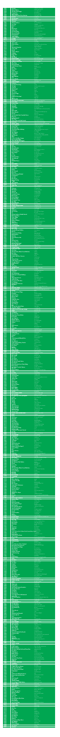| 1500                                 | <b>Kincade</b>                                                                                                                         | Dreams Are Ten A Penny                                                                                                            |
|--------------------------------------|----------------------------------------------------------------------------------------------------------------------------------------|-----------------------------------------------------------------------------------------------------------------------------------|
| 1499                                 | <b>Robert Palmer</b>                                                                                                                   | <b>Bad Case Of Loving You</b>                                                                                                     |
| 1498                                 | <b>Wet Wet Wet/Troggs</b>                                                                                                              | Love Is All Around                                                                                                                |
| 1497                                 | <b>Imagination</b>                                                                                                                     | <b>Just An Illusion</b>                                                                                                           |
| 1496                                 | <b>John Travolta</b>                                                                                                                   | <b>Greased Lightning</b>                                                                                                          |
| 1495                                 | <b>Whitney Houston/Cissy Houston</b>                                                                                                   | I Know Him So Well                                                                                                                |
| 1494<br>1493<br>1492<br>1491         | <b>Red Box</b><br><b>Rolling Stones</b><br><b>Spice Girls</b><br><b>Icehouse</b><br><b>Michael Jackson</b>                             | <b>For America</b><br>Fool To Cry<br>Spice Up Your Life<br>Crazy<br>She's Out Of My Life                                          |
| 1490<br>1489<br>1488<br>1487<br>1486 | Los Lobos<br><b>Princess</b><br><b>Blof</b><br><b>Billy Ocean</b>                                                                      | La Bamba<br>Say I'm Your Number One<br>Dichterbij Dan Ooit<br>Love Really Hurts Without You                                       |
| 1485                                 | <b>Celine Dion</b>                                                                                                                     | <b>Think Twice</b>                                                                                                                |
| 1484                                 | <b>Fleetwood Mac</b>                                                                                                                   | As Long As You Follow                                                                                                             |
| 1483                                 | <b>Vanessa Paradis</b>                                                                                                                 | <b>Be My Baby</b>                                                                                                                 |
| 1482                                 | <b>Everly Brothers</b>                                                                                                                 | On The Wings Of A Nightingale                                                                                                     |
| 1481<br>1480<br>1479<br>1478         | <b>Candi Staton</b><br>Joshua Kadison<br>Chicago<br><b>Innercity</b><br><b>B 52'S</b>                                                  | Young Hearts Run Free<br><b>Picture Postcards From LA</b><br>You're The Inspiration<br>Goodlife<br>Love Shack                     |
| 1477<br>1476<br>1475<br>1474<br>1473 | <b>Jamie Lidell</b><br><b>Gwen Guthrie</b><br>U <sub>2</sub><br><b>Sheila &amp; B Devotion</b>                                         | <b>Another Day</b><br>Ain't Nothin' Goin' On But The Rent<br>With Or Without You<br>Singin' In The Rain                           |
| 1472                                 | <b>Jimmy Cliff</b>                                                                                                                     | Sunshine In The Music                                                                                                             |
| 1471                                 | Anouk                                                                                                                                  | Modern World                                                                                                                      |
| 1470                                 | <b>Stealers Wheel</b>                                                                                                                  | Star                                                                                                                              |
| 1469                                 | <b>Coldplay</b>                                                                                                                        | <b>Trouble</b>                                                                                                                    |
| 1468                                 | <b>Ringo Starr</b>                                                                                                                     | Photograph                                                                                                                        |
| 1467                                 | <b>R</b> Kelly                                                                                                                         | She's Got That Vibe                                                                                                               |
| 1466                                 | <b>Rory Block</b>                                                                                                                      | Lovin' Whiskey                                                                                                                    |
| 1465                                 | <b>Gloria Gaynor</b>                                                                                                                   | Never Can Say Goodbye                                                                                                             |
| 1464<br>1463<br>1462<br>1461         | <b>Veldhuis &amp; Kemper</b><br><b>Wendy &amp; Lisa/Prince</b><br><b>Ellen Foley</b><br><b>Adina Howard</b>                            | Ik Wou Dat Ik Jou Was<br>Are You My Baby<br>We Belong To The Night<br><b>Freak Like Me</b><br>Doe lets                            |
| 1460<br>1459<br>1458<br>1457<br>1456 | <b>Frank Boeijen Groep</b><br><b>Beatles</b><br><b>Rene Klijn</b><br><b>Trafassi</b><br><b>Taylor Dayne</b>                            | Can't Buy Me Love<br><b>MrBlue</b><br>Wasmasjien<br>Prove Your Love                                                               |
| 1455                                 | <b>Marvin Gaye</b>                                                                                                                     | Mercy Mercy Me                                                                                                                    |
| 1454                                 | Whigfield                                                                                                                              | Think Of You                                                                                                                      |
| 1453                                 | <b>Stan Ridgway</b>                                                                                                                    | Camouflage                                                                                                                        |
| 1452                                 | <b>Cher</b>                                                                                                                            | <b>Bang Bang</b>                                                                                                                  |
| 1451                                 | <b>Drum Theatre</b>                                                                                                                    | Eldorado                                                                                                                          |
| 1450                                 | Clouseau                                                                                                                               | Altijd Heb Ik Je Lief                                                                                                             |
| 1449                                 | <b>Steve Arrington</b>                                                                                                                 | <b>Feel So Real</b>                                                                                                               |
| 1448                                 | <b>Gabrielle</b>                                                                                                                       | <b>Rise</b>                                                                                                                       |
| 1447<br>1446<br>1445<br>1444         | <b>Kool And The Gang</b><br><b>The Beat</b><br>Level 42<br><b>Edie Brickell</b>                                                        | Joanna<br>Can't Get Used To Losing You<br><b>Hot Water</b><br>Circle<br>Beggin'                                                   |
| 1443<br>1442<br>1441<br>1440<br>1439 | <b>Madcon</b><br><b>The Sweet</b><br><b>Suzanne Vega</b><br><b>Vitesse</b><br><b>Middle Of The Road</b>                                | Poppa Joe<br>Luka<br>Rosalyn<br>Sacramento                                                                                        |
| 1438                                 | Aqua                                                                                                                                   | <b>Barbie Girl</b>                                                                                                                |
| 1437                                 | <b>Elvis Costello</b>                                                                                                                  | l Want You                                                                                                                        |
| 1436                                 | Ian Dury/The Blockheads                                                                                                                | Hit Me With Your Rhythmstick                                                                                                      |
| 1435                                 | <b>Matt Bianco</b>                                                                                                                     | Who's Side Are You On                                                                                                             |
| 1434                                 | <b>Duran Duran</b>                                                                                                                     | The Wild Boys                                                                                                                     |
| 1433                                 | <b>Jim Croce</b>                                                                                                                       | Time In A Bottle                                                                                                                  |
| 1432                                 | <b>Toploader</b>                                                                                                                       | Dancing In The Moonlight                                                                                                          |
| 1431                                 | <b>Scritti Politti</b>                                                                                                                 | The Word Girl                                                                                                                     |
| 1430                                 | <b>Cats</b>                                                                                                                            | Rock 'N Roll (I Gave You The Best Years Of)                                                                                       |
| 1429                                 | <b>Robin Gibb</b>                                                                                                                      | Juliet                                                                                                                            |
| 1428                                 | <b>Marc Almond</b>                                                                                                                     | Something Gotta Hold On My Heart                                                                                                  |
| 1427                                 | <b>Christie</b>                                                                                                                        | <b>Yellow River</b>                                                                                                               |
| 1426                                 | Tim Finn/Split Enz/Crowded House                                                                                                       | <b>Fraction Too Much Friction</b>                                                                                                 |
| 1425                                 | <b>Billy Joel</b>                                                                                                                      | Leningrad                                                                                                                         |
| 1424                                 | <b>Brother Beyond</b>                                                                                                                  | The Harder I Try                                                                                                                  |
| 1423                                 | <b>The Script</b>                                                                                                                      | If You Could See Me Now                                                                                                           |
| 1422                                 | <b>Dionne Warwick/And Friends</b>                                                                                                      | That's What Friends Are For                                                                                                       |
| 1421                                 | <b>Elton John</b>                                                                                                                      | Can You Feel The Love Tonight                                                                                                     |
| 1420                                 | <b>Ramses Shaffy</b>                                                                                                                   | Zing-Vecht-Huil-Bid-Lach-Werk En Bewonder                                                                                         |
| 1419                                 | <b>Eros Ramazzotti</b>                                                                                                                 | Se Bastasse Una Canzone                                                                                                           |
| 1418                                 | <b>Instant Funk</b>                                                                                                                    | I Got My Mind Made Up                                                                                                             |
| 1417<br>1416<br>1415<br>1414         | <b>Tom Robinson</b><br><b>Tina Arena/Marc Anthony</b><br><b>Drukwerk</b><br><b>The Original</b>                                        | Listen To The Radio<br>I Want To Spend My Lifetime Loving You<br>Je Loog Tegen Mij<br>I Luv U Baby<br>Money's To Tight To Mention |
| 1413<br>1412<br>1411<br>1410<br>1409 | <b>Simply Red</b><br><b>Rod Stewart</b><br>Abba<br><b>Culture Club/Boy George</b><br><b>Genesis/Phil Collins</b>                       | Tom Traubert's Blues (Waltzing Matilda)<br>I Do, I Do, I Do, I Do<br>Karma Chameleon<br>No Son Of Mine                            |
| 1408                                 | <b>Stevie Wonder/98 Degrees</b>                                                                                                        | True To Your Heart                                                                                                                |
| 1407                                 | <b>Pete Townsend</b>                                                                                                                   | <b>Face The Face</b>                                                                                                              |
| 1406                                 | <b>Guys 'N Dolls</b>                                                                                                                   | You're My World                                                                                                                   |
| 1405                                 | Pink                                                                                                                                   | Don't Let Me Get Me                                                                                                               |
| 1404                                 | <b>Chi-Lites</b>                                                                                                                       | Have You Seen Her                                                                                                                 |
| 1403                                 | <b>Marco Borsato</b>                                                                                                                   | <b>Binnen</b>                                                                                                                     |
| 1402                                 | <b>Third World</b>                                                                                                                     | Now That We'Ve Found Love                                                                                                         |
| 1401                                 | <b>Luther Vandross</b>                                                                                                                 | Never Too Much                                                                                                                    |
| 1400                                 | <b>Rene Froger</b>                                                                                                                     | <b>Just Say Hello</b>                                                                                                             |
| 1399                                 | <b>10 Cc</b>                                                                                                                           | The Things We Do For Love                                                                                                         |
| 1398                                 | R. E. M.                                                                                                                               | <b>Shiny Happy People</b>                                                                                                         |
| 1397                                 | <b>Hall And Oates</b>                                                                                                                  | She's Gone                                                                                                                        |
| 1396                                 | <b>Jon Anderson</b>                                                                                                                    | Surrender                                                                                                                         |
| 1395                                 | Mika                                                                                                                                   | <b>Grace Kelly</b>                                                                                                                |
| 1394                                 | <b>Crowded House</b>                                                                                                                   | It's Only Natural                                                                                                                 |
| 1393                                 | <b>Inxs</b>                                                                                                                            | Suicide Blonde                                                                                                                    |
| 1392                                 | <b>Patti Labelle</b>                                                                                                                   | Release                                                                                                                           |
| 1391                                 | <b>Nick &amp; Simon</b>                                                                                                                | Pak Maar M'N Hand                                                                                                                 |
| 1390                                 | <b>Doe Maar</b>                                                                                                                        | <b>Belle Helene</b>                                                                                                               |
| 1389                                 | <b>Bruno Mars</b>                                                                                                                      | Locked Out In Heaven                                                                                                              |
| 1388                                 | <b>Beatles</b>                                                                                                                         | Let It Be                                                                                                                         |
| 1387                                 | <b>Paul Carrack</b>                                                                                                                    | Don't Shed A Tear                                                                                                                 |
| 1386                                 | <b>Deee-Lite</b>                                                                                                                       | Groove Is In The Heart                                                                                                            |
| 1385                                 | <b>Wham/George Michael</b>                                                                                                             | Club Tropicana                                                                                                                    |
| 1384                                 | <b>Commodores</b>                                                                                                                      | Still                                                                                                                             |
| 1383                                 | <b>Jan Smit</b>                                                                                                                        | Stilte In De Storm                                                                                                                |
| 1382                                 | <b>Roxy Music</b>                                                                                                                      | More Than This                                                                                                                    |
| 1381                                 | <b>Ronan Keating</b>                                                                                                                   | Lovin' Each Day                                                                                                                   |
| 1380                                 | <b>Troggs</b>                                                                                                                          | <b>Wild Thing</b>                                                                                                                 |
| 1379                                 | <b>Jaki Graham</b>                                                                                                                     | Step Right Up                                                                                                                     |
| 1378                                 | <b>Owl City</b>                                                                                                                        | <b>Fire Flies</b>                                                                                                                 |
| 1377                                 | Espen Lind                                                                                                                             | <b>When Suzanna Cries</b>                                                                                                         |
| 1376                                 | U <sub>2</sub>                                                                                                                         | Angel Of Harlem                                                                                                                   |
| 1375                                 | <b>Supremes</b>                                                                                                                        | The Happening                                                                                                                     |
| 1374                                 | <b>Phil Collins</b>                                                                                                                    | You'll Be In My Heart                                                                                                             |
| 1373                                 | <b>Lakeside</b>                                                                                                                        | <b>Fantastic Voyage</b>                                                                                                           |
| 1372                                 | <b>Chicory Tip</b>                                                                                                                     | Son Of My Father                                                                                                                  |
| 1371                                 | <b>Swing Out Sister</b>                                                                                                                | You On My Mind                                                                                                                    |
| 1370                                 | <b>Bonnie Tyler</b>                                                                                                                    | It's A Heartache                                                                                                                  |
| 1369                                 | <b>Gavin Degraw</b>                                                                                                                    | Not Over You                                                                                                                      |
| 1368                                 | <b>David Dundas</b>                                                                                                                    | Jeans On                                                                                                                          |
| 1367                                 | <b>Christopher Cross</b>                                                                                                               | Arthur's Theme                                                                                                                    |
| 1366                                 | <b>Lois Lane</b>                                                                                                                       | <b>Fortune Fairytales</b>                                                                                                         |
| 1365                                 | <b>Dave Edmunds</b>                                                                                                                    | <b>Girls Talk</b>                                                                                                                 |
| 1364                                 | <b>Special Aka</b>                                                                                                                     | Nelson Mandela                                                                                                                    |
| 1363                                 | <b>Queen/George Michael</b>                                                                                                            | Somebody To Love                                                                                                                  |
| 1362<br>1361<br>1360<br>1359         | <b>Sylvester</b><br><b>Jewel</b><br><b>Madonna</b><br><b>Elvis Presley</b>                                                             | You Make Me Feel<br><b>Foolish Game</b><br><b>Material Girl</b><br>You're The Devil In Disguise<br>No Scrubs                      |
| 1358<br>1357<br>1356<br>1355<br>1354 | <b>Tlc</b><br>Michael Jackson/Siedah Garrett<br><b>Black Eyed Peas</b><br><b>Sister Sledge</b><br>Labi Siffre                          | I Just Can't Stop Loving You<br>Don't Lie<br>We Are Family<br>(Something Inside) So Strong                                        |
| 1353                                 | <b>Robbie Williams</b>                                                                                                                 | Misunderstood                                                                                                                     |
| 1352                                 | <b>Spinners</b>                                                                                                                        | Working My Way Back To You                                                                                                        |
| 1351                                 | <b>Carly Simon</b>                                                                                                                     | <b>Coming Around Again</b>                                                                                                        |
| 1350                                 | Windjammer                                                                                                                             | <b>Tossing And Turning</b>                                                                                                        |
| 1349                                 | <b>Steve Winwood</b>                                                                                                                   | <b>Higher Love</b>                                                                                                                |
| 1348                                 | <b>Ruth Jacott</b>                                                                                                                     | Hartslag                                                                                                                          |
| 1347                                 | <b>Real Thing</b>                                                                                                                      | You To Me Are Everything                                                                                                          |
| 1346                                 | Narada Michael Walden                                                                                                                  | <b>Divine Emotions</b>                                                                                                            |
| 1345<br>1344<br>1343<br>1342         | <b>Racoon</b><br><b>Terence Trent D'Arby</b><br><b>Rolling Stones</b><br><b>Nielsson</b>                                               | <b>Brother</b><br>Dance Little Sister<br>As Tears Go By<br><b>Beauty &amp; De Brains</b><br>Hopelessly Devoted To You             |
| 1341<br>1340<br>1339<br>1338<br>1337 | <b>Olivia Newton John</b><br>Aha<br><b>Pointer Sisters</b><br><b>Guus Meeuwis</b><br><b>Michael Zager Band</b>                         | The Sun Always Shines On Tv<br>Automatic<br>Per Spoor (Kedeng Kedeng)<br>Let's All Chant                                          |
| 1336                                 | <b>Bruce Springsteen</b>                                                                                                               | My Hometown                                                                                                                       |
| 1335                                 | <b>Lene Marlin</b>                                                                                                                     | <b>Sitting Down Here</b>                                                                                                          |
| 1334                                 | <b>Gregory Abbott</b>                                                                                                                  | <b>Shake You Down</b>                                                                                                             |
| 1333                                 | <b>Steve Miller Band</b>                                                                                                               | Jet Airliner                                                                                                                      |
| 1332                                 | All-4-One                                                                                                                              | I Swear                                                                                                                           |
| 1331                                 | Gloria Estefan/Miami Sound Machine                                                                                                     | <b>Bad Boy</b>                                                                                                                    |
| 1330                                 | <b>Bee-Gees</b>                                                                                                                        | <b>Tragedy</b>                                                                                                                    |
| 1329                                 | <b>Lionel Richie</b>                                                                                                                   | Penny Lover                                                                                                                       |
| 1328                                 | <b>Frankie Valli/Four Seasons</b>                                                                                                      | Grease                                                                                                                            |
| 1327                                 | Ict                                                                                                                                    | Lasciati Tentare                                                                                                                  |
| 1326                                 | <b>Johnny Kemp</b>                                                                                                                     | <b>Just Got Paid</b>                                                                                                              |
| 1325                                 | Linda, Roos & Jessica                                                                                                                  | Ademnood                                                                                                                          |
| 1324                                 | <b>George Michael</b>                                                                                                                  | <b>Too Funky</b>                                                                                                                  |
| 1323                                 | <b>Club Nouveau</b>                                                                                                                    | Lean On Me                                                                                                                        |
| 1322                                 | <b>Byrds</b>                                                                                                                           | All I Really Want To Do                                                                                                           |
| 1321                                 | <b>Alicia Keys</b>                                                                                                                     | No One                                                                                                                            |
| 1320                                 | <b>Spandau Ballet</b>                                                                                                                  | <b>Through The Barricades</b>                                                                                                     |
| 1319                                 | Az Yet                                                                                                                                 | Last Night                                                                                                                        |
| 1318                                 | Kim Wilde                                                                                                                              | You Keep Me Hangin' On                                                                                                            |
| 1317                                 | <b>Cashmere</b>                                                                                                                        | Love's What I Want                                                                                                                |
| 1316                                 | <b>Het Goede Doel</b>                                                                                                                  | Vriendschap                                                                                                                       |
| 1315                                 | <b>Daft Punk Ft. Pharell Williams</b>                                                                                                  | Get Lucky                                                                                                                         |
| 1314                                 | <b>Doors</b>                                                                                                                           | Light My Fire                                                                                                                     |
| 1313                                 | <b>Skipworth &amp; Turner</b>                                                                                                          | Thinking About Your Love                                                                                                          |
| 1312                                 | <b>Jackie Wilson</b>                                                                                                                   | Higher And Higher                                                                                                                 |
|                                      |                                                                                                                                        | The Power Of Love                                                                                                                 |
| 1311<br>1310<br>1309<br>1308<br>1307 | <b>Huey Lewis/The News</b><br><b>Ilse Delange</b><br><b>Smokie/Chris Norman</b><br><b>Bandolero</b><br><b>Sade</b>                     | Miracle<br>Lay Back In The Arms Of Someone<br><b>Paris Latino</b><br>When Am I Going To Make A Living                             |
| 1306                                 | <b>John Paul Young</b>                                                                                                                 | Standing In The Rain                                                                                                              |
| 1305                                 | <b>Glenn Medeiros</b>                                                                                                                  | Nothing's Gonna Change My Love For You                                                                                            |
| 1304                                 | <b>Blondie</b>                                                                                                                         | Maria                                                                                                                             |
| 1303                                 | <b>Paul Mccartney/Wings</b>                                                                                                            | My Love                                                                                                                           |
| 1302                                 | <b>Foreigner</b>                                                                                                                       | That Was Yesterday                                                                                                                |
| 1301                                 | <b>Janet Jackson</b>                                                                                                                   | Doesn't Really Matter                                                                                                             |
| 1300                                 | <b>Marvin Gaye</b>                                                                                                                     | Let's Get It On                                                                                                                   |
| 1299                                 | <b>Kokomo</b>                                                                                                                          | A Little Bit Further Away                                                                                                         |
| 1298                                 | <b>Gabriella Cilme</b>                                                                                                                 | Sweet About Me                                                                                                                    |
| 1297                                 | <b>Cat Stevens</b>                                                                                                                     | <b>Father And Son</b>                                                                                                             |
| 1296                                 | <b>Richard Marx</b>                                                                                                                    | <b>Satisfied</b>                                                                                                                  |
| 1295                                 | Salt 'N Pepa                                                                                                                           | Push It                                                                                                                           |
| 1294                                 | <b>Blof</b>                                                                                                                            | Later Als Ik Groter Ben                                                                                                           |
| 1293                                 | <b>Sly And The Family Stone</b>                                                                                                        | <b>Family Affair</b>                                                                                                              |
| 1292                                 | <b>Sting/Eric Clapton</b>                                                                                                              | It's Probably Me                                                                                                                  |
| 1291                                 | <b>Bread/Culture Club/Boy George</b>                                                                                                   | Everything I Own                                                                                                                  |
| 1290                                 | <b>Eagles</b>                                                                                                                          | New Kid In Town                                                                                                                   |
| 1289                                 | Candyman                                                                                                                               | Knockin' Boots                                                                                                                    |
| 1288                                 | <b>Circus Custers</b>                                                                                                                  | Verliefd                                                                                                                          |
| 1287                                 | Diana Ross/Lionel Richie                                                                                                               | <b>Endless Love</b>                                                                                                               |
| 1286                                 | <b>Kt Tunstall</b>                                                                                                                     | Suddenly I See                                                                                                                    |
| 1285                                 | <b>Jay Ferguson</b>                                                                                                                    | Thunder Island                                                                                                                    |
| 1284                                 | <b>Marilyn Martin</b>                                                                                                                  | <b>Move Closer</b>                                                                                                                |
| 1283                                 | <b>Madison Avenue</b>                                                                                                                  | Don't Call Me Baby                                                                                                                |
| 1282                                 | <b>Orleans</b>                                                                                                                         | Dance With Me                                                                                                                     |
| 1281                                 | Lisa                                                                                                                                   | Halleluja                                                                                                                         |
| 1280                                 | <b>Cyndi Lauper</b>                                                                                                                    | <b>True Colors</b>                                                                                                                |
| 1279                                 | <b>Chic</b>                                                                                                                            | My Forbidden Lover                                                                                                                |
| 1278                                 | <b>Stray Cats</b>                                                                                                                      | <b>Runaway Boys</b>                                                                                                               |
| 1277                                 | <b>Berlin</b>                                                                                                                          | Take My Breath Away                                                                                                               |
| 1276<br>1275<br>1274<br>1273         | <b>Earth Wind And Fire</b><br><b>Julien Clerc</b><br><b>Counting Crows</b><br><b>Nadieh</b><br><b>Boris</b>                            | Fall In Love With Me<br>Ce N'Est Rien<br>Accidently In Love<br>Windforce 11<br>When You Think Of Me                               |
| 1272<br>1271<br>1270<br>1269<br>1268 | <b>Justin Hayward/Moody Blues</b><br>O. M. D.<br><b>David Bowie</b><br>Frank Sinatra/Nancy Sinatra                                     | <b>Forever Autumn</b><br>Locomotion<br>Ashes To Ashes<br>Something Stupid                                                         |
| 1267<br>1266<br>1265<br>1264         | <b>Michael Buble</b><br><b>Dire Straits</b><br><b>Beatles</b><br><b>Take That</b>                                                      | Home<br>Money For Nothing<br>Love Me Do<br><b>Relight My Fire</b><br>Giving It All Away                                           |
| 1263<br>1262<br>1261<br>1260<br>1259 | <b>Roger Daltrey</b><br><b>Talking Heads</b><br><b>Deniece Williams</b><br><b>Ben E. King</b><br><b>Boz Scaggs</b>                     | <b>Road To Nowhere</b><br>Let's Hear It For The Boy<br><b>Stand By Me</b><br>What Can I Say                                       |
| 1258<br>1257<br>1256<br>1255         | <b>Bon Jovi</b><br><b>Joss Stone</b><br><b>Roy Orbison</b><br><b>The Source/Candi Staton</b><br>Pasadena'S                             | Livin' On A Prayer<br>You Had Me<br>Pretty Woman<br><b>U</b> Got The Love<br>Riding On A Train                                    |
| 1254<br>1253<br>1252<br>1251<br>1250 | Marco Borsato/Lucie Silvas/Babys<br><b>Rowen Heze</b><br><b>Joe Cocker/Jennifer Warnes</b><br>The La'S                                 | Everytime I Think Of You<br><b>Bestel Mar</b><br>Up Where We Belong<br><b>There She Goes</b>                                      |
| 1249                                 | <b>Rupert Holmes</b>                                                                                                                   | <b>Escape (The Pina Colada Song)</b>                                                                                              |
| 1248                                 | <b>Prince</b>                                                                                                                          | <b>Mountains</b>                                                                                                                  |
| 1247                                 | <b>Dr Hook</b>                                                                                                                         | A Little Bit More                                                                                                                 |
| 1246                                 | <b>Katy Perry</b>                                                                                                                      | <b>Teenage Dream</b>                                                                                                              |
| 1245                                 | <b>Neil Diamond</b>                                                                                                                    | September Morn'                                                                                                                   |
| 1244                                 | <b>Viola Wills</b>                                                                                                                     | Gonna Get Along Without You Now                                                                                                   |
| 1243                                 | <b>Johnny Lion</b>                                                                                                                     | Alleen In Dallas                                                                                                                  |
| 1242                                 | East 17                                                                                                                                | It's Alright                                                                                                                      |
| 1241                                 | <b>Eddy Grant</b>                                                                                                                      | <b>Electric Avenue</b>                                                                                                            |
| 1240                                 | <b>Gipsy Kings</b>                                                                                                                     | Djobi Djoba                                                                                                                       |
| 1239                                 | <b>Donna Summer</b>                                                                                                                    | <b>Bad Girls</b>                                                                                                                  |
| 1238                                 | Maroon 5                                                                                                                               | She Will Be Loved                                                                                                                 |
| 1237                                 | <b>Andre Hazes</b>                                                                                                                     | Zeg Maar Niets Meer                                                                                                               |
| 1236<br>1235<br>1234<br>1233         | <b>Barry White</b><br><b>Pussycat Dolls</b><br><b>Selector</b><br><b>Ub 40/Robert Palmer</b>                                           | Let The Music Play<br>I Don't Need A Man<br>On My Radio<br>I'll Be Your Baby Tonight<br>Harvest For The World                     |
| 1232<br>1231<br>1230<br>1229<br>1228 | <b>The Christians</b><br><b>Pet Shop Boys/Dusty Springfield</b><br><b>Limahl</b><br><b>Boney M</b><br><b>Krezip</b>                    | What Have I Done To Deserve This<br>Neverending Story<br>Sunny<br>All My Life                                                     |
| 1227<br>1226<br>1225<br>1224         | Spargo<br>R. Kelly<br><b>Santana</b><br><b>Sheena Easton</b>                                                                           | <b>Just For You</b><br>I Believe I Can Fly<br>Well All Right<br>You Could Have Been With Me<br><b>Higher Ground</b>               |
| 1223<br>1222<br>1221<br>1220<br>1219 | <b>Stevie Wonder</b><br><b>Brooke Fraser</b><br><b>Chris De Burgh</b><br><b>Quincy Jones</b><br><b>Glennis Grace &amp; Edwin Evers</b> | Something In The Water<br>The Lady In Red<br>Stuff Like That<br>Wil Je Niet Nog 1 Nacht                                           |
| 1218                                 | Abba                                                                                                                                   | Fernando                                                                                                                          |
| 1217                                 | <b>Police</b>                                                                                                                          | Spirits In The Material World                                                                                                     |
| 1216                                 | <b>Tina Turner</b>                                                                                                                     | The Way Of The World                                                                                                              |
| 1215                                 | <b>Nazareth</b>                                                                                                                        | Love Hurts                                                                                                                        |
| 1214                                 | <b>Coolnotes</b>                                                                                                                       | Spend The Night                                                                                                                   |
| 1213                                 | Mary Mary                                                                                                                              | <b>Shackles (Praise You)</b>                                                                                                      |
| 1212                                 | John Farnham                                                                                                                           | Age Of Reason                                                                                                                     |
| 1211                                 | <b>Lonnie Gordon</b>                                                                                                                   | I'm Gonna Catch You Baby                                                                                                          |
| 1210<br>1209<br>1208<br>1207         | <b>Rolling Stones</b><br><b>Kool And The Gang</b><br><b>Nelly Furtado</b><br><b>Creedence Clearwater Revival</b><br><b>Des'Ree</b>     | Sympathy For The Devil<br><b>Too Hot</b><br>Forca<br>Have You Ever Seen The Rain<br>Life                                          |
| 1206<br>1205<br>1204<br>1203<br>1202 | Lou Reed<br><b>Will Downing</b><br>Propaganda<br><b>Paul Simon</b>                                                                     | Walk On The Wild Side<br>A Love Supreme<br>Duel (Eye To Eye)<br>Kodachrome                                                        |
| 1201                                 | <b>Kings Of Leon</b>                                                                                                                   | Use Somebody                                                                                                                      |
| 1200                                 | <b>Pretenders</b>                                                                                                                      | Hymn To Her                                                                                                                       |
| 1199                                 | <b>Mouse T</b>                                                                                                                         | Horny                                                                                                                             |
| 1198                                 | <b>Whitney Houston</b>                                                                                                                 | One Moment In Time                                                                                                                |
| 1197                                 | <b>Phats &amp; Small</b>                                                                                                               | <b>Turn Around</b>                                                                                                                |
| 1196                                 | Mama'S And The Papa'S                                                                                                                  | <b>Monday Monday</b>                                                                                                              |
| 1195                                 | <b>Tracey Ullman</b>                                                                                                                   | <b>Breakaway</b>                                                                                                                  |
| 1194                                 | <b>Blof</b>                                                                                                                            | Zo Stil                                                                                                                           |
| 1193                                 | <b>Stacy Lattisaw</b>                                                                                                                  | Jump To The Beat                                                                                                                  |
| 1192                                 | <b>Bros</b>                                                                                                                            | When Will I Be Famous                                                                                                             |
| 1191                                 | Madonna                                                                                                                                | This Used To Be My Playground                                                                                                     |
| 1190                                 | Supertramp                                                                                                                             | The Logical Song                                                                                                                  |
| 1189                                 | <b>Sydney Youngblood</b>                                                                                                               | Sit & Wait                                                                                                                        |
| 1188                                 | John Mayer                                                                                                                             | Waiting On The World To Change                                                                                                    |
| 1187                                 | <b>Depeche Mode</b>                                                                                                                    | Just Can't Get Enough                                                                                                             |
| 1186                                 | <b>Mc Hammer</b>                                                                                                                       | U Can't Touch This                                                                                                                |
| 1185                                 | <b>Bob Marley &amp; The Wailers</b>                                                                                                    | Jamming                                                                                                                           |
| 1184<br>1183<br>1182<br>1181<br>1180 | <b>Queen</b><br><b>Gary Jules</b><br><b>Zombies</b><br><b>Gloria Estefan/Miami Sound Machine</b>                                       | <b>Body Language</b><br><b>Mad World</b><br>Time Of The Season<br>$Cong\alpha$<br>Are You Gonna Go My Way                         |
| 1179<br>1178<br>1177<br>1176         | <b>Lenny Kravitz</b><br><b>Yvonne Elliman</b><br><b>Billy Idol</b><br><b>Baseballs</b><br><b>Elvis Costello</b>                        | Love Me<br>Hot In The City<br>Umbrella<br>Oliver's Army                                                                           |
| 1175                                 | Champaign                                                                                                                              | How 'Bout Us                                                                                                                      |
| 1174                                 | <b>Seal</b>                                                                                                                            | The Beginning                                                                                                                     |
| 1173                                 | <b>Barry Manilow</b>                                                                                                                   | Mandy                                                                                                                             |
| 1172                                 | <b>Captain Sensible</b>                                                                                                                | <b>WOT</b>                                                                                                                        |
| 1171<br>1170<br>1169<br>1168         | <b>Roxette</b><br><b>Elvis Presley</b><br><b>Stock Aitken Waterman</b><br><b>No Doubt</b><br><b>Michael Jackson</b>                    | How Do You Do<br>Can't Help Falling In Love<br>Roadblock<br>It's My Life<br><b>Human Nature</b>                                   |
| 1167<br>1166<br>1165<br>1164<br>1163 | <b>Tears For Fears</b><br><b>Supremes</b><br><b>Tamperer Ft. Maya</b><br><b>Motels</b>                                                 | Shout<br>Stop! In The Name Of Love<br>Feel It<br><b>Suddenly Last Summer</b>                                                      |
| 1162                                 | <b>Reunion</b>                                                                                                                         | Life Is A Rock (But The Radio Rolled Me)                                                                                          |
| 1161                                 | <b>Corrs</b>                                                                                                                           | Radio                                                                                                                             |
| 1160                                 | <b>Electric Light Orchestra</b>                                                                                                        | Shine A Little Love                                                                                                               |
| 1159                                 | <b>Patrick Cowly</b>                                                                                                                   | Do You Wanna Funk                                                                                                                 |
| 1158                                 | <b>Beyonce</b>                                                                                                                         | If I Were A Boy                                                                                                                   |
| 1157                                 | <b>Randy Newman</b>                                                                                                                    | Short People                                                                                                                      |
| 1156                                 | <b>Yazoo/Alison Moyet</b>                                                                                                              | Don't Go                                                                                                                          |
| 1155                                 | <b>Rod Stewart</b>                                                                                                                     | Tonight's The Night                                                                                                               |
| 1154                                 | <b>Eternal/Be Be Winans</b>                                                                                                            | I Wanna Be The Only One                                                                                                           |
| 1153                                 | <b>Joan Armatrading</b>                                                                                                                | Rosie                                                                                                                             |
| 1152                                 | <b>Fleetwood Mac</b>                                                                                                                   | You Make Loving Fun                                                                                                               |
| 1151                                 | <b>Anouk</b>                                                                                                                           | I Don't Wanna Hurt                                                                                                                |
| 1150                                 | <b>Aretha Franklin</b>                                                                                                                 | Freeway Of Love                                                                                                                   |
| 1149                                 | <b>Adele</b>                                                                                                                           | <b>Turning Tables</b>                                                                                                             |
| 1148                                 | <b>Tremeloes</b>                                                                                                                       | I Like It That Way                                                                                                                |
| 1147                                 | <b>Michael Bolton</b>                                                                                                                  | How Am I Supposed To Live Without You                                                                                             |
| 1146                                 | <b>Mariah Carey</b>                                                                                                                    | Fantasy                                                                                                                           |
| 1145                                 | <b>Four Tops</b>                                                                                                                       | Loco In Acapulco                                                                                                                  |
| 1144                                 | <b>Celine Dion</b>                                                                                                                     | Pour Que To M'Aimes Encore                                                                                                        |
| 1143                                 | <b>Rene Froger</b>                                                                                                                     | Crazy Way About Her                                                                                                               |
| 1142                                 | <b>Waterboys</b>                                                                                                                       | The Whole Of The Moon                                                                                                             |
| 1141                                 | Do                                                                                                                                     | Heaven                                                                                                                            |
| 1140                                 | <b>Anastacia</b>                                                                                                                       | Not That Kind                                                                                                                     |
| 1139                                 | <b>Alphaville</b>                                                                                                                      | <b>Big In Japan</b>                                                                                                               |
| 1138                                 | <b>Beatles</b>                                                                                                                         | <b>Twist And Shout</b>                                                                                                            |
| 1137                                 | Robbie Williams/Nicole Kidman/Frank Sinatra/Mancy Sinamething Stupid                                                                   | The Wanderer                                                                                                                      |
| 1136<br>1135<br>1134<br>1133<br>1132 | <b>Status Quo</b><br><b>Dolly Parton</b><br><b>Jeroen Van Der Boom</b><br><b>Alice Cooper</b><br><b>Usher</b>                          | I Will Always Love You<br><b>Betekenis</b><br>How You Gonna See Me Now<br>Dj Got Us Fallin' In Love                               |
| 1131                                 | <b>Isley Brothers</b>                                                                                                                  | <b>Behind A Painted Smile</b>                                                                                                     |
| 1130                                 | <b>Marco Borsato</b>                                                                                                                   | Margherita                                                                                                                        |
| 1129                                 | <b>Inxs</b>                                                                                                                            | Need You Tonight                                                                                                                  |
| 1128                                 | <b>Guus Meeuwis &amp; Gers Pardoel</b>                                                                                                 | Nergens Zonder Jou                                                                                                                |
| 1127                                 | <b>Kid Creole &amp; The Coconuts</b>                                                                                                   | Annie I'm Not Your Daddy                                                                                                          |

| <b>Golden Earring</b><br><b>Abc</b>                                                      |
|------------------------------------------------------------------------------------------|
| O'Jays<br><b>Bryan Adams</b><br>Abba                                                     |
| <b>Desireless</b><br>R. E. M.                                                            |
| <b>Leo Sayer</b><br>Freiheit                                                             |
| Level 42<br><b>Bill Withers</b>                                                          |
| De Dijk<br><b>Debby Harry</b><br><b>Phil Collins</b>                                     |
| <b>Elton John</b><br><b>Alanis Morissette</b>                                            |
| <b>Van Morrison</b><br><b>Beach Boys</b>                                                 |
| Acda & De Munnik<br><b>Modern Talking</b>                                                |
| Police<br><b>Emilia</b><br><b>Jimmy Cliff</b>                                            |
| <b>Simply Red</b><br>Total Touch/Trijntje Oosterhuis                                     |
| <b>George Harrison</b><br><b>Pretenders</b>                                              |
| <b>Iron Horse</b><br><b>Ricky Martin</b>                                                 |
| <b>June Lodge/Prince Mohammed</b><br><b>Julien Clerc</b><br><b>Christina Aguilera</b>    |
| Aha<br><b>Peter Gabriel</b>                                                              |
| Clannad/Bono/U 2<br><b>Rolling Stones</b>                                                |
| Lisa Stansfield<br><b>Ronan Keating</b>                                                  |
| <b>Eros Ramazzotti</b><br>Luv'<br>Laura Pausini                                          |
| <b>Sailor</b><br><b>Womack And Womack</b>                                                |
| <b>Enrique Iglesias</b><br>Poco                                                          |
| <b>Earth Wind And Fire</b><br><b>James Morrison</b>                                      |
| <b>E.G. Daily</b><br><b>Glen Campbell</b><br><b>Janet Jackson</b>                        |
| <b>Blow Monkeys</b><br><b>Sister Sledge</b>                                              |
| <b>Won Ton Ton</b><br><b>Stevie Wonder</b>                                               |
| <b>Madonna</b><br>Poema'S/Acda & De Munnik<br><b>Living In A Box</b>                     |
| U <sub>2</sub><br><b>Animals</b>                                                         |
| <b>Shakatak</b><br><b>Whitney Houston</b>                                                |
|                                                                                          |
| <b>Blof</b><br>Queen                                                                     |
| <b>Shakin' Stevens</b><br><b>Prince</b>                                                  |
| <b>Frank Sinatra</b><br><b>Backstreet Boys</b><br>Wiz Stars/Michael Jackson/Diana Ross   |
| <b>Doe Maar</b><br><b>Cliff Richard</b>                                                  |
| <b>Bobby Brown</b><br><b>Sandy Coast</b>                                                 |
| <b>Tom Petty</b><br>Ike Turner/Tina Turner<br><b>Nick Lowe</b>                           |
| Righeira<br>Al Green/Tina Turner                                                         |
| <b>Sugababes</b><br><b>Elvis Presley</b>                                                 |
| <b>Freddie Mercury/Queen</b><br><b>Katrina &amp; The Waves</b><br>K.C./The Sunshine Band |
| Kajagoogoo<br>los                                                                        |
| Jackson Five/Michael Jackson<br><b>Dionne Warwick/Bee-Gees</b>                           |
| <b>Cher</b><br>Gino Vannelli<br><b>The Sweet</b>                                         |
| <b>Charles &amp; Eddie</b><br><b>Kenny Rogers/Dolly Parton</b>                           |
| <b>Jennifer Lopez</b><br><b>Three Degrees</b>                                            |
| <b>Roachford</b><br><b>Michael Jackson</b>                                               |
| <b>Beatles</b><br><b>Bruce Springsteen</b><br><b>Bellamy Brothers</b>                    |
| <b>Richenel</b><br><b>Lucie Silvas</b>                                                   |
| <b>The Cure</b><br><b>Harold Melvin/Blue Notes</b>                                       |
| <b>Jon Secada</b><br><b>Duran Duran</b><br><b>Louis Armstrong</b>                        |
| <b>Bronski Beat</b><br><b>Gareth Gates</b>                                               |
| <b>Juanes</b><br><b>Bee-Gees</b>                                                         |
| <b>Duffy</b><br><b>Chris Rea</b><br><b>Snow Patrol</b>                                   |
| <b>Lionel Richie</b><br><b>David Bowie</b>                                               |
| <b>Rick Astley</b><br><u>Rihanna</u>                                                     |
| <b>Bryan Ferry/Roxy Music</b><br><b>Ilse Delange</b><br><b>Maxi Priest</b>               |
| Yvonne Elliman<br><b>Phil Collins</b><br><b>Volumia!</b>                                 |

Going To The Run The Night You Murdered Love Backstabbers Can't Stop This Thing We Started Thank You For The Music Voyage Voyage Man On The Moon When I Need You Play It Cool Forever Now Lovely Day Als Ze Er Niet Is French Kissing In The Usa It Don't Matter To Me Your Song That I Would Be Good (Unplugged) Have I Told You Lately God Only Knows Ren Lenny Ren You Can Win If You Want Message In A Bottle Big Big World Reggae Night The Right Thing I'll Say Goodbye What Is Life 2000 Miles Sweet Lui-Louise Livin' La Vida Loca Someone Loves You Honey Si On Chantait Come On Over Baby (All I Want Is You) Hunting High And Low Sledgehammer In A Lifetime Under My Thumb All Around The World When You Say Nothing At All Musica E You're The Greatest Lover La Solitudine Sailor Life Is Just A Ballgame Hero Call It Love Star Wonderful World Say It Say It Rhinestone Cowboy Runaway Digging Your Scene Lost In Music I Lie And I Cheat For Once In My Life La Isla Bonita Zij Maakt Het Verschil Blow The House Down Stuck In A Moment You Can't Get Out Of House Of The Rising Sun Down On The Streets Where Do Broken Hearts Go Alles Is Liefde Somebody To Love This Ole House U Got The Look Theme From New York New York I Want It That Way A Brand New Day De Bom Dreamin' Two Can Play That Game The Eyes Of Jenny A Face In The Crowd River Deep Mountain High Half A Boy And Half A Man Vamos A La Playa Let's Stay Together Hole In The Head One Night The Great Pretender Love Shine A Light Get Down Tonight Too Shy Altijd Wel Iemand Abc All The Love In The World Strong Enough Hurts To Be In Love Funny Funny Would I Lie To You Islands In The Stream Ain't It Funny Year Of Decision Cuddly Toy They Don't Care About Us Ob-La-Di, Ob-La-Da Better Days Let Your Love Flow Dance Around The World Breathe In Close To Me Satisfaction Guaranteed Angel Girls On Film What A Wonderful World Why? Anyone Of Us A Dios Le Pido **Words Mercy** Josephine Shut Your Eyes All Night Long Jean Genie Cry For Help **Diamonds** Slave To Love I'm Not So Tough Wild World Hello Stranger Sussudio

Blijf Bij Mij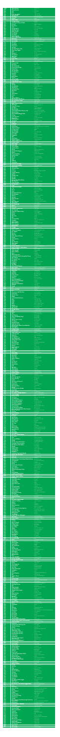| i<br>İ                                | 48<br>47                                 |                                 |  |
|---------------------------------------|------------------------------------------|---------------------------------|--|
|                                       | 2                                        |                                 |  |
|                                       |                                          | <b>IS</b><br>V                  |  |
| ラフラフラフ                                |                                          | とりとり                            |  |
|                                       |                                          |                                 |  |
|                                       |                                          |                                 |  |
|                                       | -- 12<br>741<br>740<br>739<br>738<br>737 |                                 |  |
|                                       |                                          |                                 |  |
|                                       |                                          |                                 |  |
|                                       |                                          |                                 |  |
| ニフフフフフ                                |                                          |                                 |  |
|                                       |                                          |                                 |  |
|                                       | $\overline{\mathbf{z}}$                  |                                 |  |
|                                       |                                          | 35<br>35<br>34<br>33<br>32      |  |
|                                       |                                          |                                 |  |
|                                       |                                          |                                 |  |
| ア、ア、アンプアン                             |                                          | $\frac{10}{9}$<br>$\frac{9}{7}$ |  |
|                                       |                                          |                                 |  |
| ムラフラフ                                 |                                          |                                 |  |
|                                       |                                          |                                 |  |
|                                       |                                          |                                 |  |
|                                       |                                          |                                 |  |
| Ę                                     |                                          |                                 |  |
|                                       |                                          |                                 |  |
|                                       |                                          |                                 |  |
|                                       |                                          |                                 |  |
|                                       |                                          |                                 |  |
| $\overline{z}$<br>j                   |                                          |                                 |  |
|                                       | 18 17 16 15 14 13 12 11 10 09 08 47      |                                 |  |
| <u> アアアアアアアアアアアアアアの6666666666</u>     |                                          |                                 |  |
|                                       |                                          |                                 |  |
|                                       |                                          |                                 |  |
|                                       |                                          |                                 |  |
|                                       |                                          |                                 |  |
|                                       |                                          |                                 |  |
|                                       | 00<br>07<br>06<br>05<br>04<br>03         |                                 |  |
|                                       |                                          |                                 |  |
|                                       |                                          |                                 |  |
|                                       |                                          |                                 |  |
|                                       | $\frac{03}{02}$<br>$\frac{02}{00}$       |                                 |  |
|                                       |                                          |                                 |  |
|                                       |                                          |                                 |  |
|                                       |                                          | $\frac{9}{7}$                   |  |
|                                       |                                          |                                 |  |
|                                       | $\frac{q}{q}$                            |                                 |  |
|                                       |                                          | $\frac{16}{4}$                  |  |
|                                       |                                          |                                 |  |
|                                       |                                          |                                 |  |
|                                       |                                          | $\overline{\mathbf{I}}$         |  |
|                                       |                                          |                                 |  |
|                                       |                                          |                                 |  |
| $\overline{6}$<br>$\overline{6}$      |                                          |                                 |  |
|                                       |                                          |                                 |  |
|                                       |                                          |                                 |  |
| $\vec{b}$                             |                                          |                                 |  |
| 6<br>$\boldsymbol{\delta}$            |                                          |                                 |  |
| $\boldsymbol{6}$                      |                                          |                                 |  |
| $\overline{\mathbf{C}}$               |                                          |                                 |  |
| <u>6</u>                              |                                          |                                 |  |
| $\boldsymbol{6}$                      |                                          |                                 |  |
| $\boldsymbol{c}$<br><u>c</u>          |                                          |                                 |  |
| $\epsilon$                            |                                          |                                 |  |
| $\overline{6}$                        |                                          |                                 |  |
| $\overline{6}$                        |                                          |                                 |  |
| $\epsilon$                            |                                          |                                 |  |
| <u>ó</u><br>$\overline{\mathbf{C}}$   |                                          |                                 |  |
| $\vec{b}$                             |                                          |                                 |  |
| $\overline{\boldsymbol{6}}$           |                                          |                                 |  |
| <b>6</b>                              |                                          |                                 |  |
| $\boldsymbol{6}$                      |                                          |                                 |  |
| <u>6</u><br><u>6</u>                  |                                          |                                 |  |
| $\boldsymbol{6}$                      |                                          |                                 |  |
| 6                                     |                                          |                                 |  |
| $\boldsymbol{\phi}$                   |                                          |                                 |  |
| ¢                                     |                                          |                                 |  |
| Ć<br>6                                |                                          |                                 |  |
| Ó                                     |                                          |                                 |  |
| $\overline{\mathbf{C}}$               |                                          |                                 |  |
| d                                     |                                          |                                 |  |
|                                       |                                          |                                 |  |
| $\overline{6}$                        |                                          |                                 |  |
|                                       |                                          |                                 |  |
| $\mathbf C$<br>$\epsilon$             |                                          |                                 |  |
| $\vec{\delta}$                        |                                          |                                 |  |
| $\boldsymbol{6}$                      |                                          |                                 |  |
| <u>6</u>                              |                                          |                                 |  |
| $\epsilon$<br>$\overline{\mathbf{C}}$ |                                          |                                 |  |
| $\vec{6}$                             |                                          |                                 |  |
| $\vec{b}$                             |                                          |                                 |  |
| $\epsilon$                            |                                          |                                 |  |
| $\epsilon$                            |                                          |                                 |  |
| $\epsilon$                            |                                          |                                 |  |
| $\vec{6}$<br>$\overline{6}$           |                                          | $\overline{1}$                  |  |
| $\epsilon$                            |                                          |                                 |  |
| $\epsilon$                            |                                          |                                 |  |
| $\epsilon$                            |                                          |                                 |  |
| $\overline{6}$                        |                                          |                                 |  |
| $\boldsymbol{6}$                      |                                          |                                 |  |
| $\epsilon$<br>$\mathbf C$             |                                          |                                 |  |
| $\epsilon$                            |                                          |                                 |  |
| $\overline{6}$                        |                                          |                                 |  |
| <u>6</u>                              |                                          |                                 |  |
|                                       |                                          |                                 |  |
| $\mathbf$<br>$\overline{\mathbf{C}}$  |                                          |                                 |  |
| 6                                     |                                          |                                 |  |
| 6                                     |                                          | 5                               |  |
|                                       | 624<br>623                               |                                 |  |

| 1000                           | <b>Sheena Easton</b>                                                                     |
|--------------------------------|------------------------------------------------------------------------------------------|
| 999                            | <b>Marco Borsato</b>                                                                     |
| 998                            | Cats                                                                                     |
| 997                            | Pink                                                                                     |
| 996                            | <b>Dusty Springfield</b>                                                                 |
| 995                            | <b>Rolling Stones</b>                                                                    |
| 994                            | <b>John Hiatt</b>                                                                        |
| 993                            | Pharrell                                                                                 |
| 992                            | <b>Eddie Money</b>                                                                       |
| 991                            | George Michael                                                                           |
| 990                            | Liesbeth List/Ramses Shaffy                                                              |
| 989                            | Herrey'S                                                                                 |
| 988                            | <b>Katy Perry</b>                                                                        |
| 987                            | <b>10 Cc</b>                                                                             |
| 986                            | <b>George Benson</b>                                                                     |
| 985                            | <b>Hall And Oates</b>                                                                    |
| 984                            | <b>Britney Spears</b>                                                                    |
| 983                            | <b>Don Mclean</b>                                                                        |
| 982                            | <b>Dire Straits</b>                                                                      |
| 981                            | <b>Michel Delpech</b>                                                                    |
| 980                            | Rufus/Chaka Khan                                                                         |
| 979                            | <b>Beckie Bell</b>                                                                       |
| 978                            | <b>Paul Young</b>                                                                        |
| 977                            | <b>Suzi Quatro</b>                                                                       |
| 976                            | <b>Christians</b>                                                                        |
| 975                            | <b>Gap Band</b>                                                                          |
| 974                            | <b>China Crisis</b>                                                                      |
| 973                            | <b>Jan Smit</b>                                                                          |
| 972                            | <b>Joe South/Inner Circle</b>                                                            |
| 971                            | <b>Glenn Frey/Eagles</b>                                                                 |
| 970                            | Sade                                                                                     |
| 969                            | <b>Maroon 5</b>                                                                          |
| 968                            | <b>Chi Coltrane</b>                                                                      |
| 967                            | <b>Paul Simon</b>                                                                        |
| 966                            | <b>All Saints</b>                                                                        |
| 965                            | <b>Scritti Politti</b>                                                                   |
| 964                            | <b>Train</b>                                                                             |
| 963                            | <b>Slade</b>                                                                             |
| 962                            | <b>Pussycat Dolls</b>                                                                    |
| 961                            | <b>Tom Jones</b>                                                                         |
| 960                            | <b>Paul Hardcastle</b>                                                                   |
| 959                            | <b>Terence Trent D'Arby</b>                                                              |
| 958                            | <b>Andre Hazes</b>                                                                       |
| 957                            | <b>Hot Chocolate</b>                                                                     |
| 956                            | <b>Pet Shop Boys</b>                                                                     |
| 955<br>954                     | <b>Searchers</b><br><b>Trammps</b><br><b>Emeli Sande</b>                                 |
| 953<br>952<br>951              | <b>Genesis</b><br><b>Johnny Logan</b>                                                    |
| 950                            | <b>Guus Meeuwis</b>                                                                      |
| 949                            | <b>Frank Boeijen Groep</b>                                                               |
| 948                            | Abba                                                                                     |
| 947                            | <b>Sheila E</b>                                                                          |
| 946                            | <b>New Radicals</b>                                                                      |
| 945                            | <b>John Denver</b>                                                                       |
| 944                            | <b>Doobie Brothers</b>                                                                   |
| 943                            | <b>Spice Girls</b>                                                                       |
| 942                            | <b>Byrds</b>                                                                             |
| 941                            | <b>Leann Rimes</b>                                                                       |
| 940                            | Queen                                                                                    |
| 939                            | Toto                                                                                     |
| 938                            | <b>Robbie Williams</b>                                                                   |
| 937                            | <b>Ray Goodman And Brown</b>                                                             |
| 936                            | <b>Paul Mccartney/Wings</b>                                                              |
| 935                            | <b>Billy Idol</b>                                                                        |
| 934                            | Roger Glover & Guests                                                                    |
| 933                            | Milli Vanilli                                                                            |
| 932                            | <b>Swing Out Sister</b>                                                                  |
| 931                            | <b>Honeybus</b>                                                                          |
| 930                            | <b>Was Not Was</b>                                                                       |
| 929                            | John Travolta/Olivia Newton John                                                         |
| 928                            | <b>Mariah Carey</b>                                                                      |
| 927                            | Mike Oldfield/Maggie Reilly                                                              |
| 926                            | Mr. Big                                                                                  |
| 925                            | <b>V.O.F. De Kunst</b>                                                                   |
| 924                            | <b>Alain Clark</b>                                                                       |
| 923                            | <b>Neil Diamond</b>                                                                      |
| 922                            | <b>Tina Turner</b>                                                                       |
| <u>921</u>                     | <b>Hanson</b>                                                                            |
| 920                            | Madonna                                                                                  |
| 919                            | <b>Survivor</b>                                                                          |
| 918                            | <b>Kelly Family</b>                                                                      |
| <b>917</b>                     | Little River Band                                                                        |
| 916                            | <b>Gusttavo Lima</b>                                                                     |
| 915                            | <b>Donald Fagen</b>                                                                      |
| 914                            | <b>Shania Twain</b>                                                                      |
| 913                            | <b>Bruno Mars</b>                                                                        |
| 912                            | <b>Delegation</b>                                                                        |
| <u>911</u>                     | <b>Skik</b>                                                                              |
| 910                            | <b>Matt Bianco</b>                                                                       |
| 909                            | <b>Michael Jackson</b>                                                                   |
| 908                            | <b>Nelly Furtado/Juanes</b>                                                              |
| 907                            | <b>Donna Summer</b>                                                                      |
| 906                            | <b>Rene Froger</b>                                                                       |
| 905                            | <b>Jason Mraz</b>                                                                        |
| 904                            | <b>Tracey Ullman</b>                                                                     |
| 903                            | <b>Faith No More</b>                                                                     |
| 902                            | <b>Ub 40</b>                                                                             |
| 901                            | <b>Red Hot Chili Peppers</b>                                                             |
| 900                            | <b>Beatles</b>                                                                           |
| 899                            | <b>Oliver Cheatham</b>                                                                   |
| 898                            | <b>Pointer Sisters</b>                                                                   |
| 897                            | <b>Roxette</b>                                                                           |
| 896                            | <b>Prince</b>                                                                            |
| 895                            | <b>Dido</b>                                                                              |
| 894                            | Level 42                                                                                 |
| 893                            | <b>Simply Red</b>                                                                        |
| 892                            | <b>Kool And The Gang</b>                                                                 |
| 891                            | <b>Shirley And Company</b>                                                               |
| 890                            | Paula Abdul                                                                              |
| 889                            | <b>Hall And Oates</b>                                                                    |
| 888                            | <b>Jessie J</b>                                                                          |
| 887                            | Dr Hook                                                                                  |
| 886                            | <b>Feargal Sharkey</b>                                                                   |
| 885                            | <b>Radio'S</b>                                                                           |
| 884                            | <b>Weather Girls</b>                                                                     |
| 883                            | <b>Bon Jovi</b>                                                                          |
| 882                            | Mar <u>tika</u>                                                                          |
| 881                            | <b>Marvin Gaye/Kim Weston</b>                                                            |
| 880                            | Ray Parker Jr.                                                                           |
| 879                            | <b>Army Of Lovers</b>                                                                    |
| 878                            | <b>Rolling Stones</b>                                                                    |
| 877                            | <b>Sting</b>                                                                             |
| 876                            | <b>Alan Parsons Project</b>                                                              |
|                                |                                                                                          |
| 875                            | LTD.                                                                                     |
| 874                            | <b>Keane</b>                                                                             |
| 873                            | Enya                                                                                     |
| 872                            | <b>Boudewijn De Groot</b>                                                                |
| $\overline{871}$               | <b>Kylie Minogue</b>                                                                     |
| 870                            | <b>Shakira</b>                                                                           |
| 869                            | <b>Spinners</b>                                                                          |
| 868                            | <b>Bomb The Bass</b>                                                                     |
| $\overline{867}$               | <b>Alcazar</b>                                                                           |
| 866                            | Marco Borsato                                                                            |
| 865                            | Sonny/Cher                                                                               |
| 864                            | <b>Het Goede Doel</b>                                                                    |
| 863<br>$\overline{862}$<br>861 | <b>Robin S</b><br><b>Ram Jam</b><br><b>Melanie C./Spice Girls</b><br><b>Paul Carrack</b> |
| 860                            | <b>Diana Ross/Marvin Gaye</b>                                                            |
| 859                            | <b>Beatles</b>                                                                           |
| 858                            | <b>Diesel</b>                                                                            |
| 857<br>856<br>855<br>854       | Elton John<br><b>Blof</b><br><b>Fleetwood Mac</b>                                        |
| 853                            | Foreigner                                                                                |
| 852                            | <b>Janet Jackson</b>                                                                     |
| 851                            | <b>Robert Palmer</b>                                                                     |
| 850                            | <b>Skunk Anansie</b>                                                                     |
| 849                            | <b>Bananarama</b>                                                                        |
| 848                            | Chicago                                                                                  |
| 847                            | <b>Adrian Gurvitz</b>                                                                    |
| 846                            | <b>Weeks &amp; Company</b>                                                               |
| 845                            | <b>Eric Clapton</b>                                                                      |
| 844                            | <b>Racoon</b>                                                                            |
| 843                            | <b>Billy Joel</b>                                                                        |
| 842                            | <b>Arthur Baker/Al Green</b>                                                             |
| 841                            | <b>Tavares</b>                                                                           |
| 840                            | <b>Earth And Fire</b>                                                                    |
| 839                            | <b>Police</b>                                                                            |
| 838                            | <b>Wet Wet Wet</b>                                                                       |
| 837                            | <b>Oleta Adams</b>                                                                       |
| 836                            | <b>Normaal</b>                                                                           |
| 835                            | <b>Michael Jackson</b>                                                                   |
| 834                            | <b>Robbie Williams / Gary Barlow</b>                                                     |
| 833                            | <b>Sugarhill Gang</b>                                                                    |
| 832                            | <b>Stevie Wonder</b>                                                                     |
| 831                            | <b>Wilson Phillips</b>                                                                   |
| 830                            | Opus                                                                                     |
| 829                            | <b>Whitney Houston</b>                                                                   |
| 828                            | <b>Crosby Stills Nash &amp; Young/Neil Young</b>                                         |
| 827                            | Salt 'N Pepa                                                                             |
| 826                            | <b>Christopher Cross</b>                                                                 |
| 825                            | <b>Roxy Music</b>                                                                        |
| 824                            | <b>Eurythmics</b>                                                                        |
| 823                            | <b>En Vogue</b>                                                                          |
| 822                            | <b>The Clash</b>                                                                         |
| $\overline{821}$               | <b>Ashford And Simpson</b>                                                               |
| 820                            | <b>Barry White</b>                                                                       |
| 819                            | <b>Rocksteady Crew</b>                                                                   |
| 818                            | <b>Beach Boys</b>                                                                        |
| 817                            | Coldplay                                                                                 |
| 816                            | <b>Billy Paul</b>                                                                        |
| 815                            | <b>Tasmin Archer</b>                                                                     |
| 814                            | <b>Doe Maar</b>                                                                          |
| 813                            | <b>Madness</b>                                                                           |
| 812                            | <b>Daniel Bedingfield</b>                                                                |
| 811                            | Wham/George Michael                                                                      |
| 810                            | <b>Sam And Dave</b>                                                                      |
| 809                            | <b>Billy Vera &amp; The Beaters</b>                                                      |
| 808<br>807<br>806              | Soft Cell<br>Kayak<br>U <sub>2</sub><br><b>Kids From Fame</b>                            |
| 805<br>804<br>803              | <b>Kiss</b><br><b>Huey Lewis And The News</b>                                            |
| 802<br>801<br>800              | <b>Celine Dion</b><br><b>Positive Force</b><br>Modjo<br><b>Future World Orchestra</b>    |
| 799<br>798<br>797<br>796       | Mika<br><b>Eagles</b><br><b>Texas</b>                                                    |
| 795                            | Abba                                                                                     |
| 794                            | <b>Queen</b>                                                                             |
| 793                            | <b>Climie Fisher</b>                                                                     |
| 792                            | <b>Elvis Presley</b>                                                                     |
| 791                            | Savage Garden                                                                            |
| 790                            | Aha                                                                                      |
| 789                            | <b>Renee</b>                                                                             |
| 788                            | Jam                                                                                      |
| 787                            | <b>Toni Braxton</b>                                                                      |
| 786                            | <b>James And Bobby Purify</b>                                                            |
| 785                            | De Dijk                                                                                  |
| 784                            | <b>Spencer Davis Group</b>                                                               |
| 783                            | K'S Choice                                                                               |
| 782                            | <b>Revelation Time</b>                                                                   |
| <b>781</b>                     | <b>Eagle Eye Cherry</b>                                                                  |
| 780                            | Gloria Estefan/Miami Sound Machine                                                       |
| 779                            | <b>Andre Hazes</b>                                                                       |
| 778                            | <b>Miquel Brown</b>                                                                      |
| 777                            | <b>Herman Brood</b>                                                                      |
| 776                            | <b>Michael Buble</b>                                                                     |
| 775                            | <b>Timex Social Club</b>                                                                 |
| 774                            | <b>Linda Ronstadt</b>                                                                    |
| 773                            | <b>Mavericks</b>                                                                         |
| 772                            | <b>Commodores</b>                                                                        |
| 771                            | <b>Amy Macdonald</b>                                                                     |
| 770                            | <b>Johnny Hates Jazz</b>                                                                 |
| 769                            | <b>Van Mccoy</b>                                                                         |
| 768                            | <b>Marco Borsato</b>                                                                     |
| 767                            | <b>Hall And Oates</b>                                                                    |
| 766                            | <b>Betonce</b>                                                                           |
| 765                            | <b>Right Said Fred</b>                                                                   |
| 764                            | <b>Bing Crosby</b>                                                                       |
| 763                            | <b>Kim Wilde</b>                                                                         |
| 762                            | <b>Tee-Set</b>                                                                           |
| 76 <u>1</u>                    | <b>Rene Froger</b>                                                                       |
| 760                            | Matia Bazar                                                                              |
| 759                            | <b>Spice Girls</b>                                                                       |
| 758                            | <b>Status Quo</b>                                                                        |
| 757                            | <b>Robbie Williams</b>                                                                   |
| 756                            | <b>Prince</b>                                                                            |
| 755                            | <b>Cat Stevens</b>                                                                       |
| 754                            | <b>Rick James</b>                                                                        |
| 753                            | <b>Stars On 45</b>                                                                       |

John Lennon

Fools Garden Gino Vannelli Aretha Franklin Joan Osborne **Stylistics** Bruce Springsteen Bruce Hornsby **Beatles** Adventures Of Stevie V Simply Red Grace Jones Black Eyed Peas Blondie Gordon/Re-Play/Gordon Irene Cara Marc Anthony Phil Oakey/Georgio Moroder Julie Covington Martin Solveig Tina Turner Guus Meeuwis Electric Light Orchestra Fine Young Cannibals Phil Collins/Supremes Earth Wind And Fire Peter Schilling Paul Mccartney/Wings Mike And The Mechanics/Paul Carrack Randy Crawford Clouseau Gerry Rafferty James Blunt **Mr Mister** Rod Stewart Rolling Stones Nick & Simon Robert Plant Four Tops **Styx** Rob De Nijs Roberta Flack Love Unlimited **Extreme** Paul Anka John Legend Dan Hill / Vonda Shepard Ten Sharp Mud Vanessa Williams Double Paul De Leeuw/Ruth Jacott Pretenders/Chrissie Hynde Bob Marley & The Wailers **Bangles** Toontje Lager Cliff Richard Lenny Kravitz **Eurythmics** Creedence Clearwater Revival Sandra Van Nieuwland What Fun Tom Jones Manfred Mann'S Earth Band/Manfred Mann Jim Diamond Katy Perry Ub 40 Smokie/Chris Norman Inner Circle Roger Daltrey Mariah Carey/Boyz Ii Men **Police** Cyndi Lauper Incognito/Jocelyn Brown Peter Cetera/Chicago Johnny 'Guitar' Watson Madonna Steve Miller Band Lady Gaga **Shocking Blue** Alanis Morissette Chic Greg Kihn Band Henk Westbroek Andrew Gold Eddie Rabbitt Kool And The Gang Passenger Han Van Eijck Whitney Houston Pink Erik Mesie/Toontje Lager Righteous Brothers **Moony Santana** Mary Jane Girls **Queen** Maroon 5 & Christina Aguilera Stevie Wonder Nena/Kim Wilde Rolling Stones Ilse Delange Frankie Goes To Hollywood Joss Stone Helen Shapiro **Genesis** Go West **Massive Attack** Village People Pet Shop Boys Bruno Mars **Tiffany** The Verve Ace Of Base Alison Moyet David Bowie No Doubt **Otis Redding** Concrete Blond Abba Los Del Rio Michel Fugain **Gipsy Kings** The Cranberries **Eagles** Wet Wet Wet Sophie Ellis-Bextor Bad English James Brown Talking Heads Cher Lovin' Spoonful Melissa Etheridge George Michael/Wham Don Henley **Beatles** Tracy Chapman Duran Duran Take That Dinah Washington **Sugababes Heart** Benny Neyman Abc Stealers Wheel **Toto** Nelly Furtado Nik Kershaw Billy Joel John Denver Scouting For Girls Blof Gladys Knight Crowded House Margriet Eshuys Band Byrds Vaya Con Dios Pat Benatar Boney M Paul Young Simply Red Nils Lofgren Pointer Sisters **Racey Temptations Toto** Odyssey Kim Wilde **Billy Ocean** Leo Sayer Will Young Beach Boys **The Clash** Jennifer Paige Steve Harley/Cockney Rebel Gloria Estefan/Miami Sound Machine **Steve Winwood** Anastacia Nathalie Cole/Nat King Cole John Paul Young De Kast Boys Town Gang Shakespears Sister George Baker Selection Everything But The Girl Carly Simon Hoobastank Kitty Grant/Chas Jankel Marco Borsato Moments And Whatnauts Neil Diamond Andre Hazes Billy Bremner Michael Jackson Gerard Joling Breakfast Club Volumia! Deep Purple Linda Ronstadt/Aaron Neville Shania Twain **Michael Murphey** Hollywood Beyond K.C./The Sunshine Band **Pretenders** Simple Minds Robbie Williams Aswad The Cure Snap Rolling Stones Deniece Williams Nirvana Paul Simon Rita Marley Lionel Richie America David Bowie/Mick Jagger Tina Turner **Shirley Bassey** Bob Marley & The Wailers/Ziggy Marley I.O.S. Kate Bush Janet Jackson **Queen** Three Degrees Kadanz Mariah Carey Kool And The Gang Rod Stewart **Gordon** Olivia Newton John/Electric Light Orchestra Bryan Adams **Matt Bianco** Martha Reeves/Vandellas Cock Robin Patrick Hernandez Depeche Mode Robert Cray Band Gabrielle Eddy Grant Edwin Starr Ricky Martin Rene Froger Bob Carlisle Terence Trent D'Arby Mink Deville Sydney Youngblood Soul Asylum Soul Ii Soul

Jim Gilstrap

Morning Train Rood Be My Day Sober Summer Is Ove Honky Tonk Women Have A Little Faith In Me **Happy** Take Me Home **Outside** Pastorale Diggy Loo Diggy Ley Roar I'm Not In Love Kisses In The Moonlight Sara Smile **Sometimes Crying** Calling Elvis Pour Un Flirt Ain't Nobody Steppin' Out Tonight Love Of The Common People If You Can't Give Me Love **Words** Oops Upside Your Head Wishful Thinking Laura Games People Play The Heat Is On Never As Good As The First Time This Love You Were My Friend **Graceland** Never, Ever **Absolute** Drops Of Jupiter Merry X-Mas Everybody Don't Cha Help Yourself 19 If You Let Me Stay Zij Gelooft In Mij Emma It's A Sin Sweets For My Sweets Love Epidemic Read All About I Throwing It All Away Hold Me Now Ik Ook Van Jou Linda I Have A Dream A Love Bizarre You Get What You Give Calypso What A Fool Believes Too Much Mr Tambourine Man Life Goes Or It's A Beautiful Day **I'll Supply The Love** Advertising Space Special Lady Silly Love Songs Sweet Sixteen Love Is All Girl I'm Gonna Miss You Breakout I Can't Let Maggie Go Walk The Dinosaur You're The One That I Want Santa Claus Is Coming To Town Moonlight Shadow To Be With You Suzanne This Ain't Gonna Work Hello Again Better Be Good To Me Mmmbop Secret Eye Of The Tiger I Can't Help Myself (I Love You I Want You) Reminiscing Balada **IGY** You're Still The One **Treasure** Put A Little Love On Me Op Fietse More Than I Can Bear Stranger In Moscow Te Busque Last Dance Your Place Or Mine I'm Yours **Move Over Darling** Easy Please Don't Make Me Cry **Californication** All My Loving Get Down Saturday Night Fire Listen To Your Heart The Most Beautiful Girl White Flag **Tracie** Home Fresh Shame Shame Shame Rush Rush Private Eyes Pricetag Baby Makes Her Blue Jeans Talk A Good Heart She Goes Na Na It's Raining Men This Ain't A Love Song Toy Soldiers It Takes Two A Woman Needs Love **Crucified** Waiting On A Friend Love Is The 7Th Wave Eye In The Sky Back In Love Again Everybody's Changing Orinoco Flow Jimmy **Locomotion** Underneath Your Clothes Rubberband Man I Say A Little Prayer Crying At The Discoteque Je Hoeft Niet Naar Huis Vannacht I Got You Babe Alles Geprobeerd Show Me Love Black Betty I Turn To You I Need You You Are Everything Free As A Bird Sausolito Summernight **Sacrifice** Omarm **Albatross** Waiting For A Girl Like You Escapade Can We Still Be Friends **Hedonism** Venus If You Leave Me Now Classic Rock Your World (Joho, Joho) Tears In Heaven Liverpool Rain New York State Of Mind The Message Is Love A Penny For Your Thoughts **Memories** So Lonely Sweet Surrende Window Of Hope Oerend Hard The Way You Make Me Feel Shame Rapper's Delight Happy Birthday Hold On Live Is Life So Emotional Teach Your Children Let's Talk About Sex Sailing Dance Away When Tomorrow Comes Don't Let Go (Love) Rock The Casbah **Solid** What Am I Gonna Do With You Hey You The Rocksteady Crew California Girls Speed Of Sound Me And Mrs Jones Sleeping Satellite Doris Day One Step Beyond If You're Not The One Freedom Soul Man At This Moment Tainted Love Ruthless Queen Beautiful Day Starmaker I Was Made For Loving You Hip To Be Square That's The Way It Is We Got The Funk Lady Desire Relax Take It Easy I Can't Tell You Why Say What You Want When I Kissed The Teacher The Show Must Go On Rise To The Occasion Viva Las Vegas To The Moon And Back I've Been Losing You High Time He Went A Town Called Malice Breathe Again I'm Your Puppet Bloedend Hart Keep On Running Not An Addict South Africa Save Tonight Falling In Love (Uh-Oh) 'N Beetje Verliefd Close To Perfection Saturday Night Haven't Met You Yet Rumors You're No Good Dance The Night Away Easy Mr Rock & Roll Turn Back The Clock The Hustle Afscheid Nemen Bestaat Niet Out Of Touch **Halo** I'm Too Sexy White Christmas Chequered Love Ma Belle Amie This Is The Moment Ti Sento Mama Whatever You Want Something Beautiful Purple Rain Morning Has Broken Super Freak Stars On 45 Kiss From A Rose Jive Talkin' **Woman** Lemon Tree People Gotta Move Think (Blues Brothers) One Of Us Can't Give You Anything Human Touch The Way It Is Get Back Dirty Cash Fairground Slave To The Rhythm I Gotta Feeling Denis Never Nooit Mee Fame You Sang To Me Together In Electric Dreams Don't Cry For Me Argentina **Hello** What's Love Got To Do With It Ik Tel Tot 3 Evil Woman She Drives Me Crazy You Can't Hurry Love Sunday Morning Major Tom (Vollig Losgelost) With A Little Luck The Living Years You Might Need Somebody Daar Gaat Ze City To City Wisemen Kyrie You're In My Heart Undercover Of The Night De Soldaat Big Log If I Were A Carpenter Babe Malle Babbe Killing Me Softly With His Song I'm So Glad That I'm A Woman More Than Words Having My Baby Save Room Can't We Try You Lonely This Christmas Save The Best For Last The Captain Of Her Heart Ik Wil Niet Dat Je Liegt I Go To Sleep Iron Lion Zion Eternal Flame Zoveel Te Doen We Don't Talk Anymore Believe In Me Sweet Dreams Bad Moon Rising **Hunter** The Right Side Won Sexbomb Blinded By The Light I Should Have Known Better **Firework** Food For Thought Living Next Door To Alice Games People Play Without Your Love One Sweet Day Roxanne Time After Time Always There Glory Of Love A Real Mother For Ya Like A Virgin The Joker Alejandro **Venus** Thank U I Want Your Love **Jeopardy** Zelfs Je Naam Is Mooi Never Let Her Slip Away Drivin' My Life Away Ooh La La La (Let's Go Dancin') Let Her Go Leef 'Big Brother Tune' All At Once Blow Me (One Last Kiss) Zonder Jou Unchained Melody Dove Samba Pa Ti In My House We Are The Champions Moves Like Jagger I Just Called To Say I Love You Anyplace Anywhere Anytime Last Time **Hurricane** The Power Of Love Don't Cha Wanna Ride Walking Back To Happiness In Too Deep We Close Our Eyes Unfinished Sympathy In The Navy West-End Girls **Grenade** I Think We'Re Alone Now Bitter Sweet Symphony Don't Turn Around That Ole Devil **Space Oddity** Don't Speak Dock Of The Bay Joey The Day Before You Came Macarena Une Belle Histoire Bamboleo Zombie Best Of My Love Angel Eyes Murder On The Dancefloor Time Stood Still **Sexmachine** Slippery People **Believe** Summer In The City Like The Way I Do Fast Love New York Minute Ticket To Ride Fast Car Hungry Like The Wolf Everything Changes Mad About The Boy Stronger Alone Waarom Fluister Ik Je Naam Nog All Of My Heart Stuck In The Middle With You Pamela I'm Like A Bird I Won't Let The Sun Go Down On Me Tell Her About It Thank God I'm A Country Boy This Ain't A Lovesong Aan De Kust Baby Don't Change Your Mind Weather With You Black Pearl Turn Turn Turn Heading For A Fall Love Is A Battlefield Ma Baker Come Back And Stay Something Got Me Started Shine Silently Jump (For My Love) Lay Your Love On Me My Girl 99 Going Back To My Roots Kids In America When The Going Gets Tough, The Tough Gets Going Long Tall Glasses You And I Kokomo Should I Stay Or Should I Go Crush Make Me Smile Don't Wanna Lose You While You See A Chance Left Outside Alone **Unforgettable** Love Is In The Air In Nije Dei Ain't No Mountain High Enough **Hello** Little Green Bag **Missing** Nobody Does It Better The Reason Glad To Know You Waarom Nou Jij Girls Beautiful Noise Kleine Jongen Loud Music In Cars Liberian Girl Ticket To The Tropics Right On Track Hou Me Vast Smoke On The Water Don't Know Much That Don't Impress Me Much **Wildfire** What's The Colour Of Money Come To My Island Brass In Pocket Belfast Child **Candy** Don't Turn Around A Forest Rhythm Is A Dancer Mixed Emotions It's Your Conscience Smells Like Teen Spirit You Can Call Me Al One Draw Angel A Horse With No Name Dancing In The Street Two People This Is My Life One Love/People Get Ready Uit De Schaduw **Cloudbusting** What Have You Done For Me Lately Another One Bites The Dust When Will I See You Again Dagen Dat Ik Je Vergeet Make It Happen Ladies Night Young Turks Kon Ik Maar Even Bij Je Zijn Xanadu Have You Ever Really Loved A Woman? Don't Blame It On That Girl Dancing In The Street The Promise You Made Born To Be Alive Enjoy The Silence Right Next Door Out Of Reach Gimme Hope Jo'Anna War (Un, Dos, Tres) Maria Alles Kan Een Mens Gelukkig Maken Butterfly Kisses Wishing Well Spanish Stroll If Only I Could Runaway Train Back To Life Swing Your Daddy